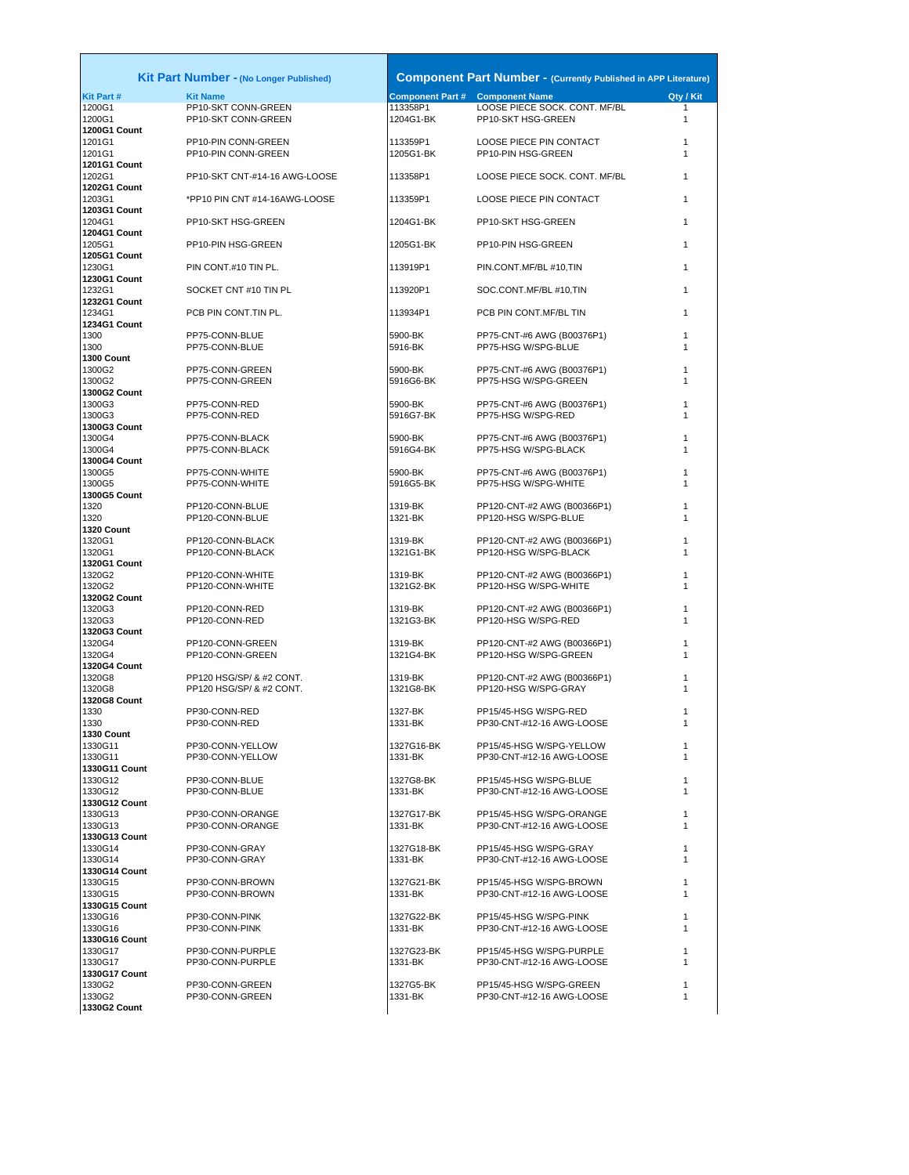|                                                      | <b>Kit Part Number - (No Longer Published)</b>       |                         | <b>Component Part Number - (Currently Published in APP Literature)</b> |              |
|------------------------------------------------------|------------------------------------------------------|-------------------------|------------------------------------------------------------------------|--------------|
| <b>Kit Part#</b>                                     | <b>Kit Name</b>                                      | <b>Component Part #</b> | <b>Component Name</b>                                                  | Qty / Kit    |
| 1200G1<br>1200G1                                     | PP10-SKT CONN-GREEN<br>PP10-SKT CONN-GREEN           | 113358P1<br>1204G1-BK   | LOOSE PIECE SOCK. CONT. MF/BL<br>PP10-SKT HSG-GREEN                    | 1<br>1       |
| 1200G1 Count<br>1201G1<br>1201G1                     | PP10-PIN CONN-GREEN<br>PP10-PIN CONN-GREEN           | 113359P1<br>1205G1-BK   | LOOSE PIECE PIN CONTACT<br>PP10-PIN HSG-GREEN                          | 1<br>1       |
| <b>1201G1 Count</b><br>1202G1                        | PP10-SKT CNT-#14-16 AWG-LOOSE                        | 113358P1                | LOOSE PIECE SOCK. CONT. MF/BL                                          | 1            |
| <b>1202G1 Count</b><br>1203G1<br><b>1203G1 Count</b> | *PP10 PIN CNT #14-16AWG-LOOSE                        | 113359P1                | LOOSE PIECE PIN CONTACT                                                | 1            |
| 1204G1<br><b>1204G1 Count</b>                        | PP10-SKT HSG-GREEN                                   | 1204G1-BK               | PP10-SKT HSG-GREEN                                                     | 1            |
| 1205G1<br><b>1205G1 Count</b>                        | PP10-PIN HSG-GREEN                                   | 1205G1-BK               | PP10-PIN HSG-GREEN                                                     | 1            |
| 1230G1<br><b>1230G1 Count</b>                        | PIN CONT.#10 TIN PL.                                 | 113919P1                | PIN.CONT.MF/BL #10,TIN                                                 | 1            |
| 1232G1<br><b>1232G1 Count</b>                        | SOCKET CNT#10 TIN PL                                 | 113920P1                | SOC.CONT.MF/BL #10,TIN                                                 | 1            |
| 1234G1<br>1234G1 Count                               | PCB PIN CONT.TIN PL.                                 | 113934P1                | PCB PIN CONT.MF/BL TIN                                                 | 1            |
| 1300<br>1300                                         | PP75-CONN-BLUE<br>PP75-CONN-BLUE                     | 5900-BK<br>5916-BK      | PP75-CNT-#6 AWG (B00376P1)<br>PP75-HSG W/SPG-BLUE                      | 1<br>1       |
| 1300 Count<br>1300G2<br>1300G2                       | PP75-CONN-GREEN<br>PP75-CONN-GREEN                   | 5900-BK<br>5916G6-BK    | PP75-CNT-#6 AWG (B00376P1)<br>PP75-HSG W/SPG-GREEN                     |              |
| <b>1300G2 Count</b><br>1300G3                        | PP75-CONN-RED                                        | 5900-BK                 | PP75-CNT-#6 AWG (B00376P1)                                             | 1            |
| 1300G3<br>1300G3 Count                               | PP75-CONN-RED                                        | 5916G7-BK               | PP75-HSG W/SPG-RED                                                     | 1            |
| 1300G4<br>1300G4                                     | PP75-CONN-BLACK<br>PP75-CONN-BLACK                   | 5900-BK<br>5916G4-BK    | PP75-CNT-#6 AWG (B00376P1)<br>PP75-HSG W/SPG-BLACK                     | 1<br>1       |
| <b>1300G4 Count</b><br>1300G5                        | PP75-CONN-WHITE                                      | 5900-BK                 | PP75-CNT-#6 AWG (B00376P1)                                             | 1            |
| 1300G5<br><b>1300G5 Count</b><br>1320                | PP75-CONN-WHITE<br>PP120-CONN-BLUE                   | 5916G5-BK<br>1319-BK    | PP75-HSG W/SPG-WHITE<br>PP120-CNT-#2 AWG (B00366P1)                    | 1<br>1       |
| 1320<br>1320 Count                                   | PP120-CONN-BLUE                                      | 1321-BK                 | PP120-HSG W/SPG-BLUE                                                   | 1            |
| 1320G1<br>1320G1<br>1320G1 Count                     | PP120-CONN-BLACK<br>PP120-CONN-BLACK                 | 1319-BK<br>1321G1-BK    | PP120-CNT-#2 AWG (B00366P1)<br>PP120-HSG W/SPG-BLACK                   | 1<br>1       |
| 1320G2<br>1320G2<br><b>1320G2 Count</b>              | PP120-CONN-WHITE<br>PP120-CONN-WHITE                 | 1319-BK<br>1321G2-BK    | PP120-CNT-#2 AWG (B00366P1)<br>PP120-HSG W/SPG-WHITE                   | 1<br>1       |
| 1320G3<br>1320G3                                     | PP120-CONN-RED<br>PP120-CONN-RED                     | 1319-BK<br>1321G3-BK    | PP120-CNT-#2 AWG (B00366P1)<br>PP120-HSG W/SPG-RED                     | 1<br>1       |
| 1320G3 Count<br>1320G4<br>1320G4                     | PP120-CONN-GREEN<br>PP120-CONN-GREEN                 | 1319-BK<br>1321G4-BK    | PP120-CNT-#2 AWG (B00366P1)<br>PP120-HSG W/SPG-GREEN                   | 1<br>1       |
| 1320G4 Count<br>1320G8<br>1320G8                     | PP120 HSG/SP/ & #2 CONT.<br>PP120 HSG/SP/ & #2 CONT. | 1319-BK<br>1321G8-BK    | PP120-CNT-#2 AWG (B00366P1)<br>PP120-HSG W/SPG-GRAY                    | 1            |
| 1320G8 Count<br>1330<br>1330                         | PP30-CONN-RED<br>PP30-CONN-RED                       | 1327-BK<br>1331-BK      | PP15/45-HSG W/SPG-RED<br>PP30-CNT-#12-16 AWG-LOOSE                     | 1            |
| 1330 Count<br>1330G11<br>1330G11                     | PP30-CONN-YELLOW<br>PP30-CONN-YELLOW                 | 1327G16-BK<br>1331-BK   | PP15/45-HSG W/SPG-YELLOW<br>PP30-CNT-#12-16 AWG-LOOSE                  | 1<br>1       |
| 1330G11 Count<br>1330G12<br>1330G12                  | PP30-CONN-BLUE<br>PP30-CONN-BLUE                     | 1327G8-BK<br>1331-BK    | PP15/45-HSG W/SPG-BLUE<br>PP30-CNT-#12-16 AWG-LOOSE                    | 1<br>1       |
| 1330G12 Count<br>1330G13                             | PP30-CONN-ORANGE                                     | 1327G17-BK              | PP15/45-HSG W/SPG-ORANGE                                               | 1            |
| 1330G13<br>1330G13 Count<br>1330G14                  | PP30-CONN-ORANGE<br>PP30-CONN-GRAY                   | 1331-BK<br>1327G18-BK   | PP30-CNT-#12-16 AWG-LOOSE<br>PP15/45-HSG W/SPG-GRAY                    | $\mathbf{1}$ |
| 1330G14<br>1330G14 Count<br>1330G15                  | PP30-CONN-GRAY<br>PP30-CONN-BROWN                    | 1331-BK<br>1327G21-BK   | PP30-CNT-#12-16 AWG-LOOSE<br>PP15/45-HSG W/SPG-BROWN                   | 1<br>1       |
| 1330G15<br>1330G15 Count                             | PP30-CONN-BROWN                                      | 1331-BK                 | PP30-CNT-#12-16 AWG-LOOSE                                              | 1            |
| 1330G16<br>1330G16<br><b>1330G16 Count</b>           | PP30-CONN-PINK<br>PP30-CONN-PINK                     | 1327G22-BK<br>1331-BK   | PP15/45-HSG W/SPG-PINK<br>PP30-CNT-#12-16 AWG-LOOSE                    | 1<br>1       |
| 1330G17<br>1330G17                                   | PP30-CONN-PURPLE<br>PP30-CONN-PURPLE                 | 1327G23-BK<br>1331-BK   | PP15/45-HSG W/SPG-PURPLE<br>PP30-CNT-#12-16 AWG-LOOSE                  | 1            |
| 1330G17 Count<br>1330G2                              | PP30-CONN-GREEN                                      | 1327G5-BK               | PP15/45-HSG W/SPG-GREEN                                                | 1            |

**1330G2 Count**

PP30-CONN-GREEN 1327G5-BK PP15/45-HSG W/SPG-GREEN 1<br>1331-BK PP30-CNT-#12-16 AWG-LOOSE 1 1330G2 PP30-CONN-GREEN 1331-BK PP30-CNT-#12-16 AWG-LOOSE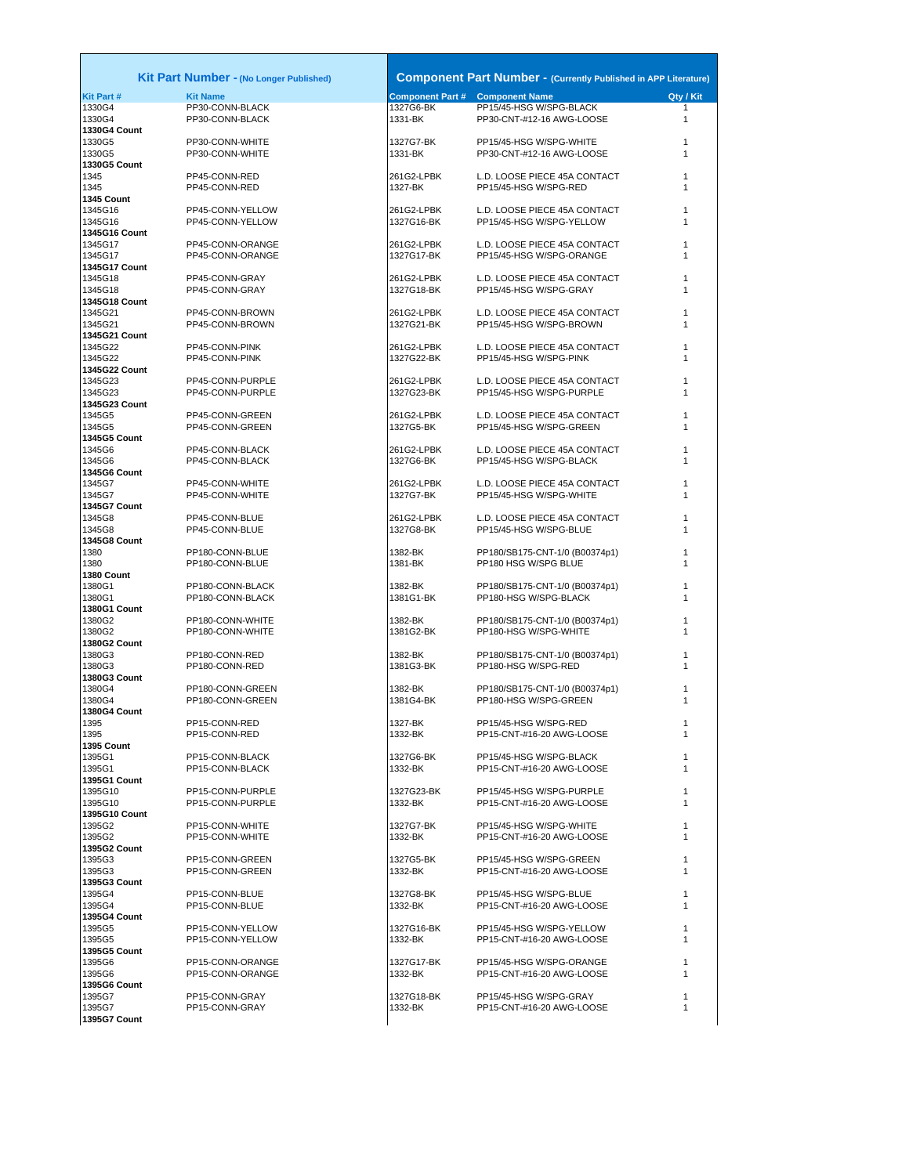| Kit                      |
|--------------------------|
| Kit Part #               |
| 1330G4                   |
| 1330G4                   |
| 1330G4 Count<br>1330G5   |
| 1330G5                   |
| 1330G5 Count             |
| 1345                     |
| 1345                     |
| 1345 Count<br>1345G16    |
| 1345G16                  |
| 1345G16 Count            |
| 1345G17                  |
| 1345G17                  |
| 1345G17 Count<br>1345G18 |
| 1345G18                  |
| 1345G18 Count            |
| 1345G21                  |
| 1345G21<br>1345G21       |
| Count<br>1345G22         |
| 1345G22                  |
| 1345G22 Count            |
| 1345G23                  |
| 1345G23<br>1345G23 Count |
| 1345G5                   |
| 1345G5                   |
| 1345G5 Count             |
| 1345G6                   |
| 1345G6                   |
| 1345G6 Count<br>1345G7   |
| 1345G7                   |
| 1345G7 Count             |
| 1345G8                   |
| 1345G8                   |
| 1345G8 Count<br>1380     |
| 1380                     |
| 1380 Count               |
| 1380G1                   |
| 1380G1<br>1380G1 Count   |
| 1380G2                   |
| 1380G2                   |
| 1380G2 Count             |
| 1380G3                   |
| 1380G3<br>1380G3 Count   |
| 1380G4                   |
| 1380G4                   |
| 1380G4 Count             |
| 1395                     |
| 1395<br>1395 Count       |
| 1395G1                   |
| 1395G1                   |
| 1395G1 Count             |
| 1395G10                  |
| 1395G10<br>1395G10 Count |
| 1395G2                   |
| 1395G2                   |
| 1395G2 Count             |
| 1395G3                   |
| 1395G3<br>1395G3 Count   |
| 1395G4                   |
| 1395G4                   |
| 1395G4 Count             |
| 1395G5                   |
| 1395G5<br>1395G5 Count   |
| 1395G6                   |
| 1395G6                   |
| 1395G6 Count             |
| 1395G7                   |
| 1395G7<br>1395G7 Count   |
|                          |
|                          |

PP15-CONN-GRAY<br>PP15-CONN-GRAY

|                                     | <b>Kit Part Number - (No Longer Published)</b> |                          | <b>Component Part Number - (Currently Published in APP Literature)</b> |           |
|-------------------------------------|------------------------------------------------|--------------------------|------------------------------------------------------------------------|-----------|
| <b>Kit Part #</b>                   | <b>Kit Name</b>                                |                          | <b>Component Part # Component Name</b>                                 | Qty / Kit |
| 1330G4<br>1330G4                    | PP30-CONN-BLACK<br>PP30-CONN-BLACK             | 1327G6-BK<br>1331-BK     | PP15/45-HSG W/SPG-BLACK<br>PP30-CNT-#12-16 AWG-LOOSE                   | 1<br>1    |
| 1330G4 Count<br>1330G5<br>1330G5    | PP30-CONN-WHITE<br>PP30-CONN-WHITE             | 1327G7-BK<br>1331-BK     | PP15/45-HSG W/SPG-WHITE<br>PP30-CNT-#12-16 AWG-LOOSE                   | 1<br>1    |
| 1330G5 Count<br>1345                | PP45-CONN-RED                                  | 261G2-LPBK               | L.D. LOOSE PIECE 45A CONTACT                                           | 1         |
| 1345<br>1345 Count                  | PP45-CONN-RED                                  | 1327-BK                  | PP15/45-HSG W/SPG-RED                                                  | 1         |
| 1345G16<br>1345G16<br>1345G16 Count | PP45-CONN-YELLOW<br>PP45-CONN-YELLOW           | 261G2-LPBK<br>1327G16-BK | L.D. LOOSE PIECE 45A CONTACT<br>PP15/45-HSG W/SPG-YELLOW               | 1<br>1    |
| 1345G17<br>1345G17                  | PP45-CONN-ORANGE<br>PP45-CONN-ORANGE           | 261G2-LPBK<br>1327G17-BK | L.D. LOOSE PIECE 45A CONTACT<br>PP15/45-HSG W/SPG-ORANGE               | 1<br>1    |
| 1345G17 Count<br>1345G18            | PP45-CONN-GRAY                                 | 261G2-LPBK<br>1327G18-BK | L.D. LOOSE PIECE 45A CONTACT                                           | 1<br>1    |
| 1345G18<br>1345G18 Count<br>1345G21 | PP45-CONN-GRAY<br>PP45-CONN-BROWN              | 261G2-LPBK               | PP15/45-HSG W/SPG-GRAY<br>L.D. LOOSE PIECE 45A CONTACT                 | 1         |
| 1345G21<br>1345G21 Count            | PP45-CONN-BROWN                                | 1327G21-BK               | PP15/45-HSG W/SPG-BROWN                                                | 1         |
| 1345G22<br>1345G22<br>1345G22 Count | PP45-CONN-PINK<br>PP45-CONN-PINK               | 261G2-LPBK<br>1327G22-BK | L.D. LOOSE PIECE 45A CONTACT<br>PP15/45-HSG W/SPG-PINK                 | 1<br>1    |
| 1345G23<br>1345G23                  | PP45-CONN-PURPLE<br>PP45-CONN-PURPLE           | 261G2-LPBK<br>1327G23-BK | L.D. LOOSE PIECE 45A CONTACT<br>PP15/45-HSG W/SPG-PURPLE               | 1<br>1    |
| 1345G23 Count<br>1345G5<br>1345G5   | PP45-CONN-GREEN<br>PP45-CONN-GREEN             | 261G2-LPBK<br>1327G5-BK  | L.D. LOOSE PIECE 45A CONTACT<br>PP15/45-HSG W/SPG-GREEN                | 1<br>1    |
| 1345G5 Count<br>1345G6              | PP45-CONN-BLACK                                | 261G2-LPBK               | L.D. LOOSE PIECE 45A CONTACT                                           | 1         |
| 1345G6<br>1345G6 Count<br>1345G7    | PP45-CONN-BLACK<br>PP45-CONN-WHITE             | 1327G6-BK<br>261G2-LPBK  | PP15/45-HSG W/SPG-BLACK<br>L.D. LOOSE PIECE 45A CONTACT                | 1<br>1    |
| 1345G7<br>1345G7 Count              | PP45-CONN-WHITE                                | 1327G7-BK                | PP15/45-HSG W/SPG-WHITE                                                | 1         |
| 1345G8<br>1345G8<br>1345G8 Count    | PP45-CONN-BLUE<br>PP45-CONN-BLUE               | 261G2-LPBK<br>1327G8-BK  | L.D. LOOSE PIECE 45A CONTACT<br>PP15/45-HSG W/SPG-BLUE                 | 1<br>1    |
| 1380<br>1380<br>1380 Count          | PP180-CONN-BLUE<br>PP180-CONN-BLUE             | 1382-BK<br>1381-BK       | PP180/SB175-CNT-1/0 (B00374p1)<br>PP180 HSG W/SPG BLUE                 | 1<br>1    |
| 1380G1<br>1380G1<br>1380G1 Count    | PP180-CONN-BLACK<br>PP180-CONN-BLACK           | 1382-BK<br>1381G1-BK     | PP180/SB175-CNT-1/0 (B00374p1)<br>PP180-HSG W/SPG-BLACK                | 1<br>1    |
| 1380G2<br>1380G2                    | PP180-CONN-WHITE<br>PP180-CONN-WHITE           | 1382-BK<br>1381G2-BK     | PP180/SB175-CNT-1/0 (B00374p1)<br>PP180-HSG W/SPG-WHITE                | 1<br>1    |
| 1380G2 Count<br>1380G3<br>1380G3    | PP180-CONN-RED<br>PP180-CONN-RED               | 1382-BK<br>1381G3-BK     | PP180/SB175-CNT-1/0 (B00374p1)<br>PP180-HSG W/SPG-RED                  | 1<br>1    |
| 1380G3 Count<br>1380G4<br>1380G4    | PP180-CONN-GREEN<br>PP180-CONN-GREEN           | 1382-BK<br>1381G4-BK     | PP180/SB175-CNT-1/0 (B00374p1)<br>PP180-HSG W/SPG-GREEN                | 1<br>1    |
| 1380G4 Count<br>1395<br>1395        | PP15-CONN-RED<br>PP15-CONN-RED                 | 1327-BK<br>1332-BK       | PP15/45-HSG W/SPG-RED<br>PP15-CNT-#16-20 AWG-LOOSE                     | 1         |
| 1395 Count<br>1395G1                | PP15-CONN-BLACK                                | 1327G6-BK                | PP15/45-HSG W/SPG-BLACK                                                | 1         |
| 1395G1<br>1395G1 Count              | PP15-CONN-BLACK                                | 1332-BK                  | PP15-CNT-#16-20 AWG-LOOSE                                              | 1         |
| 1395G10<br>1395G10<br>1395G10 Count | PP15-CONN-PURPLE<br>PP15-CONN-PURPLE           | 1327G23-BK<br>1332-BK    | PP15/45-HSG W/SPG-PURPLE<br>PP15-CNT-#16-20 AWG-LOOSE                  | 1<br>1    |
| 1395G2<br>1395G2<br>1395G2 Count    | PP15-CONN-WHITE<br>PP15-CONN-WHITE             | 1327G7-BK<br>1332-BK     | PP15/45-HSG W/SPG-WHITE<br>PP15-CNT-#16-20 AWG-LOOSE                   | 1<br>1    |
| 1395G3<br>1395G3<br>1395G3 Count    | PP15-CONN-GREEN<br>PP15-CONN-GREEN             | 1327G5-BK<br>1332-BK     | PP15/45-HSG W/SPG-GREEN<br>PP15-CNT-#16-20 AWG-LOOSE                   | 1<br>1    |
| 1395G4<br>1395G4                    | PP15-CONN-BLUE<br>PP15-CONN-BLUE               | 1327G8-BK<br>1332-BK     | PP15/45-HSG W/SPG-BLUE<br>PP15-CNT-#16-20 AWG-LOOSE                    | 1<br>1    |
| 1395G4 Count<br>1395G5<br>1395G5    | PP15-CONN-YELLOW<br>PP15-CONN-YELLOW           | 1327G16-BK<br>1332-BK    | PP15/45-HSG W/SPG-YELLOW<br>PP15-CNT-#16-20 AWG-LOOSE                  | 1<br>1    |
| 1395G5 Count<br>1395G6              | PP15-CONN-ORANGE                               | 1327G17-BK               | PP15/45-HSG W/SPG-ORANGE                                               | 1         |
| 1395G6<br>1395G6 Count<br>1395G7    | PP15-CONN-ORANGE<br>PP15-CONN-GRAY             | 1332-BK<br>1327G18-BK    | PP15-CNT-#16-20 AWG-LOOSE<br>PP15/45-HSG W/SPG-GRAY                    | 1<br>1    |
| 1395G7                              | PP15-CONN-GRAY                                 | 1332-BK                  | PP15-CNT-#16-20 AWG-LOOSE                                              | 1         |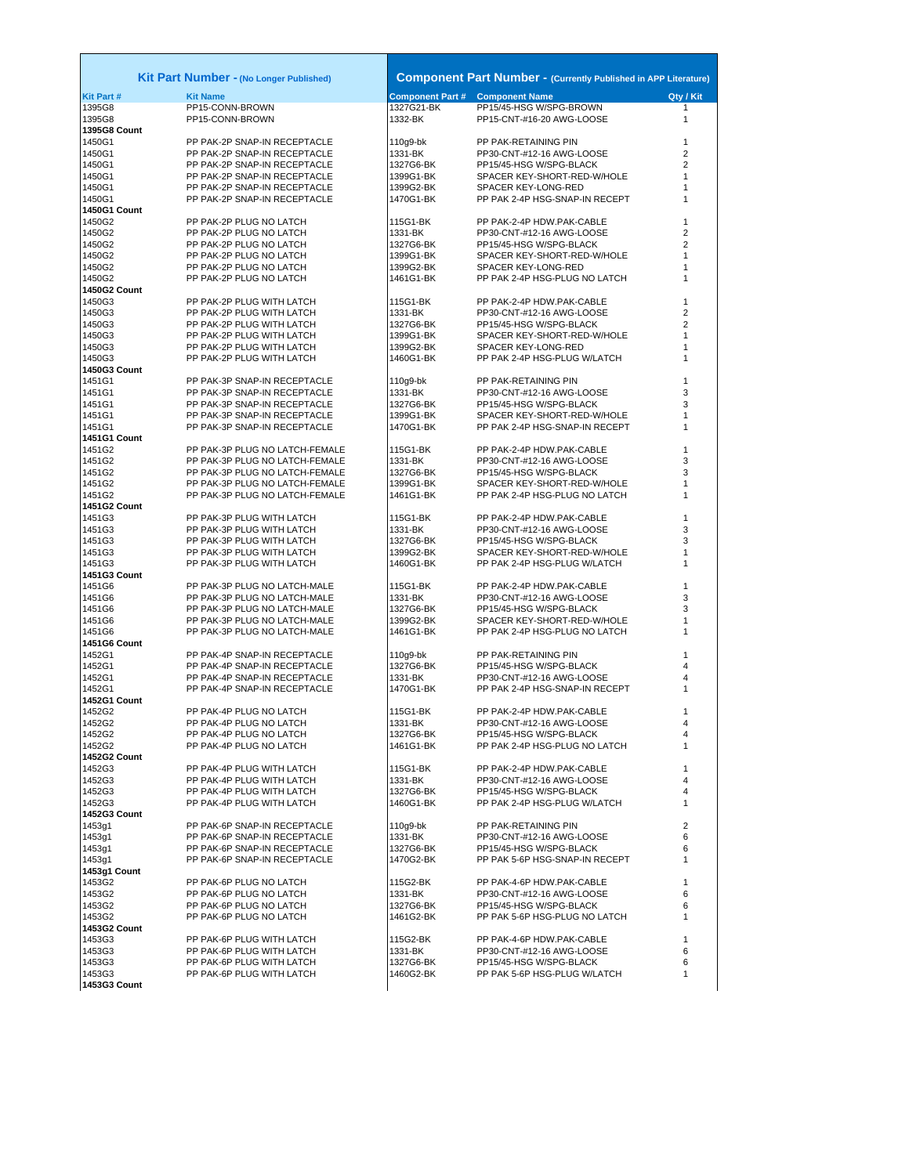| <b>Kit Part#</b><br><b>Kit Name</b><br><b>Component Part #</b><br>Qty / Kit<br><b>Component Name</b><br>1327G21-BK<br>$\mathbf{1}$<br>1395G8<br>PP15-CONN-BROWN<br>PP15/45-HSG W/SPG-BROWN<br>1395G8<br>PP15-CONN-BROWN<br>1332-BK<br>PP15-CNT-#16-20 AWG-LOOSE<br>1<br>1395G8 Count<br>PP PAK-2P SNAP-IN RECEPTACLE<br>110g9-bk<br>1450G1<br>PP PAK-RETAINING PIN<br>1<br>1450G1<br>PP PAK-2P SNAP-IN RECEPTACLE<br>1331-BK<br>PP30-CNT-#12-16 AWG-LOOSE<br>2<br>1450G1<br>PP PAK-2P SNAP-IN RECEPTACLE<br>1327G6-BK<br>PP15/45-HSG W/SPG-BLACK<br>2<br>1450G1<br>PP PAK-2P SNAP-IN RECEPTACLE<br>1399G1-BK<br>SPACER KEY-SHORT-RED-W/HOLE<br>1<br>1450G1<br>PP PAK-2P SNAP-IN RECEPTACLE<br>1399G2-BK<br>SPACER KEY-LONG-RED<br>PP PAK-2P SNAP-IN RECEPTACLE<br>1450G1<br>1470G1-BK<br>PP PAK 2-4P HSG-SNAP-IN RECEPT<br>1<br>1450G1 Count<br>PP PAK-2-4P HDW.PAK-CABLE<br>1450G2<br>PP PAK-2P PLUG NO LATCH<br>115G1-BK<br>1<br>$\overline{2}$<br>1450G2<br>PP PAK-2P PLUG NO LATCH<br>1331-BK<br>PP30-CNT-#12-16 AWG-LOOSE<br>1450G2<br>2<br>PP PAK-2P PLUG NO LATCH<br>1327G6-BK<br>PP15/45-HSG W/SPG-BLACK<br>1450G2<br>PP PAK-2P PLUG NO LATCH<br>1399G1-BK<br>SPACER KEY-SHORT-RED-W/HOLE<br>1<br>1450G2<br>PP PAK-2P PLUG NO LATCH<br>1399G2-BK<br>SPACER KEY-LONG-RED<br>1450G2<br>PP PAK-2P PLUG NO LATCH<br>1461G1-BK<br>PP PAK 2-4P HSG-PLUG NO LATCH<br>1<br><b>1450G2 Count</b><br>PP PAK-2-4P HDW.PAK-CABLE<br>1450G3<br>PP PAK-2P PLUG WITH LATCH<br>115G1-BK<br>1<br>$\overline{2}$<br>1450G3<br>PP PAK-2P PLUG WITH LATCH<br>1331-BK<br>PP30-CNT-#12-16 AWG-LOOSE<br>1450G3<br>PP PAK-2P PLUG WITH LATCH<br>PP15/45-HSG W/SPG-BLACK<br>2<br>1327G6-BK<br>1450G3<br>1399G1-BK<br>SPACER KEY-SHORT-RED-W/HOLE<br>PP PAK-2P PLUG WITH LATCH<br>1<br>1450G3<br>PP PAK-2P PLUG WITH LATCH<br>1399G2-BK<br>SPACER KEY-LONG-RED<br>1<br>1450G3<br>PP PAK-2P PLUG WITH LATCH<br>1460G1-BK<br>PP PAK 2-4P HSG-PLUG W/LATCH<br>1<br>1450G3 Count<br>1451G1<br>PP PAK-3P SNAP-IN RECEPTACLE<br>110g9-bk<br>PP PAK-RETAINING PIN<br>1<br>1451G1<br>PP PAK-3P SNAP-IN RECEPTACLE<br>1331-BK<br>PP30-CNT-#12-16 AWG-LOOSE<br>3<br>1451G1<br>PP PAK-3P SNAP-IN RECEPTACLE<br>1327G6-BK<br>PP15/45-HSG W/SPG-BLACK<br>3<br>1451G1<br>PP PAK-3P SNAP-IN RECEPTACLE<br>1399G1-BK<br>SPACER KEY-SHORT-RED-W/HOLE<br>PP PAK-3P SNAP-IN RECEPTACLE<br>PP PAK 2-4P HSG-SNAP-IN RECEPT<br>1451G1<br>1470G1-BK<br>1451G1 Count<br>1451G2<br>PP PAK-3P PLUG NO LATCH-FEMALE<br>115G1-BK<br>PP PAK-2-4P HDW.PAK-CABLE<br>1<br>1451G2<br>PP PAK-3P PLUG NO LATCH-FEMALE<br>1331-BK<br>PP30-CNT-#12-16 AWG-LOOSE<br>3<br>1451G2<br>PP PAK-3P PLUG NO LATCH-FEMALE<br>1327G6-BK<br>PP15/45-HSG W/SPG-BLACK<br>3<br>1451G2<br>PP PAK-3P PLUG NO LATCH-FEMALE<br>1399G1-BK<br>SPACER KEY-SHORT-RED-W/HOLE<br>1<br>1451G2<br>PP PAK-3P PLUG NO LATCH-FEMALE<br>1461G1-BK<br>PP PAK 2-4P HSG-PLUG NO LATCH<br>1<br>1451G2 Count<br>1451G3<br>PP PAK-3P PLUG WITH LATCH<br>PP PAK-2-4P HDW.PAK-CABLE<br>115G1-BK<br>1<br>3<br>1451G3<br>PP PAK-3P PLUG WITH LATCH<br>1331-BK<br>PP30-CNT-#12-16 AWG-LOOSE<br>1451G3<br>PP PAK-3P PLUG WITH LATCH<br>1327G6-BK<br>PP15/45-HSG W/SPG-BLACK<br>3<br>1451G3<br>PP PAK-3P PLUG WITH LATCH<br>1399G2-BK<br>SPACER KEY-SHORT-RED-W/HOLE<br>1<br>1451G3<br>PP PAK-3P PLUG WITH LATCH<br>1460G1-BK<br>PP PAK 2-4P HSG-PLUG W/LATCH<br>1<br>1451G3 Count<br>1451G6<br>PP PAK-3P PLUG NO LATCH-MALE<br>115G1-BK<br>PP PAK-2-4P HDW.PAK-CABLE<br>1<br>1451G6<br>PP PAK-3P PLUG NO LATCH-MALE<br>1331-BK<br>PP30-CNT-#12-16 AWG-LOOSE<br>3<br>PP PAK-3P PLUG NO LATCH-MALE<br>PP15/45-HSG W/SPG-BLACK<br>3<br>1451G6<br>1327G6-BK<br>1451G6<br>1399G2-BK<br>PP PAK-3P PLUG NO LATCH-MALE<br>SPACER KEY-SHORT-RED-W/HOLE<br>1451G6<br>PP PAK-3P PLUG NO LATCH-MALE<br>1461G1-BK<br>PP PAK 2-4P HSG-PLUG NO LATCH<br>1<br><b>1451G6 Count</b><br>1452G1<br>PP PAK-4P SNAP-IN RECEPTACLE<br>PP PAK-RETAINING PIN<br>110g9-bk<br>1<br>1452G1<br>PP PAK-4P SNAP-IN RECEPTACLE<br>1327G6-BK<br>PP15/45-HSG W/SPG-BLACK<br>4<br>1452G1<br>PP PAK-4P SNAP-IN RECEPTACLE<br>1331-BK<br>PP30-CNT-#12-16 AWG-LOOSE<br>4<br>1452G1<br>PP PAK-4P SNAP-IN RECEPTACLE<br>1470G1-BK<br>PP PAK 2-4P HSG-SNAP-IN RECEPT<br><b>1452G1 Count</b><br>1452G2<br>PP PAK-4P PLUG NO LATCH<br>PP PAK-2-4P HDW.PAK-CABLE<br>115G1-BK<br>1<br>1452G2<br>PP PAK-4P PLUG NO LATCH<br>1331-BK<br>PP30-CNT-#12-16 AWG-LOOSE<br>4<br>1452G2<br>PP PAK-4P PLUG NO LATCH<br>1327G6-BK<br>PP15/45-HSG W/SPG-BLACK<br>4<br>1452G2<br>1461G1-BK<br>PP PAK-4P PLUG NO LATCH<br>PP PAK 2-4P HSG-PLUG NO LATCH<br>1<br><b>1452G2 Count</b><br>1452G3<br>PP PAK-4P PLUG WITH LATCH<br>115G1-BK<br>PP PAK-2-4P HDW.PAK-CABLE<br>1<br>1452G3<br>1331-BK<br>PP PAK-4P PLUG WITH LATCH<br>PP30-CNT-#12-16 AWG-LOOSE<br>4<br>1452G3<br>PP PAK-4P PLUG WITH LATCH<br>1327G6-BK<br>PP15/45-HSG W/SPG-BLACK<br>4<br>1452G3<br>1460G1-BK<br>PP PAK-4P PLUG WITH LATCH<br>PP PAK 2-4P HSG-PLUG W/LATCH<br>1<br>1452G3 Count<br>1453g1<br>$\overline{2}$<br>PP PAK-6P SNAP-IN RECEPTACLE<br>110g9-bk<br>PP PAK-RETAINING PIN<br>1453g1<br>PP PAK-6P SNAP-IN RECEPTACLE<br>1331-BK<br>PP30-CNT-#12-16 AWG-LOOSE<br>6<br>1453g1<br>PP PAK-6P SNAP-IN RECEPTACLE<br>1327G6-BK<br>PP15/45-HSG W/SPG-BLACK<br>6<br>1453g1<br>PP PAK-6P SNAP-IN RECEPTACLE<br>1470G2-BK<br>PP PAK 5-6P HSG-SNAP-IN RECEPT<br>1<br>1453g1 Count<br>1453G2<br>PP PAK-6P PLUG NO LATCH<br>115G2-BK<br>PP PAK-4-6P HDW.PAK-CABLE<br>1<br>1453G2<br>PP PAK-6P PLUG NO LATCH<br>1331-BK<br>PP30-CNT-#12-16 AWG-LOOSE<br>6<br>1453G2<br>PP PAK-6P PLUG NO LATCH<br>1327G6-BK<br>PP15/45-HSG W/SPG-BLACK<br>6<br>1453G2<br>PP PAK-6P PLUG NO LATCH<br>1461G2-BK<br>PP PAK 5-6P HSG-PLUG NO LATCH<br>1<br>1453G2 Count<br>1453G3<br>PP PAK-6P PLUG WITH LATCH<br>115G2-BK<br>PP PAK-4-6P HDW.PAK-CABLE<br>1<br>1453G3<br>PP PAK-6P PLUG WITH LATCH<br>1331-BK<br>PP30-CNT-#12-16 AWG-LOOSE<br>6<br>1453G3<br>PP PAK-6P PLUG WITH LATCH<br>1327G6-BK<br>PP15/45-HSG W/SPG-BLACK<br>6<br>1453G3<br>PP PAK-6P PLUG WITH LATCH<br>1460G2-BK<br>PP PAK 5-6P HSG-PLUG W/LATCH<br>1 |              | Kit Part Number - (No Longer Published) | <b>Component Part Number - (Currently Published in APP Literature)</b> |  |
|---------------------------------------------------------------------------------------------------------------------------------------------------------------------------------------------------------------------------------------------------------------------------------------------------------------------------------------------------------------------------------------------------------------------------------------------------------------------------------------------------------------------------------------------------------------------------------------------------------------------------------------------------------------------------------------------------------------------------------------------------------------------------------------------------------------------------------------------------------------------------------------------------------------------------------------------------------------------------------------------------------------------------------------------------------------------------------------------------------------------------------------------------------------------------------------------------------------------------------------------------------------------------------------------------------------------------------------------------------------------------------------------------------------------------------------------------------------------------------------------------------------------------------------------------------------------------------------------------------------------------------------------------------------------------------------------------------------------------------------------------------------------------------------------------------------------------------------------------------------------------------------------------------------------------------------------------------------------------------------------------------------------------------------------------------------------------------------------------------------------------------------------------------------------------------------------------------------------------------------------------------------------------------------------------------------------------------------------------------------------------------------------------------------------------------------------------------------------------------------------------------------------------------------------------------------------------------------------------------------------------------------------------------------------------------------------------------------------------------------------------------------------------------------------------------------------------------------------------------------------------------------------------------------------------------------------------------------------------------------------------------------------------------------------------------------------------------------------------------------------------------------------------------------------------------------------------------------------------------------------------------------------------------------------------------------------------------------------------------------------------------------------------------------------------------------------------------------------------------------------------------------------------------------------------------------------------------------------------------------------------------------------------------------------------------------------------------------------------------------------------------------------------------------------------------------------------------------------------------------------------------------------------------------------------------------------------------------------------------------------------------------------------------------------------------------------------------------------------------------------------------------------------------------------------------------------------------------------------------------------------------------------------------------------------------------------------------------------------------------------------------------------------------------------------------------------------------------------------------------------------------------------------------------------------------------------------------------------------------------------------------------------------------------------------------------------------------------------------------------------------------------------------------------------------------------------------------------------------------------------------------------------------------------------------------------------------------------------------------------------------------------------------------------------------------------------------------------------------------------------------------------------------------------------------------------------------------------------------------------------------------------------------------------------------------------------------------------------------------------------------------------------------------------------------------------------------------------------------------------------------------------------------------------------------------------------------------------------------------------------------------------------------------------------------------------------------------------------------------------------------------------------------------------------------------------------------------------------------------------------------------------------------------------------------------------------------------------------------------------------------------------------------------------------------------------------------------------------------------------|--------------|-----------------------------------------|------------------------------------------------------------------------|--|
|                                                                                                                                                                                                                                                                                                                                                                                                                                                                                                                                                                                                                                                                                                                                                                                                                                                                                                                                                                                                                                                                                                                                                                                                                                                                                                                                                                                                                                                                                                                                                                                                                                                                                                                                                                                                                                                                                                                                                                                                                                                                                                                                                                                                                                                                                                                                                                                                                                                                                                                                                                                                                                                                                                                                                                                                                                                                                                                                                                                                                                                                                                                                                                                                                                                                                                                                                                                                                                                                                                                                                                                                                                                                                                                                                                                                                                                                                                                                                                                                                                                                                                                                                                                                                                                                                                                                                                                                                                                                                                                                                                                                                                                                                                                                                                                                                                                                                                                                                                                                                                                                                                                                                                                                                                                                                                                                                                                                                                                                                                                                                                                                                                                                                                                                                                                                                                                                                                                                                                                                                                                                                                               |              |                                         |                                                                        |  |
|                                                                                                                                                                                                                                                                                                                                                                                                                                                                                                                                                                                                                                                                                                                                                                                                                                                                                                                                                                                                                                                                                                                                                                                                                                                                                                                                                                                                                                                                                                                                                                                                                                                                                                                                                                                                                                                                                                                                                                                                                                                                                                                                                                                                                                                                                                                                                                                                                                                                                                                                                                                                                                                                                                                                                                                                                                                                                                                                                                                                                                                                                                                                                                                                                                                                                                                                                                                                                                                                                                                                                                                                                                                                                                                                                                                                                                                                                                                                                                                                                                                                                                                                                                                                                                                                                                                                                                                                                                                                                                                                                                                                                                                                                                                                                                                                                                                                                                                                                                                                                                                                                                                                                                                                                                                                                                                                                                                                                                                                                                                                                                                                                                                                                                                                                                                                                                                                                                                                                                                                                                                                                                               |              |                                         |                                                                        |  |
|                                                                                                                                                                                                                                                                                                                                                                                                                                                                                                                                                                                                                                                                                                                                                                                                                                                                                                                                                                                                                                                                                                                                                                                                                                                                                                                                                                                                                                                                                                                                                                                                                                                                                                                                                                                                                                                                                                                                                                                                                                                                                                                                                                                                                                                                                                                                                                                                                                                                                                                                                                                                                                                                                                                                                                                                                                                                                                                                                                                                                                                                                                                                                                                                                                                                                                                                                                                                                                                                                                                                                                                                                                                                                                                                                                                                                                                                                                                                                                                                                                                                                                                                                                                                                                                                                                                                                                                                                                                                                                                                                                                                                                                                                                                                                                                                                                                                                                                                                                                                                                                                                                                                                                                                                                                                                                                                                                                                                                                                                                                                                                                                                                                                                                                                                                                                                                                                                                                                                                                                                                                                                                               |              |                                         |                                                                        |  |
|                                                                                                                                                                                                                                                                                                                                                                                                                                                                                                                                                                                                                                                                                                                                                                                                                                                                                                                                                                                                                                                                                                                                                                                                                                                                                                                                                                                                                                                                                                                                                                                                                                                                                                                                                                                                                                                                                                                                                                                                                                                                                                                                                                                                                                                                                                                                                                                                                                                                                                                                                                                                                                                                                                                                                                                                                                                                                                                                                                                                                                                                                                                                                                                                                                                                                                                                                                                                                                                                                                                                                                                                                                                                                                                                                                                                                                                                                                                                                                                                                                                                                                                                                                                                                                                                                                                                                                                                                                                                                                                                                                                                                                                                                                                                                                                                                                                                                                                                                                                                                                                                                                                                                                                                                                                                                                                                                                                                                                                                                                                                                                                                                                                                                                                                                                                                                                                                                                                                                                                                                                                                                                               |              |                                         |                                                                        |  |
|                                                                                                                                                                                                                                                                                                                                                                                                                                                                                                                                                                                                                                                                                                                                                                                                                                                                                                                                                                                                                                                                                                                                                                                                                                                                                                                                                                                                                                                                                                                                                                                                                                                                                                                                                                                                                                                                                                                                                                                                                                                                                                                                                                                                                                                                                                                                                                                                                                                                                                                                                                                                                                                                                                                                                                                                                                                                                                                                                                                                                                                                                                                                                                                                                                                                                                                                                                                                                                                                                                                                                                                                                                                                                                                                                                                                                                                                                                                                                                                                                                                                                                                                                                                                                                                                                                                                                                                                                                                                                                                                                                                                                                                                                                                                                                                                                                                                                                                                                                                                                                                                                                                                                                                                                                                                                                                                                                                                                                                                                                                                                                                                                                                                                                                                                                                                                                                                                                                                                                                                                                                                                                               |              |                                         |                                                                        |  |
|                                                                                                                                                                                                                                                                                                                                                                                                                                                                                                                                                                                                                                                                                                                                                                                                                                                                                                                                                                                                                                                                                                                                                                                                                                                                                                                                                                                                                                                                                                                                                                                                                                                                                                                                                                                                                                                                                                                                                                                                                                                                                                                                                                                                                                                                                                                                                                                                                                                                                                                                                                                                                                                                                                                                                                                                                                                                                                                                                                                                                                                                                                                                                                                                                                                                                                                                                                                                                                                                                                                                                                                                                                                                                                                                                                                                                                                                                                                                                                                                                                                                                                                                                                                                                                                                                                                                                                                                                                                                                                                                                                                                                                                                                                                                                                                                                                                                                                                                                                                                                                                                                                                                                                                                                                                                                                                                                                                                                                                                                                                                                                                                                                                                                                                                                                                                                                                                                                                                                                                                                                                                                                               |              |                                         |                                                                        |  |
|                                                                                                                                                                                                                                                                                                                                                                                                                                                                                                                                                                                                                                                                                                                                                                                                                                                                                                                                                                                                                                                                                                                                                                                                                                                                                                                                                                                                                                                                                                                                                                                                                                                                                                                                                                                                                                                                                                                                                                                                                                                                                                                                                                                                                                                                                                                                                                                                                                                                                                                                                                                                                                                                                                                                                                                                                                                                                                                                                                                                                                                                                                                                                                                                                                                                                                                                                                                                                                                                                                                                                                                                                                                                                                                                                                                                                                                                                                                                                                                                                                                                                                                                                                                                                                                                                                                                                                                                                                                                                                                                                                                                                                                                                                                                                                                                                                                                                                                                                                                                                                                                                                                                                                                                                                                                                                                                                                                                                                                                                                                                                                                                                                                                                                                                                                                                                                                                                                                                                                                                                                                                                                               |              |                                         |                                                                        |  |
|                                                                                                                                                                                                                                                                                                                                                                                                                                                                                                                                                                                                                                                                                                                                                                                                                                                                                                                                                                                                                                                                                                                                                                                                                                                                                                                                                                                                                                                                                                                                                                                                                                                                                                                                                                                                                                                                                                                                                                                                                                                                                                                                                                                                                                                                                                                                                                                                                                                                                                                                                                                                                                                                                                                                                                                                                                                                                                                                                                                                                                                                                                                                                                                                                                                                                                                                                                                                                                                                                                                                                                                                                                                                                                                                                                                                                                                                                                                                                                                                                                                                                                                                                                                                                                                                                                                                                                                                                                                                                                                                                                                                                                                                                                                                                                                                                                                                                                                                                                                                                                                                                                                                                                                                                                                                                                                                                                                                                                                                                                                                                                                                                                                                                                                                                                                                                                                                                                                                                                                                                                                                                                               |              |                                         |                                                                        |  |
|                                                                                                                                                                                                                                                                                                                                                                                                                                                                                                                                                                                                                                                                                                                                                                                                                                                                                                                                                                                                                                                                                                                                                                                                                                                                                                                                                                                                                                                                                                                                                                                                                                                                                                                                                                                                                                                                                                                                                                                                                                                                                                                                                                                                                                                                                                                                                                                                                                                                                                                                                                                                                                                                                                                                                                                                                                                                                                                                                                                                                                                                                                                                                                                                                                                                                                                                                                                                                                                                                                                                                                                                                                                                                                                                                                                                                                                                                                                                                                                                                                                                                                                                                                                                                                                                                                                                                                                                                                                                                                                                                                                                                                                                                                                                                                                                                                                                                                                                                                                                                                                                                                                                                                                                                                                                                                                                                                                                                                                                                                                                                                                                                                                                                                                                                                                                                                                                                                                                                                                                                                                                                                               |              |                                         |                                                                        |  |
|                                                                                                                                                                                                                                                                                                                                                                                                                                                                                                                                                                                                                                                                                                                                                                                                                                                                                                                                                                                                                                                                                                                                                                                                                                                                                                                                                                                                                                                                                                                                                                                                                                                                                                                                                                                                                                                                                                                                                                                                                                                                                                                                                                                                                                                                                                                                                                                                                                                                                                                                                                                                                                                                                                                                                                                                                                                                                                                                                                                                                                                                                                                                                                                                                                                                                                                                                                                                                                                                                                                                                                                                                                                                                                                                                                                                                                                                                                                                                                                                                                                                                                                                                                                                                                                                                                                                                                                                                                                                                                                                                                                                                                                                                                                                                                                                                                                                                                                                                                                                                                                                                                                                                                                                                                                                                                                                                                                                                                                                                                                                                                                                                                                                                                                                                                                                                                                                                                                                                                                                                                                                                                               |              |                                         |                                                                        |  |
|                                                                                                                                                                                                                                                                                                                                                                                                                                                                                                                                                                                                                                                                                                                                                                                                                                                                                                                                                                                                                                                                                                                                                                                                                                                                                                                                                                                                                                                                                                                                                                                                                                                                                                                                                                                                                                                                                                                                                                                                                                                                                                                                                                                                                                                                                                                                                                                                                                                                                                                                                                                                                                                                                                                                                                                                                                                                                                                                                                                                                                                                                                                                                                                                                                                                                                                                                                                                                                                                                                                                                                                                                                                                                                                                                                                                                                                                                                                                                                                                                                                                                                                                                                                                                                                                                                                                                                                                                                                                                                                                                                                                                                                                                                                                                                                                                                                                                                                                                                                                                                                                                                                                                                                                                                                                                                                                                                                                                                                                                                                                                                                                                                                                                                                                                                                                                                                                                                                                                                                                                                                                                                               |              |                                         |                                                                        |  |
|                                                                                                                                                                                                                                                                                                                                                                                                                                                                                                                                                                                                                                                                                                                                                                                                                                                                                                                                                                                                                                                                                                                                                                                                                                                                                                                                                                                                                                                                                                                                                                                                                                                                                                                                                                                                                                                                                                                                                                                                                                                                                                                                                                                                                                                                                                                                                                                                                                                                                                                                                                                                                                                                                                                                                                                                                                                                                                                                                                                                                                                                                                                                                                                                                                                                                                                                                                                                                                                                                                                                                                                                                                                                                                                                                                                                                                                                                                                                                                                                                                                                                                                                                                                                                                                                                                                                                                                                                                                                                                                                                                                                                                                                                                                                                                                                                                                                                                                                                                                                                                                                                                                                                                                                                                                                                                                                                                                                                                                                                                                                                                                                                                                                                                                                                                                                                                                                                                                                                                                                                                                                                                               |              |                                         |                                                                        |  |
|                                                                                                                                                                                                                                                                                                                                                                                                                                                                                                                                                                                                                                                                                                                                                                                                                                                                                                                                                                                                                                                                                                                                                                                                                                                                                                                                                                                                                                                                                                                                                                                                                                                                                                                                                                                                                                                                                                                                                                                                                                                                                                                                                                                                                                                                                                                                                                                                                                                                                                                                                                                                                                                                                                                                                                                                                                                                                                                                                                                                                                                                                                                                                                                                                                                                                                                                                                                                                                                                                                                                                                                                                                                                                                                                                                                                                                                                                                                                                                                                                                                                                                                                                                                                                                                                                                                                                                                                                                                                                                                                                                                                                                                                                                                                                                                                                                                                                                                                                                                                                                                                                                                                                                                                                                                                                                                                                                                                                                                                                                                                                                                                                                                                                                                                                                                                                                                                                                                                                                                                                                                                                                               |              |                                         |                                                                        |  |
|                                                                                                                                                                                                                                                                                                                                                                                                                                                                                                                                                                                                                                                                                                                                                                                                                                                                                                                                                                                                                                                                                                                                                                                                                                                                                                                                                                                                                                                                                                                                                                                                                                                                                                                                                                                                                                                                                                                                                                                                                                                                                                                                                                                                                                                                                                                                                                                                                                                                                                                                                                                                                                                                                                                                                                                                                                                                                                                                                                                                                                                                                                                                                                                                                                                                                                                                                                                                                                                                                                                                                                                                                                                                                                                                                                                                                                                                                                                                                                                                                                                                                                                                                                                                                                                                                                                                                                                                                                                                                                                                                                                                                                                                                                                                                                                                                                                                                                                                                                                                                                                                                                                                                                                                                                                                                                                                                                                                                                                                                                                                                                                                                                                                                                                                                                                                                                                                                                                                                                                                                                                                                                               |              |                                         |                                                                        |  |
|                                                                                                                                                                                                                                                                                                                                                                                                                                                                                                                                                                                                                                                                                                                                                                                                                                                                                                                                                                                                                                                                                                                                                                                                                                                                                                                                                                                                                                                                                                                                                                                                                                                                                                                                                                                                                                                                                                                                                                                                                                                                                                                                                                                                                                                                                                                                                                                                                                                                                                                                                                                                                                                                                                                                                                                                                                                                                                                                                                                                                                                                                                                                                                                                                                                                                                                                                                                                                                                                                                                                                                                                                                                                                                                                                                                                                                                                                                                                                                                                                                                                                                                                                                                                                                                                                                                                                                                                                                                                                                                                                                                                                                                                                                                                                                                                                                                                                                                                                                                                                                                                                                                                                                                                                                                                                                                                                                                                                                                                                                                                                                                                                                                                                                                                                                                                                                                                                                                                                                                                                                                                                                               |              |                                         |                                                                        |  |
|                                                                                                                                                                                                                                                                                                                                                                                                                                                                                                                                                                                                                                                                                                                                                                                                                                                                                                                                                                                                                                                                                                                                                                                                                                                                                                                                                                                                                                                                                                                                                                                                                                                                                                                                                                                                                                                                                                                                                                                                                                                                                                                                                                                                                                                                                                                                                                                                                                                                                                                                                                                                                                                                                                                                                                                                                                                                                                                                                                                                                                                                                                                                                                                                                                                                                                                                                                                                                                                                                                                                                                                                                                                                                                                                                                                                                                                                                                                                                                                                                                                                                                                                                                                                                                                                                                                                                                                                                                                                                                                                                                                                                                                                                                                                                                                                                                                                                                                                                                                                                                                                                                                                                                                                                                                                                                                                                                                                                                                                                                                                                                                                                                                                                                                                                                                                                                                                                                                                                                                                                                                                                                               |              |                                         |                                                                        |  |
|                                                                                                                                                                                                                                                                                                                                                                                                                                                                                                                                                                                                                                                                                                                                                                                                                                                                                                                                                                                                                                                                                                                                                                                                                                                                                                                                                                                                                                                                                                                                                                                                                                                                                                                                                                                                                                                                                                                                                                                                                                                                                                                                                                                                                                                                                                                                                                                                                                                                                                                                                                                                                                                                                                                                                                                                                                                                                                                                                                                                                                                                                                                                                                                                                                                                                                                                                                                                                                                                                                                                                                                                                                                                                                                                                                                                                                                                                                                                                                                                                                                                                                                                                                                                                                                                                                                                                                                                                                                                                                                                                                                                                                                                                                                                                                                                                                                                                                                                                                                                                                                                                                                                                                                                                                                                                                                                                                                                                                                                                                                                                                                                                                                                                                                                                                                                                                                                                                                                                                                                                                                                                                               |              |                                         |                                                                        |  |
|                                                                                                                                                                                                                                                                                                                                                                                                                                                                                                                                                                                                                                                                                                                                                                                                                                                                                                                                                                                                                                                                                                                                                                                                                                                                                                                                                                                                                                                                                                                                                                                                                                                                                                                                                                                                                                                                                                                                                                                                                                                                                                                                                                                                                                                                                                                                                                                                                                                                                                                                                                                                                                                                                                                                                                                                                                                                                                                                                                                                                                                                                                                                                                                                                                                                                                                                                                                                                                                                                                                                                                                                                                                                                                                                                                                                                                                                                                                                                                                                                                                                                                                                                                                                                                                                                                                                                                                                                                                                                                                                                                                                                                                                                                                                                                                                                                                                                                                                                                                                                                                                                                                                                                                                                                                                                                                                                                                                                                                                                                                                                                                                                                                                                                                                                                                                                                                                                                                                                                                                                                                                                                               |              |                                         |                                                                        |  |
|                                                                                                                                                                                                                                                                                                                                                                                                                                                                                                                                                                                                                                                                                                                                                                                                                                                                                                                                                                                                                                                                                                                                                                                                                                                                                                                                                                                                                                                                                                                                                                                                                                                                                                                                                                                                                                                                                                                                                                                                                                                                                                                                                                                                                                                                                                                                                                                                                                                                                                                                                                                                                                                                                                                                                                                                                                                                                                                                                                                                                                                                                                                                                                                                                                                                                                                                                                                                                                                                                                                                                                                                                                                                                                                                                                                                                                                                                                                                                                                                                                                                                                                                                                                                                                                                                                                                                                                                                                                                                                                                                                                                                                                                                                                                                                                                                                                                                                                                                                                                                                                                                                                                                                                                                                                                                                                                                                                                                                                                                                                                                                                                                                                                                                                                                                                                                                                                                                                                                                                                                                                                                                               |              |                                         |                                                                        |  |
|                                                                                                                                                                                                                                                                                                                                                                                                                                                                                                                                                                                                                                                                                                                                                                                                                                                                                                                                                                                                                                                                                                                                                                                                                                                                                                                                                                                                                                                                                                                                                                                                                                                                                                                                                                                                                                                                                                                                                                                                                                                                                                                                                                                                                                                                                                                                                                                                                                                                                                                                                                                                                                                                                                                                                                                                                                                                                                                                                                                                                                                                                                                                                                                                                                                                                                                                                                                                                                                                                                                                                                                                                                                                                                                                                                                                                                                                                                                                                                                                                                                                                                                                                                                                                                                                                                                                                                                                                                                                                                                                                                                                                                                                                                                                                                                                                                                                                                                                                                                                                                                                                                                                                                                                                                                                                                                                                                                                                                                                                                                                                                                                                                                                                                                                                                                                                                                                                                                                                                                                                                                                                                               |              |                                         |                                                                        |  |
|                                                                                                                                                                                                                                                                                                                                                                                                                                                                                                                                                                                                                                                                                                                                                                                                                                                                                                                                                                                                                                                                                                                                                                                                                                                                                                                                                                                                                                                                                                                                                                                                                                                                                                                                                                                                                                                                                                                                                                                                                                                                                                                                                                                                                                                                                                                                                                                                                                                                                                                                                                                                                                                                                                                                                                                                                                                                                                                                                                                                                                                                                                                                                                                                                                                                                                                                                                                                                                                                                                                                                                                                                                                                                                                                                                                                                                                                                                                                                                                                                                                                                                                                                                                                                                                                                                                                                                                                                                                                                                                                                                                                                                                                                                                                                                                                                                                                                                                                                                                                                                                                                                                                                                                                                                                                                                                                                                                                                                                                                                                                                                                                                                                                                                                                                                                                                                                                                                                                                                                                                                                                                                               |              |                                         |                                                                        |  |
|                                                                                                                                                                                                                                                                                                                                                                                                                                                                                                                                                                                                                                                                                                                                                                                                                                                                                                                                                                                                                                                                                                                                                                                                                                                                                                                                                                                                                                                                                                                                                                                                                                                                                                                                                                                                                                                                                                                                                                                                                                                                                                                                                                                                                                                                                                                                                                                                                                                                                                                                                                                                                                                                                                                                                                                                                                                                                                                                                                                                                                                                                                                                                                                                                                                                                                                                                                                                                                                                                                                                                                                                                                                                                                                                                                                                                                                                                                                                                                                                                                                                                                                                                                                                                                                                                                                                                                                                                                                                                                                                                                                                                                                                                                                                                                                                                                                                                                                                                                                                                                                                                                                                                                                                                                                                                                                                                                                                                                                                                                                                                                                                                                                                                                                                                                                                                                                                                                                                                                                                                                                                                                               |              |                                         |                                                                        |  |
|                                                                                                                                                                                                                                                                                                                                                                                                                                                                                                                                                                                                                                                                                                                                                                                                                                                                                                                                                                                                                                                                                                                                                                                                                                                                                                                                                                                                                                                                                                                                                                                                                                                                                                                                                                                                                                                                                                                                                                                                                                                                                                                                                                                                                                                                                                                                                                                                                                                                                                                                                                                                                                                                                                                                                                                                                                                                                                                                                                                                                                                                                                                                                                                                                                                                                                                                                                                                                                                                                                                                                                                                                                                                                                                                                                                                                                                                                                                                                                                                                                                                                                                                                                                                                                                                                                                                                                                                                                                                                                                                                                                                                                                                                                                                                                                                                                                                                                                                                                                                                                                                                                                                                                                                                                                                                                                                                                                                                                                                                                                                                                                                                                                                                                                                                                                                                                                                                                                                                                                                                                                                                                               |              |                                         |                                                                        |  |
|                                                                                                                                                                                                                                                                                                                                                                                                                                                                                                                                                                                                                                                                                                                                                                                                                                                                                                                                                                                                                                                                                                                                                                                                                                                                                                                                                                                                                                                                                                                                                                                                                                                                                                                                                                                                                                                                                                                                                                                                                                                                                                                                                                                                                                                                                                                                                                                                                                                                                                                                                                                                                                                                                                                                                                                                                                                                                                                                                                                                                                                                                                                                                                                                                                                                                                                                                                                                                                                                                                                                                                                                                                                                                                                                                                                                                                                                                                                                                                                                                                                                                                                                                                                                                                                                                                                                                                                                                                                                                                                                                                                                                                                                                                                                                                                                                                                                                                                                                                                                                                                                                                                                                                                                                                                                                                                                                                                                                                                                                                                                                                                                                                                                                                                                                                                                                                                                                                                                                                                                                                                                                                               |              |                                         |                                                                        |  |
|                                                                                                                                                                                                                                                                                                                                                                                                                                                                                                                                                                                                                                                                                                                                                                                                                                                                                                                                                                                                                                                                                                                                                                                                                                                                                                                                                                                                                                                                                                                                                                                                                                                                                                                                                                                                                                                                                                                                                                                                                                                                                                                                                                                                                                                                                                                                                                                                                                                                                                                                                                                                                                                                                                                                                                                                                                                                                                                                                                                                                                                                                                                                                                                                                                                                                                                                                                                                                                                                                                                                                                                                                                                                                                                                                                                                                                                                                                                                                                                                                                                                                                                                                                                                                                                                                                                                                                                                                                                                                                                                                                                                                                                                                                                                                                                                                                                                                                                                                                                                                                                                                                                                                                                                                                                                                                                                                                                                                                                                                                                                                                                                                                                                                                                                                                                                                                                                                                                                                                                                                                                                                                               |              |                                         |                                                                        |  |
|                                                                                                                                                                                                                                                                                                                                                                                                                                                                                                                                                                                                                                                                                                                                                                                                                                                                                                                                                                                                                                                                                                                                                                                                                                                                                                                                                                                                                                                                                                                                                                                                                                                                                                                                                                                                                                                                                                                                                                                                                                                                                                                                                                                                                                                                                                                                                                                                                                                                                                                                                                                                                                                                                                                                                                                                                                                                                                                                                                                                                                                                                                                                                                                                                                                                                                                                                                                                                                                                                                                                                                                                                                                                                                                                                                                                                                                                                                                                                                                                                                                                                                                                                                                                                                                                                                                                                                                                                                                                                                                                                                                                                                                                                                                                                                                                                                                                                                                                                                                                                                                                                                                                                                                                                                                                                                                                                                                                                                                                                                                                                                                                                                                                                                                                                                                                                                                                                                                                                                                                                                                                                                               |              |                                         |                                                                        |  |
|                                                                                                                                                                                                                                                                                                                                                                                                                                                                                                                                                                                                                                                                                                                                                                                                                                                                                                                                                                                                                                                                                                                                                                                                                                                                                                                                                                                                                                                                                                                                                                                                                                                                                                                                                                                                                                                                                                                                                                                                                                                                                                                                                                                                                                                                                                                                                                                                                                                                                                                                                                                                                                                                                                                                                                                                                                                                                                                                                                                                                                                                                                                                                                                                                                                                                                                                                                                                                                                                                                                                                                                                                                                                                                                                                                                                                                                                                                                                                                                                                                                                                                                                                                                                                                                                                                                                                                                                                                                                                                                                                                                                                                                                                                                                                                                                                                                                                                                                                                                                                                                                                                                                                                                                                                                                                                                                                                                                                                                                                                                                                                                                                                                                                                                                                                                                                                                                                                                                                                                                                                                                                                               |              |                                         |                                                                        |  |
|                                                                                                                                                                                                                                                                                                                                                                                                                                                                                                                                                                                                                                                                                                                                                                                                                                                                                                                                                                                                                                                                                                                                                                                                                                                                                                                                                                                                                                                                                                                                                                                                                                                                                                                                                                                                                                                                                                                                                                                                                                                                                                                                                                                                                                                                                                                                                                                                                                                                                                                                                                                                                                                                                                                                                                                                                                                                                                                                                                                                                                                                                                                                                                                                                                                                                                                                                                                                                                                                                                                                                                                                                                                                                                                                                                                                                                                                                                                                                                                                                                                                                                                                                                                                                                                                                                                                                                                                                                                                                                                                                                                                                                                                                                                                                                                                                                                                                                                                                                                                                                                                                                                                                                                                                                                                                                                                                                                                                                                                                                                                                                                                                                                                                                                                                                                                                                                                                                                                                                                                                                                                                                               |              |                                         |                                                                        |  |
|                                                                                                                                                                                                                                                                                                                                                                                                                                                                                                                                                                                                                                                                                                                                                                                                                                                                                                                                                                                                                                                                                                                                                                                                                                                                                                                                                                                                                                                                                                                                                                                                                                                                                                                                                                                                                                                                                                                                                                                                                                                                                                                                                                                                                                                                                                                                                                                                                                                                                                                                                                                                                                                                                                                                                                                                                                                                                                                                                                                                                                                                                                                                                                                                                                                                                                                                                                                                                                                                                                                                                                                                                                                                                                                                                                                                                                                                                                                                                                                                                                                                                                                                                                                                                                                                                                                                                                                                                                                                                                                                                                                                                                                                                                                                                                                                                                                                                                                                                                                                                                                                                                                                                                                                                                                                                                                                                                                                                                                                                                                                                                                                                                                                                                                                                                                                                                                                                                                                                                                                                                                                                                               |              |                                         |                                                                        |  |
|                                                                                                                                                                                                                                                                                                                                                                                                                                                                                                                                                                                                                                                                                                                                                                                                                                                                                                                                                                                                                                                                                                                                                                                                                                                                                                                                                                                                                                                                                                                                                                                                                                                                                                                                                                                                                                                                                                                                                                                                                                                                                                                                                                                                                                                                                                                                                                                                                                                                                                                                                                                                                                                                                                                                                                                                                                                                                                                                                                                                                                                                                                                                                                                                                                                                                                                                                                                                                                                                                                                                                                                                                                                                                                                                                                                                                                                                                                                                                                                                                                                                                                                                                                                                                                                                                                                                                                                                                                                                                                                                                                                                                                                                                                                                                                                                                                                                                                                                                                                                                                                                                                                                                                                                                                                                                                                                                                                                                                                                                                                                                                                                                                                                                                                                                                                                                                                                                                                                                                                                                                                                                                               |              |                                         |                                                                        |  |
|                                                                                                                                                                                                                                                                                                                                                                                                                                                                                                                                                                                                                                                                                                                                                                                                                                                                                                                                                                                                                                                                                                                                                                                                                                                                                                                                                                                                                                                                                                                                                                                                                                                                                                                                                                                                                                                                                                                                                                                                                                                                                                                                                                                                                                                                                                                                                                                                                                                                                                                                                                                                                                                                                                                                                                                                                                                                                                                                                                                                                                                                                                                                                                                                                                                                                                                                                                                                                                                                                                                                                                                                                                                                                                                                                                                                                                                                                                                                                                                                                                                                                                                                                                                                                                                                                                                                                                                                                                                                                                                                                                                                                                                                                                                                                                                                                                                                                                                                                                                                                                                                                                                                                                                                                                                                                                                                                                                                                                                                                                                                                                                                                                                                                                                                                                                                                                                                                                                                                                                                                                                                                                               |              |                                         |                                                                        |  |
|                                                                                                                                                                                                                                                                                                                                                                                                                                                                                                                                                                                                                                                                                                                                                                                                                                                                                                                                                                                                                                                                                                                                                                                                                                                                                                                                                                                                                                                                                                                                                                                                                                                                                                                                                                                                                                                                                                                                                                                                                                                                                                                                                                                                                                                                                                                                                                                                                                                                                                                                                                                                                                                                                                                                                                                                                                                                                                                                                                                                                                                                                                                                                                                                                                                                                                                                                                                                                                                                                                                                                                                                                                                                                                                                                                                                                                                                                                                                                                                                                                                                                                                                                                                                                                                                                                                                                                                                                                                                                                                                                                                                                                                                                                                                                                                                                                                                                                                                                                                                                                                                                                                                                                                                                                                                                                                                                                                                                                                                                                                                                                                                                                                                                                                                                                                                                                                                                                                                                                                                                                                                                                               |              |                                         |                                                                        |  |
|                                                                                                                                                                                                                                                                                                                                                                                                                                                                                                                                                                                                                                                                                                                                                                                                                                                                                                                                                                                                                                                                                                                                                                                                                                                                                                                                                                                                                                                                                                                                                                                                                                                                                                                                                                                                                                                                                                                                                                                                                                                                                                                                                                                                                                                                                                                                                                                                                                                                                                                                                                                                                                                                                                                                                                                                                                                                                                                                                                                                                                                                                                                                                                                                                                                                                                                                                                                                                                                                                                                                                                                                                                                                                                                                                                                                                                                                                                                                                                                                                                                                                                                                                                                                                                                                                                                                                                                                                                                                                                                                                                                                                                                                                                                                                                                                                                                                                                                                                                                                                                                                                                                                                                                                                                                                                                                                                                                                                                                                                                                                                                                                                                                                                                                                                                                                                                                                                                                                                                                                                                                                                                               |              |                                         |                                                                        |  |
|                                                                                                                                                                                                                                                                                                                                                                                                                                                                                                                                                                                                                                                                                                                                                                                                                                                                                                                                                                                                                                                                                                                                                                                                                                                                                                                                                                                                                                                                                                                                                                                                                                                                                                                                                                                                                                                                                                                                                                                                                                                                                                                                                                                                                                                                                                                                                                                                                                                                                                                                                                                                                                                                                                                                                                                                                                                                                                                                                                                                                                                                                                                                                                                                                                                                                                                                                                                                                                                                                                                                                                                                                                                                                                                                                                                                                                                                                                                                                                                                                                                                                                                                                                                                                                                                                                                                                                                                                                                                                                                                                                                                                                                                                                                                                                                                                                                                                                                                                                                                                                                                                                                                                                                                                                                                                                                                                                                                                                                                                                                                                                                                                                                                                                                                                                                                                                                                                                                                                                                                                                                                                                               |              |                                         |                                                                        |  |
|                                                                                                                                                                                                                                                                                                                                                                                                                                                                                                                                                                                                                                                                                                                                                                                                                                                                                                                                                                                                                                                                                                                                                                                                                                                                                                                                                                                                                                                                                                                                                                                                                                                                                                                                                                                                                                                                                                                                                                                                                                                                                                                                                                                                                                                                                                                                                                                                                                                                                                                                                                                                                                                                                                                                                                                                                                                                                                                                                                                                                                                                                                                                                                                                                                                                                                                                                                                                                                                                                                                                                                                                                                                                                                                                                                                                                                                                                                                                                                                                                                                                                                                                                                                                                                                                                                                                                                                                                                                                                                                                                                                                                                                                                                                                                                                                                                                                                                                                                                                                                                                                                                                                                                                                                                                                                                                                                                                                                                                                                                                                                                                                                                                                                                                                                                                                                                                                                                                                                                                                                                                                                                               |              |                                         |                                                                        |  |
|                                                                                                                                                                                                                                                                                                                                                                                                                                                                                                                                                                                                                                                                                                                                                                                                                                                                                                                                                                                                                                                                                                                                                                                                                                                                                                                                                                                                                                                                                                                                                                                                                                                                                                                                                                                                                                                                                                                                                                                                                                                                                                                                                                                                                                                                                                                                                                                                                                                                                                                                                                                                                                                                                                                                                                                                                                                                                                                                                                                                                                                                                                                                                                                                                                                                                                                                                                                                                                                                                                                                                                                                                                                                                                                                                                                                                                                                                                                                                                                                                                                                                                                                                                                                                                                                                                                                                                                                                                                                                                                                                                                                                                                                                                                                                                                                                                                                                                                                                                                                                                                                                                                                                                                                                                                                                                                                                                                                                                                                                                                                                                                                                                                                                                                                                                                                                                                                                                                                                                                                                                                                                                               |              |                                         |                                                                        |  |
|                                                                                                                                                                                                                                                                                                                                                                                                                                                                                                                                                                                                                                                                                                                                                                                                                                                                                                                                                                                                                                                                                                                                                                                                                                                                                                                                                                                                                                                                                                                                                                                                                                                                                                                                                                                                                                                                                                                                                                                                                                                                                                                                                                                                                                                                                                                                                                                                                                                                                                                                                                                                                                                                                                                                                                                                                                                                                                                                                                                                                                                                                                                                                                                                                                                                                                                                                                                                                                                                                                                                                                                                                                                                                                                                                                                                                                                                                                                                                                                                                                                                                                                                                                                                                                                                                                                                                                                                                                                                                                                                                                                                                                                                                                                                                                                                                                                                                                                                                                                                                                                                                                                                                                                                                                                                                                                                                                                                                                                                                                                                                                                                                                                                                                                                                                                                                                                                                                                                                                                                                                                                                                               |              |                                         |                                                                        |  |
|                                                                                                                                                                                                                                                                                                                                                                                                                                                                                                                                                                                                                                                                                                                                                                                                                                                                                                                                                                                                                                                                                                                                                                                                                                                                                                                                                                                                                                                                                                                                                                                                                                                                                                                                                                                                                                                                                                                                                                                                                                                                                                                                                                                                                                                                                                                                                                                                                                                                                                                                                                                                                                                                                                                                                                                                                                                                                                                                                                                                                                                                                                                                                                                                                                                                                                                                                                                                                                                                                                                                                                                                                                                                                                                                                                                                                                                                                                                                                                                                                                                                                                                                                                                                                                                                                                                                                                                                                                                                                                                                                                                                                                                                                                                                                                                                                                                                                                                                                                                                                                                                                                                                                                                                                                                                                                                                                                                                                                                                                                                                                                                                                                                                                                                                                                                                                                                                                                                                                                                                                                                                                                               |              |                                         |                                                                        |  |
|                                                                                                                                                                                                                                                                                                                                                                                                                                                                                                                                                                                                                                                                                                                                                                                                                                                                                                                                                                                                                                                                                                                                                                                                                                                                                                                                                                                                                                                                                                                                                                                                                                                                                                                                                                                                                                                                                                                                                                                                                                                                                                                                                                                                                                                                                                                                                                                                                                                                                                                                                                                                                                                                                                                                                                                                                                                                                                                                                                                                                                                                                                                                                                                                                                                                                                                                                                                                                                                                                                                                                                                                                                                                                                                                                                                                                                                                                                                                                                                                                                                                                                                                                                                                                                                                                                                                                                                                                                                                                                                                                                                                                                                                                                                                                                                                                                                                                                                                                                                                                                                                                                                                                                                                                                                                                                                                                                                                                                                                                                                                                                                                                                                                                                                                                                                                                                                                                                                                                                                                                                                                                                               |              |                                         |                                                                        |  |
|                                                                                                                                                                                                                                                                                                                                                                                                                                                                                                                                                                                                                                                                                                                                                                                                                                                                                                                                                                                                                                                                                                                                                                                                                                                                                                                                                                                                                                                                                                                                                                                                                                                                                                                                                                                                                                                                                                                                                                                                                                                                                                                                                                                                                                                                                                                                                                                                                                                                                                                                                                                                                                                                                                                                                                                                                                                                                                                                                                                                                                                                                                                                                                                                                                                                                                                                                                                                                                                                                                                                                                                                                                                                                                                                                                                                                                                                                                                                                                                                                                                                                                                                                                                                                                                                                                                                                                                                                                                                                                                                                                                                                                                                                                                                                                                                                                                                                                                                                                                                                                                                                                                                                                                                                                                                                                                                                                                                                                                                                                                                                                                                                                                                                                                                                                                                                                                                                                                                                                                                                                                                                                               |              |                                         |                                                                        |  |
|                                                                                                                                                                                                                                                                                                                                                                                                                                                                                                                                                                                                                                                                                                                                                                                                                                                                                                                                                                                                                                                                                                                                                                                                                                                                                                                                                                                                                                                                                                                                                                                                                                                                                                                                                                                                                                                                                                                                                                                                                                                                                                                                                                                                                                                                                                                                                                                                                                                                                                                                                                                                                                                                                                                                                                                                                                                                                                                                                                                                                                                                                                                                                                                                                                                                                                                                                                                                                                                                                                                                                                                                                                                                                                                                                                                                                                                                                                                                                                                                                                                                                                                                                                                                                                                                                                                                                                                                                                                                                                                                                                                                                                                                                                                                                                                                                                                                                                                                                                                                                                                                                                                                                                                                                                                                                                                                                                                                                                                                                                                                                                                                                                                                                                                                                                                                                                                                                                                                                                                                                                                                                                               |              |                                         |                                                                        |  |
|                                                                                                                                                                                                                                                                                                                                                                                                                                                                                                                                                                                                                                                                                                                                                                                                                                                                                                                                                                                                                                                                                                                                                                                                                                                                                                                                                                                                                                                                                                                                                                                                                                                                                                                                                                                                                                                                                                                                                                                                                                                                                                                                                                                                                                                                                                                                                                                                                                                                                                                                                                                                                                                                                                                                                                                                                                                                                                                                                                                                                                                                                                                                                                                                                                                                                                                                                                                                                                                                                                                                                                                                                                                                                                                                                                                                                                                                                                                                                                                                                                                                                                                                                                                                                                                                                                                                                                                                                                                                                                                                                                                                                                                                                                                                                                                                                                                                                                                                                                                                                                                                                                                                                                                                                                                                                                                                                                                                                                                                                                                                                                                                                                                                                                                                                                                                                                                                                                                                                                                                                                                                                                               |              |                                         |                                                                        |  |
|                                                                                                                                                                                                                                                                                                                                                                                                                                                                                                                                                                                                                                                                                                                                                                                                                                                                                                                                                                                                                                                                                                                                                                                                                                                                                                                                                                                                                                                                                                                                                                                                                                                                                                                                                                                                                                                                                                                                                                                                                                                                                                                                                                                                                                                                                                                                                                                                                                                                                                                                                                                                                                                                                                                                                                                                                                                                                                                                                                                                                                                                                                                                                                                                                                                                                                                                                                                                                                                                                                                                                                                                                                                                                                                                                                                                                                                                                                                                                                                                                                                                                                                                                                                                                                                                                                                                                                                                                                                                                                                                                                                                                                                                                                                                                                                                                                                                                                                                                                                                                                                                                                                                                                                                                                                                                                                                                                                                                                                                                                                                                                                                                                                                                                                                                                                                                                                                                                                                                                                                                                                                                                               |              |                                         |                                                                        |  |
|                                                                                                                                                                                                                                                                                                                                                                                                                                                                                                                                                                                                                                                                                                                                                                                                                                                                                                                                                                                                                                                                                                                                                                                                                                                                                                                                                                                                                                                                                                                                                                                                                                                                                                                                                                                                                                                                                                                                                                                                                                                                                                                                                                                                                                                                                                                                                                                                                                                                                                                                                                                                                                                                                                                                                                                                                                                                                                                                                                                                                                                                                                                                                                                                                                                                                                                                                                                                                                                                                                                                                                                                                                                                                                                                                                                                                                                                                                                                                                                                                                                                                                                                                                                                                                                                                                                                                                                                                                                                                                                                                                                                                                                                                                                                                                                                                                                                                                                                                                                                                                                                                                                                                                                                                                                                                                                                                                                                                                                                                                                                                                                                                                                                                                                                                                                                                                                                                                                                                                                                                                                                                                               |              |                                         |                                                                        |  |
|                                                                                                                                                                                                                                                                                                                                                                                                                                                                                                                                                                                                                                                                                                                                                                                                                                                                                                                                                                                                                                                                                                                                                                                                                                                                                                                                                                                                                                                                                                                                                                                                                                                                                                                                                                                                                                                                                                                                                                                                                                                                                                                                                                                                                                                                                                                                                                                                                                                                                                                                                                                                                                                                                                                                                                                                                                                                                                                                                                                                                                                                                                                                                                                                                                                                                                                                                                                                                                                                                                                                                                                                                                                                                                                                                                                                                                                                                                                                                                                                                                                                                                                                                                                                                                                                                                                                                                                                                                                                                                                                                                                                                                                                                                                                                                                                                                                                                                                                                                                                                                                                                                                                                                                                                                                                                                                                                                                                                                                                                                                                                                                                                                                                                                                                                                                                                                                                                                                                                                                                                                                                                                               |              |                                         |                                                                        |  |
|                                                                                                                                                                                                                                                                                                                                                                                                                                                                                                                                                                                                                                                                                                                                                                                                                                                                                                                                                                                                                                                                                                                                                                                                                                                                                                                                                                                                                                                                                                                                                                                                                                                                                                                                                                                                                                                                                                                                                                                                                                                                                                                                                                                                                                                                                                                                                                                                                                                                                                                                                                                                                                                                                                                                                                                                                                                                                                                                                                                                                                                                                                                                                                                                                                                                                                                                                                                                                                                                                                                                                                                                                                                                                                                                                                                                                                                                                                                                                                                                                                                                                                                                                                                                                                                                                                                                                                                                                                                                                                                                                                                                                                                                                                                                                                                                                                                                                                                                                                                                                                                                                                                                                                                                                                                                                                                                                                                                                                                                                                                                                                                                                                                                                                                                                                                                                                                                                                                                                                                                                                                                                                               |              |                                         |                                                                        |  |
|                                                                                                                                                                                                                                                                                                                                                                                                                                                                                                                                                                                                                                                                                                                                                                                                                                                                                                                                                                                                                                                                                                                                                                                                                                                                                                                                                                                                                                                                                                                                                                                                                                                                                                                                                                                                                                                                                                                                                                                                                                                                                                                                                                                                                                                                                                                                                                                                                                                                                                                                                                                                                                                                                                                                                                                                                                                                                                                                                                                                                                                                                                                                                                                                                                                                                                                                                                                                                                                                                                                                                                                                                                                                                                                                                                                                                                                                                                                                                                                                                                                                                                                                                                                                                                                                                                                                                                                                                                                                                                                                                                                                                                                                                                                                                                                                                                                                                                                                                                                                                                                                                                                                                                                                                                                                                                                                                                                                                                                                                                                                                                                                                                                                                                                                                                                                                                                                                                                                                                                                                                                                                                               |              |                                         |                                                                        |  |
|                                                                                                                                                                                                                                                                                                                                                                                                                                                                                                                                                                                                                                                                                                                                                                                                                                                                                                                                                                                                                                                                                                                                                                                                                                                                                                                                                                                                                                                                                                                                                                                                                                                                                                                                                                                                                                                                                                                                                                                                                                                                                                                                                                                                                                                                                                                                                                                                                                                                                                                                                                                                                                                                                                                                                                                                                                                                                                                                                                                                                                                                                                                                                                                                                                                                                                                                                                                                                                                                                                                                                                                                                                                                                                                                                                                                                                                                                                                                                                                                                                                                                                                                                                                                                                                                                                                                                                                                                                                                                                                                                                                                                                                                                                                                                                                                                                                                                                                                                                                                                                                                                                                                                                                                                                                                                                                                                                                                                                                                                                                                                                                                                                                                                                                                                                                                                                                                                                                                                                                                                                                                                                               |              |                                         |                                                                        |  |
|                                                                                                                                                                                                                                                                                                                                                                                                                                                                                                                                                                                                                                                                                                                                                                                                                                                                                                                                                                                                                                                                                                                                                                                                                                                                                                                                                                                                                                                                                                                                                                                                                                                                                                                                                                                                                                                                                                                                                                                                                                                                                                                                                                                                                                                                                                                                                                                                                                                                                                                                                                                                                                                                                                                                                                                                                                                                                                                                                                                                                                                                                                                                                                                                                                                                                                                                                                                                                                                                                                                                                                                                                                                                                                                                                                                                                                                                                                                                                                                                                                                                                                                                                                                                                                                                                                                                                                                                                                                                                                                                                                                                                                                                                                                                                                                                                                                                                                                                                                                                                                                                                                                                                                                                                                                                                                                                                                                                                                                                                                                                                                                                                                                                                                                                                                                                                                                                                                                                                                                                                                                                                                               |              |                                         |                                                                        |  |
|                                                                                                                                                                                                                                                                                                                                                                                                                                                                                                                                                                                                                                                                                                                                                                                                                                                                                                                                                                                                                                                                                                                                                                                                                                                                                                                                                                                                                                                                                                                                                                                                                                                                                                                                                                                                                                                                                                                                                                                                                                                                                                                                                                                                                                                                                                                                                                                                                                                                                                                                                                                                                                                                                                                                                                                                                                                                                                                                                                                                                                                                                                                                                                                                                                                                                                                                                                                                                                                                                                                                                                                                                                                                                                                                                                                                                                                                                                                                                                                                                                                                                                                                                                                                                                                                                                                                                                                                                                                                                                                                                                                                                                                                                                                                                                                                                                                                                                                                                                                                                                                                                                                                                                                                                                                                                                                                                                                                                                                                                                                                                                                                                                                                                                                                                                                                                                                                                                                                                                                                                                                                                                               |              |                                         |                                                                        |  |
|                                                                                                                                                                                                                                                                                                                                                                                                                                                                                                                                                                                                                                                                                                                                                                                                                                                                                                                                                                                                                                                                                                                                                                                                                                                                                                                                                                                                                                                                                                                                                                                                                                                                                                                                                                                                                                                                                                                                                                                                                                                                                                                                                                                                                                                                                                                                                                                                                                                                                                                                                                                                                                                                                                                                                                                                                                                                                                                                                                                                                                                                                                                                                                                                                                                                                                                                                                                                                                                                                                                                                                                                                                                                                                                                                                                                                                                                                                                                                                                                                                                                                                                                                                                                                                                                                                                                                                                                                                                                                                                                                                                                                                                                                                                                                                                                                                                                                                                                                                                                                                                                                                                                                                                                                                                                                                                                                                                                                                                                                                                                                                                                                                                                                                                                                                                                                                                                                                                                                                                                                                                                                                               |              |                                         |                                                                        |  |
|                                                                                                                                                                                                                                                                                                                                                                                                                                                                                                                                                                                                                                                                                                                                                                                                                                                                                                                                                                                                                                                                                                                                                                                                                                                                                                                                                                                                                                                                                                                                                                                                                                                                                                                                                                                                                                                                                                                                                                                                                                                                                                                                                                                                                                                                                                                                                                                                                                                                                                                                                                                                                                                                                                                                                                                                                                                                                                                                                                                                                                                                                                                                                                                                                                                                                                                                                                                                                                                                                                                                                                                                                                                                                                                                                                                                                                                                                                                                                                                                                                                                                                                                                                                                                                                                                                                                                                                                                                                                                                                                                                                                                                                                                                                                                                                                                                                                                                                                                                                                                                                                                                                                                                                                                                                                                                                                                                                                                                                                                                                                                                                                                                                                                                                                                                                                                                                                                                                                                                                                                                                                                                               |              |                                         |                                                                        |  |
|                                                                                                                                                                                                                                                                                                                                                                                                                                                                                                                                                                                                                                                                                                                                                                                                                                                                                                                                                                                                                                                                                                                                                                                                                                                                                                                                                                                                                                                                                                                                                                                                                                                                                                                                                                                                                                                                                                                                                                                                                                                                                                                                                                                                                                                                                                                                                                                                                                                                                                                                                                                                                                                                                                                                                                                                                                                                                                                                                                                                                                                                                                                                                                                                                                                                                                                                                                                                                                                                                                                                                                                                                                                                                                                                                                                                                                                                                                                                                                                                                                                                                                                                                                                                                                                                                                                                                                                                                                                                                                                                                                                                                                                                                                                                                                                                                                                                                                                                                                                                                                                                                                                                                                                                                                                                                                                                                                                                                                                                                                                                                                                                                                                                                                                                                                                                                                                                                                                                                                                                                                                                                                               |              |                                         |                                                                        |  |
|                                                                                                                                                                                                                                                                                                                                                                                                                                                                                                                                                                                                                                                                                                                                                                                                                                                                                                                                                                                                                                                                                                                                                                                                                                                                                                                                                                                                                                                                                                                                                                                                                                                                                                                                                                                                                                                                                                                                                                                                                                                                                                                                                                                                                                                                                                                                                                                                                                                                                                                                                                                                                                                                                                                                                                                                                                                                                                                                                                                                                                                                                                                                                                                                                                                                                                                                                                                                                                                                                                                                                                                                                                                                                                                                                                                                                                                                                                                                                                                                                                                                                                                                                                                                                                                                                                                                                                                                                                                                                                                                                                                                                                                                                                                                                                                                                                                                                                                                                                                                                                                                                                                                                                                                                                                                                                                                                                                                                                                                                                                                                                                                                                                                                                                                                                                                                                                                                                                                                                                                                                                                                                               |              |                                         |                                                                        |  |
|                                                                                                                                                                                                                                                                                                                                                                                                                                                                                                                                                                                                                                                                                                                                                                                                                                                                                                                                                                                                                                                                                                                                                                                                                                                                                                                                                                                                                                                                                                                                                                                                                                                                                                                                                                                                                                                                                                                                                                                                                                                                                                                                                                                                                                                                                                                                                                                                                                                                                                                                                                                                                                                                                                                                                                                                                                                                                                                                                                                                                                                                                                                                                                                                                                                                                                                                                                                                                                                                                                                                                                                                                                                                                                                                                                                                                                                                                                                                                                                                                                                                                                                                                                                                                                                                                                                                                                                                                                                                                                                                                                                                                                                                                                                                                                                                                                                                                                                                                                                                                                                                                                                                                                                                                                                                                                                                                                                                                                                                                                                                                                                                                                                                                                                                                                                                                                                                                                                                                                                                                                                                                                               |              |                                         |                                                                        |  |
|                                                                                                                                                                                                                                                                                                                                                                                                                                                                                                                                                                                                                                                                                                                                                                                                                                                                                                                                                                                                                                                                                                                                                                                                                                                                                                                                                                                                                                                                                                                                                                                                                                                                                                                                                                                                                                                                                                                                                                                                                                                                                                                                                                                                                                                                                                                                                                                                                                                                                                                                                                                                                                                                                                                                                                                                                                                                                                                                                                                                                                                                                                                                                                                                                                                                                                                                                                                                                                                                                                                                                                                                                                                                                                                                                                                                                                                                                                                                                                                                                                                                                                                                                                                                                                                                                                                                                                                                                                                                                                                                                                                                                                                                                                                                                                                                                                                                                                                                                                                                                                                                                                                                                                                                                                                                                                                                                                                                                                                                                                                                                                                                                                                                                                                                                                                                                                                                                                                                                                                                                                                                                                               |              |                                         |                                                                        |  |
|                                                                                                                                                                                                                                                                                                                                                                                                                                                                                                                                                                                                                                                                                                                                                                                                                                                                                                                                                                                                                                                                                                                                                                                                                                                                                                                                                                                                                                                                                                                                                                                                                                                                                                                                                                                                                                                                                                                                                                                                                                                                                                                                                                                                                                                                                                                                                                                                                                                                                                                                                                                                                                                                                                                                                                                                                                                                                                                                                                                                                                                                                                                                                                                                                                                                                                                                                                                                                                                                                                                                                                                                                                                                                                                                                                                                                                                                                                                                                                                                                                                                                                                                                                                                                                                                                                                                                                                                                                                                                                                                                                                                                                                                                                                                                                                                                                                                                                                                                                                                                                                                                                                                                                                                                                                                                                                                                                                                                                                                                                                                                                                                                                                                                                                                                                                                                                                                                                                                                                                                                                                                                                               |              |                                         |                                                                        |  |
|                                                                                                                                                                                                                                                                                                                                                                                                                                                                                                                                                                                                                                                                                                                                                                                                                                                                                                                                                                                                                                                                                                                                                                                                                                                                                                                                                                                                                                                                                                                                                                                                                                                                                                                                                                                                                                                                                                                                                                                                                                                                                                                                                                                                                                                                                                                                                                                                                                                                                                                                                                                                                                                                                                                                                                                                                                                                                                                                                                                                                                                                                                                                                                                                                                                                                                                                                                                                                                                                                                                                                                                                                                                                                                                                                                                                                                                                                                                                                                                                                                                                                                                                                                                                                                                                                                                                                                                                                                                                                                                                                                                                                                                                                                                                                                                                                                                                                                                                                                                                                                                                                                                                                                                                                                                                                                                                                                                                                                                                                                                                                                                                                                                                                                                                                                                                                                                                                                                                                                                                                                                                                                               |              |                                         |                                                                        |  |
|                                                                                                                                                                                                                                                                                                                                                                                                                                                                                                                                                                                                                                                                                                                                                                                                                                                                                                                                                                                                                                                                                                                                                                                                                                                                                                                                                                                                                                                                                                                                                                                                                                                                                                                                                                                                                                                                                                                                                                                                                                                                                                                                                                                                                                                                                                                                                                                                                                                                                                                                                                                                                                                                                                                                                                                                                                                                                                                                                                                                                                                                                                                                                                                                                                                                                                                                                                                                                                                                                                                                                                                                                                                                                                                                                                                                                                                                                                                                                                                                                                                                                                                                                                                                                                                                                                                                                                                                                                                                                                                                                                                                                                                                                                                                                                                                                                                                                                                                                                                                                                                                                                                                                                                                                                                                                                                                                                                                                                                                                                                                                                                                                                                                                                                                                                                                                                                                                                                                                                                                                                                                                                               |              |                                         |                                                                        |  |
|                                                                                                                                                                                                                                                                                                                                                                                                                                                                                                                                                                                                                                                                                                                                                                                                                                                                                                                                                                                                                                                                                                                                                                                                                                                                                                                                                                                                                                                                                                                                                                                                                                                                                                                                                                                                                                                                                                                                                                                                                                                                                                                                                                                                                                                                                                                                                                                                                                                                                                                                                                                                                                                                                                                                                                                                                                                                                                                                                                                                                                                                                                                                                                                                                                                                                                                                                                                                                                                                                                                                                                                                                                                                                                                                                                                                                                                                                                                                                                                                                                                                                                                                                                                                                                                                                                                                                                                                                                                                                                                                                                                                                                                                                                                                                                                                                                                                                                                                                                                                                                                                                                                                                                                                                                                                                                                                                                                                                                                                                                                                                                                                                                                                                                                                                                                                                                                                                                                                                                                                                                                                                                               |              |                                         |                                                                        |  |
|                                                                                                                                                                                                                                                                                                                                                                                                                                                                                                                                                                                                                                                                                                                                                                                                                                                                                                                                                                                                                                                                                                                                                                                                                                                                                                                                                                                                                                                                                                                                                                                                                                                                                                                                                                                                                                                                                                                                                                                                                                                                                                                                                                                                                                                                                                                                                                                                                                                                                                                                                                                                                                                                                                                                                                                                                                                                                                                                                                                                                                                                                                                                                                                                                                                                                                                                                                                                                                                                                                                                                                                                                                                                                                                                                                                                                                                                                                                                                                                                                                                                                                                                                                                                                                                                                                                                                                                                                                                                                                                                                                                                                                                                                                                                                                                                                                                                                                                                                                                                                                                                                                                                                                                                                                                                                                                                                                                                                                                                                                                                                                                                                                                                                                                                                                                                                                                                                                                                                                                                                                                                                                               |              |                                         |                                                                        |  |
|                                                                                                                                                                                                                                                                                                                                                                                                                                                                                                                                                                                                                                                                                                                                                                                                                                                                                                                                                                                                                                                                                                                                                                                                                                                                                                                                                                                                                                                                                                                                                                                                                                                                                                                                                                                                                                                                                                                                                                                                                                                                                                                                                                                                                                                                                                                                                                                                                                                                                                                                                                                                                                                                                                                                                                                                                                                                                                                                                                                                                                                                                                                                                                                                                                                                                                                                                                                                                                                                                                                                                                                                                                                                                                                                                                                                                                                                                                                                                                                                                                                                                                                                                                                                                                                                                                                                                                                                                                                                                                                                                                                                                                                                                                                                                                                                                                                                                                                                                                                                                                                                                                                                                                                                                                                                                                                                                                                                                                                                                                                                                                                                                                                                                                                                                                                                                                                                                                                                                                                                                                                                                                               |              |                                         |                                                                        |  |
|                                                                                                                                                                                                                                                                                                                                                                                                                                                                                                                                                                                                                                                                                                                                                                                                                                                                                                                                                                                                                                                                                                                                                                                                                                                                                                                                                                                                                                                                                                                                                                                                                                                                                                                                                                                                                                                                                                                                                                                                                                                                                                                                                                                                                                                                                                                                                                                                                                                                                                                                                                                                                                                                                                                                                                                                                                                                                                                                                                                                                                                                                                                                                                                                                                                                                                                                                                                                                                                                                                                                                                                                                                                                                                                                                                                                                                                                                                                                                                                                                                                                                                                                                                                                                                                                                                                                                                                                                                                                                                                                                                                                                                                                                                                                                                                                                                                                                                                                                                                                                                                                                                                                                                                                                                                                                                                                                                                                                                                                                                                                                                                                                                                                                                                                                                                                                                                                                                                                                                                                                                                                                                               |              |                                         |                                                                        |  |
|                                                                                                                                                                                                                                                                                                                                                                                                                                                                                                                                                                                                                                                                                                                                                                                                                                                                                                                                                                                                                                                                                                                                                                                                                                                                                                                                                                                                                                                                                                                                                                                                                                                                                                                                                                                                                                                                                                                                                                                                                                                                                                                                                                                                                                                                                                                                                                                                                                                                                                                                                                                                                                                                                                                                                                                                                                                                                                                                                                                                                                                                                                                                                                                                                                                                                                                                                                                                                                                                                                                                                                                                                                                                                                                                                                                                                                                                                                                                                                                                                                                                                                                                                                                                                                                                                                                                                                                                                                                                                                                                                                                                                                                                                                                                                                                                                                                                                                                                                                                                                                                                                                                                                                                                                                                                                                                                                                                                                                                                                                                                                                                                                                                                                                                                                                                                                                                                                                                                                                                                                                                                                                               |              |                                         |                                                                        |  |
|                                                                                                                                                                                                                                                                                                                                                                                                                                                                                                                                                                                                                                                                                                                                                                                                                                                                                                                                                                                                                                                                                                                                                                                                                                                                                                                                                                                                                                                                                                                                                                                                                                                                                                                                                                                                                                                                                                                                                                                                                                                                                                                                                                                                                                                                                                                                                                                                                                                                                                                                                                                                                                                                                                                                                                                                                                                                                                                                                                                                                                                                                                                                                                                                                                                                                                                                                                                                                                                                                                                                                                                                                                                                                                                                                                                                                                                                                                                                                                                                                                                                                                                                                                                                                                                                                                                                                                                                                                                                                                                                                                                                                                                                                                                                                                                                                                                                                                                                                                                                                                                                                                                                                                                                                                                                                                                                                                                                                                                                                                                                                                                                                                                                                                                                                                                                                                                                                                                                                                                                                                                                                                               |              |                                         |                                                                        |  |
|                                                                                                                                                                                                                                                                                                                                                                                                                                                                                                                                                                                                                                                                                                                                                                                                                                                                                                                                                                                                                                                                                                                                                                                                                                                                                                                                                                                                                                                                                                                                                                                                                                                                                                                                                                                                                                                                                                                                                                                                                                                                                                                                                                                                                                                                                                                                                                                                                                                                                                                                                                                                                                                                                                                                                                                                                                                                                                                                                                                                                                                                                                                                                                                                                                                                                                                                                                                                                                                                                                                                                                                                                                                                                                                                                                                                                                                                                                                                                                                                                                                                                                                                                                                                                                                                                                                                                                                                                                                                                                                                                                                                                                                                                                                                                                                                                                                                                                                                                                                                                                                                                                                                                                                                                                                                                                                                                                                                                                                                                                                                                                                                                                                                                                                                                                                                                                                                                                                                                                                                                                                                                                               |              |                                         |                                                                        |  |
|                                                                                                                                                                                                                                                                                                                                                                                                                                                                                                                                                                                                                                                                                                                                                                                                                                                                                                                                                                                                                                                                                                                                                                                                                                                                                                                                                                                                                                                                                                                                                                                                                                                                                                                                                                                                                                                                                                                                                                                                                                                                                                                                                                                                                                                                                                                                                                                                                                                                                                                                                                                                                                                                                                                                                                                                                                                                                                                                                                                                                                                                                                                                                                                                                                                                                                                                                                                                                                                                                                                                                                                                                                                                                                                                                                                                                                                                                                                                                                                                                                                                                                                                                                                                                                                                                                                                                                                                                                                                                                                                                                                                                                                                                                                                                                                                                                                                                                                                                                                                                                                                                                                                                                                                                                                                                                                                                                                                                                                                                                                                                                                                                                                                                                                                                                                                                                                                                                                                                                                                                                                                                                               |              |                                         |                                                                        |  |
|                                                                                                                                                                                                                                                                                                                                                                                                                                                                                                                                                                                                                                                                                                                                                                                                                                                                                                                                                                                                                                                                                                                                                                                                                                                                                                                                                                                                                                                                                                                                                                                                                                                                                                                                                                                                                                                                                                                                                                                                                                                                                                                                                                                                                                                                                                                                                                                                                                                                                                                                                                                                                                                                                                                                                                                                                                                                                                                                                                                                                                                                                                                                                                                                                                                                                                                                                                                                                                                                                                                                                                                                                                                                                                                                                                                                                                                                                                                                                                                                                                                                                                                                                                                                                                                                                                                                                                                                                                                                                                                                                                                                                                                                                                                                                                                                                                                                                                                                                                                                                                                                                                                                                                                                                                                                                                                                                                                                                                                                                                                                                                                                                                                                                                                                                                                                                                                                                                                                                                                                                                                                                                               |              |                                         |                                                                        |  |
|                                                                                                                                                                                                                                                                                                                                                                                                                                                                                                                                                                                                                                                                                                                                                                                                                                                                                                                                                                                                                                                                                                                                                                                                                                                                                                                                                                                                                                                                                                                                                                                                                                                                                                                                                                                                                                                                                                                                                                                                                                                                                                                                                                                                                                                                                                                                                                                                                                                                                                                                                                                                                                                                                                                                                                                                                                                                                                                                                                                                                                                                                                                                                                                                                                                                                                                                                                                                                                                                                                                                                                                                                                                                                                                                                                                                                                                                                                                                                                                                                                                                                                                                                                                                                                                                                                                                                                                                                                                                                                                                                                                                                                                                                                                                                                                                                                                                                                                                                                                                                                                                                                                                                                                                                                                                                                                                                                                                                                                                                                                                                                                                                                                                                                                                                                                                                                                                                                                                                                                                                                                                                                               |              |                                         |                                                                        |  |
|                                                                                                                                                                                                                                                                                                                                                                                                                                                                                                                                                                                                                                                                                                                                                                                                                                                                                                                                                                                                                                                                                                                                                                                                                                                                                                                                                                                                                                                                                                                                                                                                                                                                                                                                                                                                                                                                                                                                                                                                                                                                                                                                                                                                                                                                                                                                                                                                                                                                                                                                                                                                                                                                                                                                                                                                                                                                                                                                                                                                                                                                                                                                                                                                                                                                                                                                                                                                                                                                                                                                                                                                                                                                                                                                                                                                                                                                                                                                                                                                                                                                                                                                                                                                                                                                                                                                                                                                                                                                                                                                                                                                                                                                                                                                                                                                                                                                                                                                                                                                                                                                                                                                                                                                                                                                                                                                                                                                                                                                                                                                                                                                                                                                                                                                                                                                                                                                                                                                                                                                                                                                                                               |              |                                         |                                                                        |  |
|                                                                                                                                                                                                                                                                                                                                                                                                                                                                                                                                                                                                                                                                                                                                                                                                                                                                                                                                                                                                                                                                                                                                                                                                                                                                                                                                                                                                                                                                                                                                                                                                                                                                                                                                                                                                                                                                                                                                                                                                                                                                                                                                                                                                                                                                                                                                                                                                                                                                                                                                                                                                                                                                                                                                                                                                                                                                                                                                                                                                                                                                                                                                                                                                                                                                                                                                                                                                                                                                                                                                                                                                                                                                                                                                                                                                                                                                                                                                                                                                                                                                                                                                                                                                                                                                                                                                                                                                                                                                                                                                                                                                                                                                                                                                                                                                                                                                                                                                                                                                                                                                                                                                                                                                                                                                                                                                                                                                                                                                                                                                                                                                                                                                                                                                                                                                                                                                                                                                                                                                                                                                                                               |              |                                         |                                                                        |  |
|                                                                                                                                                                                                                                                                                                                                                                                                                                                                                                                                                                                                                                                                                                                                                                                                                                                                                                                                                                                                                                                                                                                                                                                                                                                                                                                                                                                                                                                                                                                                                                                                                                                                                                                                                                                                                                                                                                                                                                                                                                                                                                                                                                                                                                                                                                                                                                                                                                                                                                                                                                                                                                                                                                                                                                                                                                                                                                                                                                                                                                                                                                                                                                                                                                                                                                                                                                                                                                                                                                                                                                                                                                                                                                                                                                                                                                                                                                                                                                                                                                                                                                                                                                                                                                                                                                                                                                                                                                                                                                                                                                                                                                                                                                                                                                                                                                                                                                                                                                                                                                                                                                                                                                                                                                                                                                                                                                                                                                                                                                                                                                                                                                                                                                                                                                                                                                                                                                                                                                                                                                                                                                               |              |                                         |                                                                        |  |
|                                                                                                                                                                                                                                                                                                                                                                                                                                                                                                                                                                                                                                                                                                                                                                                                                                                                                                                                                                                                                                                                                                                                                                                                                                                                                                                                                                                                                                                                                                                                                                                                                                                                                                                                                                                                                                                                                                                                                                                                                                                                                                                                                                                                                                                                                                                                                                                                                                                                                                                                                                                                                                                                                                                                                                                                                                                                                                                                                                                                                                                                                                                                                                                                                                                                                                                                                                                                                                                                                                                                                                                                                                                                                                                                                                                                                                                                                                                                                                                                                                                                                                                                                                                                                                                                                                                                                                                                                                                                                                                                                                                                                                                                                                                                                                                                                                                                                                                                                                                                                                                                                                                                                                                                                                                                                                                                                                                                                                                                                                                                                                                                                                                                                                                                                                                                                                                                                                                                                                                                                                                                                                               |              |                                         |                                                                        |  |
|                                                                                                                                                                                                                                                                                                                                                                                                                                                                                                                                                                                                                                                                                                                                                                                                                                                                                                                                                                                                                                                                                                                                                                                                                                                                                                                                                                                                                                                                                                                                                                                                                                                                                                                                                                                                                                                                                                                                                                                                                                                                                                                                                                                                                                                                                                                                                                                                                                                                                                                                                                                                                                                                                                                                                                                                                                                                                                                                                                                                                                                                                                                                                                                                                                                                                                                                                                                                                                                                                                                                                                                                                                                                                                                                                                                                                                                                                                                                                                                                                                                                                                                                                                                                                                                                                                                                                                                                                                                                                                                                                                                                                                                                                                                                                                                                                                                                                                                                                                                                                                                                                                                                                                                                                                                                                                                                                                                                                                                                                                                                                                                                                                                                                                                                                                                                                                                                                                                                                                                                                                                                                                               | 1453G3 Count |                                         |                                                                        |  |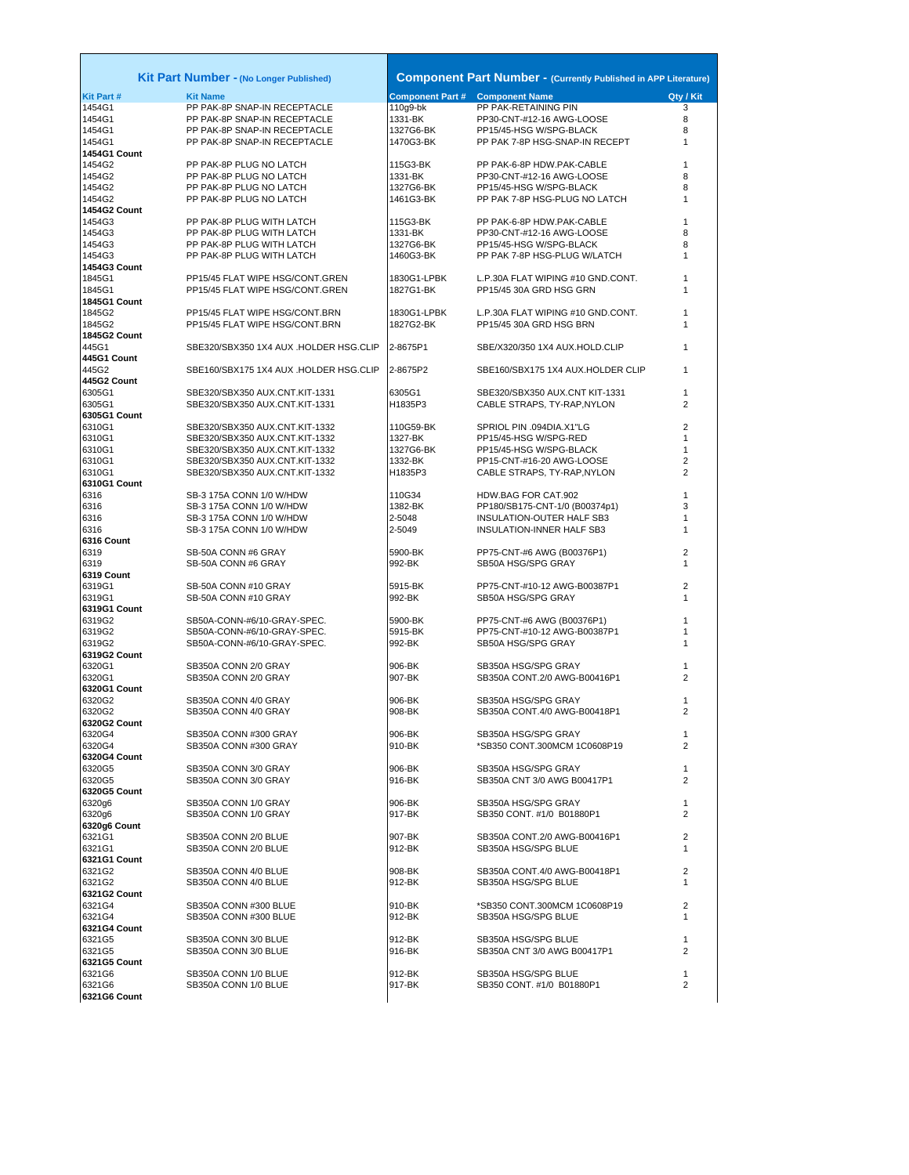|                               | Kit Part Number - (No Longer Published)                |                                     | <b>Component Part Number - (Currently Published in APP Literature)</b> |                     |
|-------------------------------|--------------------------------------------------------|-------------------------------------|------------------------------------------------------------------------|---------------------|
|                               |                                                        |                                     |                                                                        |                     |
| <b>Kit Part#</b><br>1454G1    | <b>Kit Name</b><br>PP PAK-8P SNAP-IN RECEPTACLE        | <b>Component Part #</b><br>110g9-bk | <b>Component Name</b><br>PP PAK-RETAINING PIN                          | Qty / Kit<br>3      |
| 1454G1                        | PP PAK-8P SNAP-IN RECEPTACLE                           | 1331-BK                             | PP30-CNT-#12-16 AWG-LOOSE                                              | 8                   |
| 1454G1                        | PP PAK-8P SNAP-IN RECEPTACLE                           | 1327G6-BK                           | PP15/45-HSG W/SPG-BLACK                                                | 8                   |
| 1454G1                        | PP PAK-8P SNAP-IN RECEPTACLE                           | 1470G3-BK                           | PP PAK 7-8P HSG-SNAP-IN RECEPT                                         | 1                   |
| 1454G1 Count                  |                                                        |                                     |                                                                        |                     |
| 1454G2                        | PP PAK-8P PLUG NO LATCH                                | 115G3-BK                            | PP PAK-6-8P HDW.PAK-CABLE                                              | 1                   |
| 1454G2<br>1454G2              | PP PAK-8P PLUG NO LATCH<br>PP PAK-8P PLUG NO LATCH     | 1331-BK<br>1327G6-BK                | PP30-CNT-#12-16 AWG-LOOSE<br>PP15/45-HSG W/SPG-BLACK                   | 8<br>8              |
| 1454G2                        | PP PAK-8P PLUG NO LATCH                                | 1461G3-BK                           | PP PAK 7-8P HSG-PLUG NO LATCH                                          | 1                   |
| <b>1454G2 Count</b>           |                                                        |                                     |                                                                        |                     |
| 1454G3                        | PP PAK-8P PLUG WITH LATCH                              | 115G3-BK                            | PP PAK-6-8P HDW.PAK-CABLE                                              | 1                   |
| 1454G3                        | PP PAK-8P PLUG WITH LATCH                              | 1331-BK                             | PP30-CNT-#12-16 AWG-LOOSE                                              | 8                   |
| 1454G3<br>1454G3              | PP PAK-8P PLUG WITH LATCH<br>PP PAK-8P PLUG WITH LATCH | 1327G6-BK<br>1460G3-BK              | PP15/45-HSG W/SPG-BLACK<br>PP PAK 7-8P HSG-PLUG W/LATCH                | 8<br>1              |
| 1454G3 Count                  |                                                        |                                     |                                                                        |                     |
| 1845G1                        | PP15/45 FLAT WIPE HSG/CONT.GREN                        | 1830G1-LPBK                         | L.P.30A FLAT WIPING #10 GND.CONT.                                      | 1                   |
| 1845G1                        | PP15/45 FLAT WIPE HSG/CONT.GREN                        | 1827G1-BK                           | PP15/45 30A GRD HSG GRN                                                | 1                   |
| 1845G1 Count                  |                                                        |                                     |                                                                        |                     |
| 1845G2                        | PP15/45 FLAT WIPE HSG/CONT.BRN                         | 1830G1-LPBK                         | L.P.30A FLAT WIPING #10 GND.CONT.                                      | 1                   |
| 1845G2<br><b>1845G2 Count</b> | PP15/45 FLAT WIPE HSG/CONT.BRN                         | 1827G2-BK                           | PP15/45 30A GRD HSG BRN                                                | 1                   |
| 445G1                         | SBE320/SBX350 1X4 AUX .HOLDER HSG.CLIP                 | 2-8675P1                            | SBE/X320/350 1X4 AUX.HOLD.CLIP                                         | 1                   |
| 445G1 Count                   |                                                        |                                     |                                                                        |                     |
| 445G2                         | SBE160/SBX175 1X4 AUX .HOLDER HSG.CLIP                 | 2-8675P2                            | SBE160/SBX175 1X4 AUX.HOLDER CLIP                                      | 1                   |
| 445G2 Count                   |                                                        |                                     |                                                                        |                     |
| 6305G1                        | SBE320/SBX350 AUX.CNT.KIT-1331                         | 6305G1                              | SBE320/SBX350 AUX.CNT KIT-1331                                         | 1                   |
| 6305G1                        | SBE320/SBX350 AUX.CNT.KIT-1331                         | H1835P3                             | CABLE STRAPS, TY-RAP, NYLON                                            | 2                   |
| 6305G1 Count<br>6310G1        | SBE320/SBX350 AUX.CNT.KIT-1332                         | 110G59-BK                           | SPRIOL PIN .094DIA.X1"LG                                               | $\overline{2}$      |
| 6310G1                        | SBE320/SBX350 AUX.CNT.KIT-1332                         | 1327-BK                             | PP15/45-HSG W/SPG-RED                                                  | 1                   |
| 6310G1                        | SBE320/SBX350 AUX.CNT.KIT-1332                         | 1327G6-BK                           | PP15/45-HSG W/SPG-BLACK                                                | 1                   |
| 6310G1                        | SBE320/SBX350 AUX.CNT.KIT-1332                         | 1332-BK                             | PP15-CNT-#16-20 AWG-LOOSE                                              | 2                   |
| 6310G1                        | SBE320/SBX350 AUX.CNT.KIT-1332                         | H1835P3                             | CABLE STRAPS, TY-RAP, NYLON                                            | $\overline{2}$      |
| 6310G1 Count<br>6316          | SB-3 175A CONN 1/0 W/HDW                               | 110G34                              | HDW.BAG FOR CAT.902                                                    | 1                   |
| 6316                          | SB-3 175A CONN 1/0 W/HDW                               | 1382-BK                             | PP180/SB175-CNT-1/0 (B00374p1)                                         | 3                   |
| 6316                          | SB-3 175A CONN 1/0 W/HDW                               | 2-5048                              | INSULATION-OUTER HALF SB3                                              | 1                   |
| 6316                          | SB-3 175A CONN 1/0 W/HDW                               | 2-5049                              | INSULATION-INNER HALF SB3                                              | 1                   |
| 6316 Count                    |                                                        |                                     |                                                                        |                     |
| 6319                          | SB-50A CONN #6 GRAY                                    | 5900-BK                             | PP75-CNT-#6 AWG (B00376P1)                                             | 2                   |
| 6319                          | SB-50A CONN #6 GRAY                                    | 992-BK                              | SB50A HSG/SPG GRAY                                                     | 1                   |
| 6319 Count<br>6319G1          | SB-50A CONN #10 GRAY                                   | 5915-BK                             | PP75-CNT-#10-12 AWG-B00387P1                                           | 2                   |
| 6319G1                        | SB-50A CONN #10 GRAY                                   | 992-BK                              | SB50A HSG/SPG GRAY                                                     | 1                   |
| 6319G1 Count                  |                                                        |                                     |                                                                        |                     |
| 6319G2                        | SB50A-CONN-#6/10-GRAY-SPEC.                            | 5900-BK                             | PP75-CNT-#6 AWG (B00376P1)                                             | 1                   |
| 6319G2                        | SB50A-CONN-#6/10-GRAY-SPEC.                            | 5915-BK                             | PP75-CNT-#10-12 AWG-B00387P1                                           | 1                   |
| 6319G2<br>6319G2 Count        | SB50A-CONN-#6/10-GRAY-SPEC.                            | 992-BK                              | SB50A HSG/SPG GRAY                                                     | 1                   |
| 6320G1                        | SB350A CONN 2/0 GRAY                                   | 906-BK                              | SB350A HSG/SPG GRAY                                                    | 1                   |
| 6320G1                        | SB350A CONN 2/0 GRAY                                   | 907-BK                              | SB350A CONT.2/0 AWG-B00416P1                                           | 2                   |
| 6320G1 Count                  |                                                        |                                     |                                                                        |                     |
| 6320G2                        | SB350A CONN 4/0 GRAY                                   | 906-BK                              | SB350A HSG/SPG GRAY                                                    | 1                   |
| 6320G2                        | SB350A CONN 4/0 GRAY                                   | 908-BK                              | SB350A CONT.4/0 AWG-B00418P1                                           | 2                   |
| 6320G2 Count<br>6320G4        | SB350A CONN #300 GRAY                                  | 906-BK                              | SB350A HSG/SPG GRAY                                                    | 1                   |
| 6320G4                        | SB350A CONN #300 GRAY                                  | 910-BK                              | *SB350 CONT.300MCM 1C0608P19                                           | $\overline{2}$      |
| 6320G4 Count                  |                                                        |                                     |                                                                        |                     |
| 6320G5                        | SB350A CONN 3/0 GRAY                                   | 906-BK                              | SB350A HSG/SPG GRAY                                                    | 1                   |
| 6320G5                        | SB350A CONN 3/0 GRAY                                   | 916-BK                              | SB350A CNT 3/0 AWG B00417P1                                            | 2                   |
| 6320G5 Count<br>6320g6        | SB350A CONN 1/0 GRAY                                   | 906-BK                              | SB350A HSG/SPG GRAY                                                    | 1                   |
| 6320g6                        | SB350A CONN 1/0 GRAY                                   | 917-BK                              | SB350 CONT. #1/0 B01880P1                                              | $\overline{2}$      |
| 6320g6 Count                  |                                                        |                                     |                                                                        |                     |
| 6321G1                        | SB350A CONN 2/0 BLUE                                   | 907-BK                              | SB350A CONT.2/0 AWG-B00416P1                                           | $\overline{2}$      |
| 6321G1                        | SB350A CONN 2/0 BLUE                                   | 912-BK                              | SB350A HSG/SPG BLUE                                                    | 1                   |
| 6321G1 Count                  |                                                        |                                     |                                                                        |                     |
| 6321G2<br>6321G2              | SB350A CONN 4/0 BLUE<br>SB350A CONN 4/0 BLUE           | 908-BK<br>912-BK                    | SB350A CONT.4/0 AWG-B00418P1<br>SB350A HSG/SPG BLUE                    | $\overline{2}$<br>1 |
| 6321G2 Count                  |                                                        |                                     |                                                                        |                     |
| 6321G4                        | SB350A CONN #300 BLUE                                  | 910-BK                              | *SB350 CONT.300MCM 1C0608P19                                           | $\overline{2}$      |
| 6321G4                        | SB350A CONN #300 BLUE                                  | 912-BK                              | SB350A HSG/SPG BLUE                                                    | $\mathbf{1}$        |
| 6321G4 Count                  |                                                        |                                     |                                                                        |                     |
| 6321G5                        | SB350A CONN 3/0 BLUE                                   | 912-BK                              | SB350A HSG/SPG BLUE                                                    | 1                   |
| 6321G5<br>6321G5 Count        | SB350A CONN 3/0 BLUE                                   | 916-BK                              | SB350A CNT 3/0 AWG B00417P1                                            | 2                   |
| 6321G6                        | SB350A CONN 1/0 BLUE                                   | 912-BK                              | SB350A HSG/SPG BLUE                                                    | 1                   |
| 6321G6                        | SB350A CONN 1/0 BLUE                                   | 917-BK                              | SB350 CONT. #1/0 B01880P1                                              | 2                   |
| 6321G6 Count                  |                                                        |                                     |                                                                        |                     |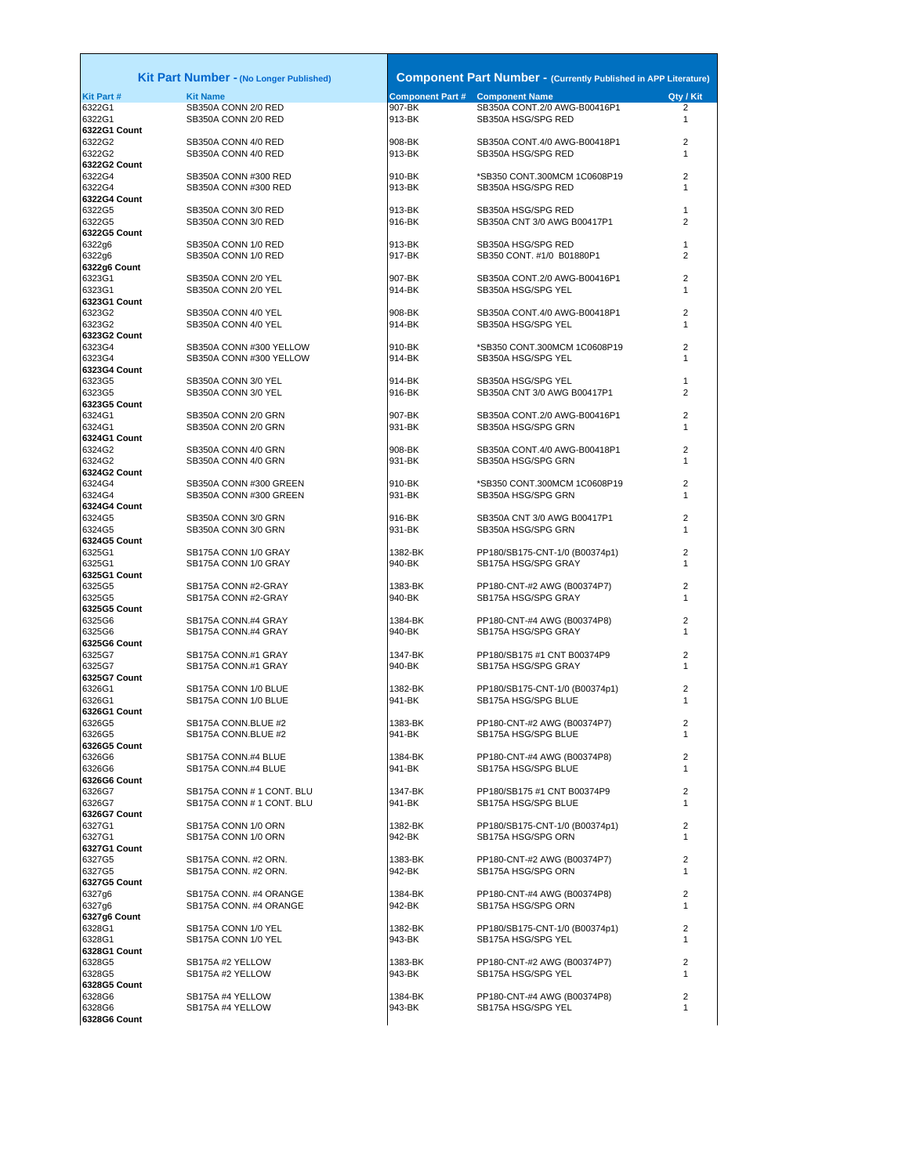|                             | <b>Kit Part Number - (No Longer Published)</b> |                  |                                                       | <b>Component Part Number - (Currently Published in APP Literature)</b> |
|-----------------------------|------------------------------------------------|------------------|-------------------------------------------------------|------------------------------------------------------------------------|
| <b>Kit Part #</b><br>6322G1 | <b>Kit Name</b>                                | 907-BK           | <b>Component Part # Component Name</b>                | Qty / Kit<br>$\overline{2}$                                            |
| 6322G1                      | SB350A CONN 2/0 RED<br>SB350A CONN 2/0 RED     | 913-BK           | SB350A CONT.2/0 AWG-B00416P1<br>SB350A HSG/SPG RED    | $\mathbf{1}$                                                           |
| 6322G1 Count                |                                                |                  |                                                       |                                                                        |
| 6322G2                      | SB350A CONN 4/0 RED                            | 908-BK           | SB350A CONT.4/0 AWG-B00418P1                          | $\overline{2}$                                                         |
| 6322G2                      | SB350A CONN 4/0 RED                            | 913-BK           | SB350A HSG/SPG RED                                    | $\mathbf{1}$                                                           |
| 6322G2 Count                |                                                |                  |                                                       |                                                                        |
| 6322G4                      | SB350A CONN #300 RED                           | 910-BK           | *SB350 CONT.300MCM 1C0608P19                          |                                                                        |
| 6322G4                      | SB350A CONN #300 RED                           | 913-BK           | SB350A HSG/SPG RED                                    |                                                                        |
| 6322G4 Count                |                                                |                  |                                                       |                                                                        |
| 6322G5                      | SB350A CONN 3/0 RED                            | 913-BK           | SB350A HSG/SPG RED                                    |                                                                        |
| 6322G5                      | SB350A CONN 3/0 RED                            | 916-BK           | SB350A CNT 3/0 AWG B00417P1                           | $\overline{2}$                                                         |
| 6322G5 Count                |                                                |                  |                                                       |                                                                        |
| 6322g6                      | SB350A CONN 1/0 RED                            | 913-BK           | SB350A HSG/SPG RED                                    |                                                                        |
| 6322g6<br>6322g6 Count      | SB350A CONN 1/0 RED                            | 917-BK           | SB350 CONT. #1/0 B01880P1                             |                                                                        |
| 6323G1                      | SB350A CONN 2/0 YEL                            | 907-BK           | SB350A CONT.2/0 AWG-B00416P1                          |                                                                        |
| 6323G1                      | SB350A CONN 2/0 YEL                            | 914-BK           | SB350A HSG/SPG YEL                                    |                                                                        |
| 6323G1 Count                |                                                |                  |                                                       |                                                                        |
| 6323G2                      | SB350A CONN 4/0 YEL                            | 908-BK           | SB350A CONT.4/0 AWG-B00418P1                          |                                                                        |
| 6323G2                      | SB350A CONN 4/0 YEL                            | 914-BK           | SB350A HSG/SPG YEL                                    |                                                                        |
| 6323G2 Count                |                                                |                  |                                                       |                                                                        |
| 6323G4                      | SB350A CONN #300 YELLOW                        | 910-BK           | *SB350 CONT.300MCM 1C0608P19                          |                                                                        |
| 6323G4                      | SB350A CONN #300 YELLOW                        | 914-BK           | SB350A HSG/SPG YEL                                    |                                                                        |
| 6323G4 Count                |                                                |                  |                                                       |                                                                        |
| 6323G5                      | SB350A CONN 3/0 YEL                            | 914-BK           | SB350A HSG/SPG YEL                                    |                                                                        |
| 6323G5                      | SB350A CONN 3/0 YEL                            | 916-BK           | SB350A CNT 3/0 AWG B00417P1                           |                                                                        |
| 6323G5 Count                |                                                |                  |                                                       |                                                                        |
| 6324G1                      | SB350A CONN 2/0 GRN                            | 907-BK           | SB350A CONT.2/0 AWG-B00416P1                          |                                                                        |
| 6324G1                      | SB350A CONN 2/0 GRN                            | 931-BK           | SB350A HSG/SPG GRN                                    |                                                                        |
| 6324G1 Count                |                                                |                  |                                                       |                                                                        |
| 6324G2                      | SB350A CONN 4/0 GRN                            | 908-BK           | SB350A CONT.4/0 AWG-B00418P1                          |                                                                        |
| 6324G2                      | SB350A CONN 4/0 GRN                            | 931-BK           | SB350A HSG/SPG GRN                                    |                                                                        |
| 6324G2 Count                |                                                |                  |                                                       |                                                                        |
| 6324G4<br>6324G4            | SB350A CONN #300 GREEN                         | 910-BK<br>931-BK | *SB350 CONT.300MCM 1C0608P19                          |                                                                        |
| 6324G4 Count                | SB350A CONN #300 GREEN                         |                  | SB350A HSG/SPG GRN                                    |                                                                        |
| 6324G5                      | SB350A CONN 3/0 GRN                            | 916-BK           | SB350A CNT 3/0 AWG B00417P1                           |                                                                        |
| 6324G5                      | SB350A CONN 3/0 GRN                            | 931-BK           | SB350A HSG/SPG GRN                                    |                                                                        |
| 6324G5 Count                |                                                |                  |                                                       |                                                                        |
| 6325G1                      | SB175A CONN 1/0 GRAY                           | 1382-BK          | PP180/SB175-CNT-1/0 (B00374p1)                        | $\overline{2}$                                                         |
| 6325G1                      | SB175A CONN 1/0 GRAY                           | 940-BK           | SB175A HSG/SPG GRAY                                   |                                                                        |
| 6325G1 Count                |                                                |                  |                                                       |                                                                        |
| 6325G5                      | SB175A CONN #2-GRAY                            | 1383-BK          | PP180-CNT-#2 AWG (B00374P7)                           |                                                                        |
| 6325G5                      | SB175A CONN #2-GRAY                            | 940-BK           | SB175A HSG/SPG GRAY                                   |                                                                        |
| 6325G5 Count                |                                                |                  |                                                       | $\overline{2}$                                                         |
| 6325G6                      | SB175A CONN.#4 GRAY                            | 1384-BK          | PP180-CNT-#4 AWG (B00374P8)                           |                                                                        |
| 6325G6                      | SB175A CONN.#4 GRAY                            | 940-BK           | SB175A HSG/SPG GRAY                                   |                                                                        |
| 6325G6 Count                |                                                |                  |                                                       |                                                                        |
| 6325G7                      | SB175A CONN.#1 GRAY                            | 1347-BK          | PP180/SB175 #1 CNT B00374P9                           | $\overline{2}$                                                         |
| 6325G7                      | SB175A CONN.#1 GRAY                            | 940-BK           | SB175A HSG/SPG GRAY                                   |                                                                        |
| 6325G7 Count<br>6326G1      | SB175A CONN 1/0 BLUE                           | 1382-BK          |                                                       | $\overline{2}$                                                         |
| 6326G1                      | SB175A CONN 1/0 BLUE                           | 941-BK           | PP180/SB175-CNT-1/0 (B00374p1)<br>SB175A HSG/SPG BLUE |                                                                        |
| 6326G1 Count                |                                                |                  |                                                       |                                                                        |
| 6326G5                      | SB175A CONN.BLUE #2                            | 1383-BK          | PP180-CNT-#2 AWG (B00374P7)                           | 2                                                                      |
| 6326G5                      | SB175A CONN.BLUE #2                            | 941-BK           | SB175A HSG/SPG BLUE                                   | $\mathbf{1}$                                                           |
| 6326G5 Count                |                                                |                  |                                                       |                                                                        |
| 6326G6                      | SB175A CONN.#4 BLUE                            | 1384-BK          | PP180-CNT-#4 AWG (B00374P8)                           | $\overline{2}$                                                         |
| 6326G6                      | SB175A CONN.#4 BLUE                            | 941-BK           | SB175A HSG/SPG BLUE                                   | $\mathbf{1}$                                                           |
| 6326G6 Count                |                                                |                  |                                                       |                                                                        |
| 6326G7                      | SB175A CONN # 1 CONT. BLU                      | 1347-BK          | PP180/SB175 #1 CNT B00374P9                           | $\overline{2}$                                                         |
| 6326G7                      | SB175A CONN #1 CONT. BLU                       | 941-BK           | SB175A HSG/SPG BLUE                                   |                                                                        |
| 6326G7 Count                |                                                |                  |                                                       |                                                                        |
| 6327G1                      | SB175A CONN 1/0 ORN                            | 1382-BK          | PP180/SB175-CNT-1/0 (B00374p1)                        | $\overline{2}$                                                         |
| 6327G1                      | SB175A CONN 1/0 ORN                            | 942-BK           | SB175A HSG/SPG ORN                                    | $\mathbf{1}$                                                           |
| 6327G1 Count                |                                                |                  |                                                       |                                                                        |
| 6327G5                      | SB175A CONN. #2 ORN.                           | 1383-BK          | PP180-CNT-#2 AWG (B00374P7)                           | $\overline{2}$                                                         |
| 6327G5                      | SB175A CONN. #2 ORN.                           | 942-BK           | SB175A HSG/SPG ORN                                    | $\mathbf{1}$                                                           |
| 6327G5 Count                |                                                |                  |                                                       |                                                                        |
| 6327g6                      | SB175A CONN. #4 ORANGE                         | 1384-BK          | PP180-CNT-#4 AWG (B00374P8)                           | $\overline{2}$                                                         |
| 6327g6                      | SB175A CONN. #4 ORANGE                         | 942-BK           | SB175A HSG/SPG ORN                                    |                                                                        |
| 6327g6 Count                |                                                |                  |                                                       |                                                                        |
| 6328G1<br>6328G1            | SB175A CONN 1/0 YEL                            | 1382-BK          | PP180/SB175-CNT-1/0 (B00374p1)                        | $\overline{2}$<br>$\mathbf{1}$                                         |
| 6328G1 Count                | SB175A CONN 1/0 YEL                            | 943-BK           | SB175A HSG/SPG YEL                                    |                                                                        |
| 6328G5                      | SB175A #2 YELLOW                               | 1383-BK          | PP180-CNT-#2 AWG (B00374P7)                           | $\overline{2}$                                                         |
| 6328G5                      | SB175A #2 YELLOW                               | 943-BK           | SB175A HSG/SPG YEL                                    | $\mathbf{1}$                                                           |
| 6328G5 Count                |                                                |                  |                                                       |                                                                        |
| 6328G6                      | SB175A #4 YELLOW                               | 1384-BK          | PP180-CNT-#4 AWG (B00374P8)                           | $\overline{2}$                                                         |
| 6328G6                      | SB175A #4 YELLOW                               | 943-BK           | SB175A HSG/SPG YEL                                    | $\mathbf{1}$                                                           |
|                             |                                                |                  |                                                       |                                                                        |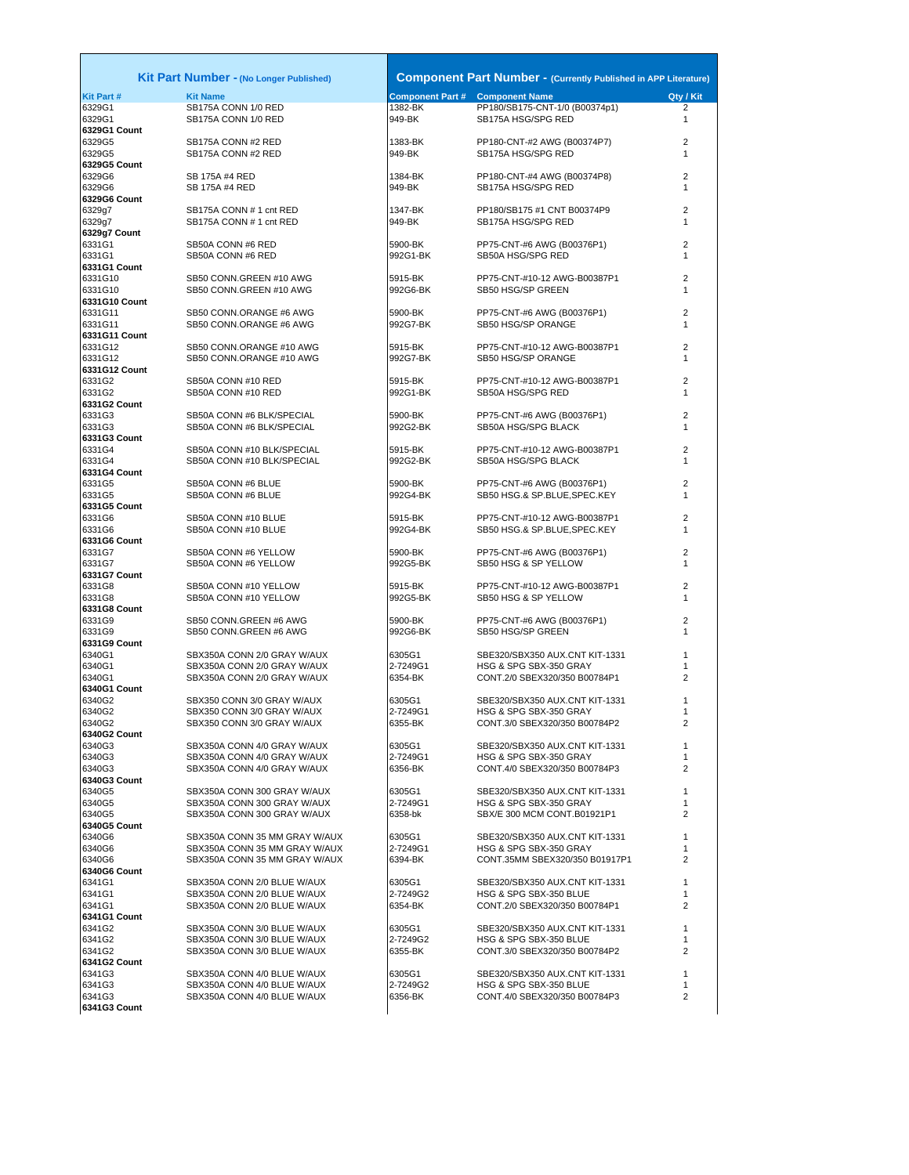|                        | <b>Kit Part Number - (No Longer Published)</b>     |                     | <b>Component Part Number - (Currently Published in APP Literature)</b> |                |
|------------------------|----------------------------------------------------|---------------------|------------------------------------------------------------------------|----------------|
| Kit Part #             | <b>Kit Name</b>                                    |                     | <b>Component Part # Component Name</b>                                 | Qty / Kit      |
| 6329G1                 | SB175A CONN 1/0 RED                                | 1382-BK             | PP180/SB175-CNT-1/0 (B00374p1)                                         | 2              |
| 6329G1                 | SB175A CONN 1/0 RED                                | 949-BK              | SB175A HSG/SPG RED                                                     | 1              |
| 6329G1 Count<br>6329G5 | SB175A CONN #2 RED                                 | 1383-BK             |                                                                        | 2              |
| 6329G5                 | SB175A CONN #2 RED                                 | 949-BK              | PP180-CNT-#2 AWG (B00374P7)<br>SB175A HSG/SPG RED                      | 1              |
| 6329G5 Count           |                                                    |                     |                                                                        |                |
| 6329G6                 | SB 175A #4 RED                                     | 1384-BK             | PP180-CNT-#4 AWG (B00374P8)                                            | 2              |
| 6329G6                 | SB 175A #4 RED                                     | 949-BK              | SB175A HSG/SPG RED                                                     | 1              |
| 6329G6 Count           |                                                    |                     |                                                                        |                |
| 6329g7                 | SB175A CONN # 1 cnt RED                            | 1347-BK             | PP180/SB175 #1 CNT B00374P9                                            | $\overline{2}$ |
| 6329g7                 | SB175A CONN # 1 cnt RED                            | 949-BK              | SB175A HSG/SPG RED                                                     | 1              |
| 6329g7 Count           |                                                    |                     |                                                                        |                |
| 6331G1                 | SB50A CONN #6 RED                                  | 5900-BK             | PP75-CNT-#6 AWG (B00376P1)                                             | 2              |
| 6331G1                 | SB50A CONN #6 RED                                  | 992G1-BK            | SB50A HSG/SPG RED                                                      | 1              |
| 6331G1 Count           |                                                    |                     |                                                                        |                |
| 6331G10<br>6331G10     | SB50 CONN.GREEN #10 AWG<br>SB50 CONN.GREEN #10 AWG | 5915-BK<br>992G6-BK | PP75-CNT-#10-12 AWG-B00387P1<br>SB50 HSG/SP GREEN                      | 2<br>1         |
| 6331G10 Count          |                                                    |                     |                                                                        |                |
| 6331G11                | SB50 CONN.ORANGE #6 AWG                            | 5900-BK             | PP75-CNT-#6 AWG (B00376P1)                                             | 2              |
| 6331G11                | SB50 CONN.ORANGE #6 AWG                            | 992G7-BK            | SB50 HSG/SP ORANGE                                                     | 1              |
| 6331G11 Count          |                                                    |                     |                                                                        |                |
| 6331G12                | SB50 CONN.ORANGE #10 AWG                           | 5915-BK             | PP75-CNT-#10-12 AWG-B00387P1                                           | 2              |
| 6331G12                | SB50 CONN.ORANGE #10 AWG                           | 992G7-BK            | SB50 HSG/SP ORANGE                                                     | 1              |
| 6331G12 Count          |                                                    |                     |                                                                        |                |
| 6331G2                 | SB50A CONN #10 RED                                 | 5915-BK             | PP75-CNT-#10-12 AWG-B00387P1                                           | 2              |
| 6331G2                 | SB50A CONN #10 RED                                 | 992G1-BK            | SB50A HSG/SPG RED                                                      | 1              |
| 6331G2 Count           |                                                    |                     |                                                                        |                |
| 6331G3                 | SB50A CONN #6 BLK/SPECIAL                          | 5900-BK             | PP75-CNT-#6 AWG (B00376P1)                                             | 2              |
| 6331G3                 | SB50A CONN #6 BLK/SPECIAL                          | 992G2-BK            | SB50A HSG/SPG BLACK                                                    | 1              |
| 6331G3 Count<br>6331G4 | SB50A CONN #10 BLK/SPECIAL                         | 5915-BK             | PP75-CNT-#10-12 AWG-B00387P1                                           | 2              |
| 6331G4                 | SB50A CONN #10 BLK/SPECIAL                         | 992G2-BK            | SB50A HSG/SPG BLACK                                                    | 1              |
| 6331G4 Count           |                                                    |                     |                                                                        |                |
| 6331G5                 | SB50A CONN #6 BLUE                                 | 5900-BK             | PP75-CNT-#6 AWG (B00376P1)                                             | 2              |
| 6331G5                 | SB50A CONN #6 BLUE                                 | 992G4-BK            | SB50 HSG.& SP.BLUE, SPEC.KEY                                           | 1              |
| 6331G5 Count           |                                                    |                     |                                                                        |                |
| 6331G6                 | SB50A CONN #10 BLUE                                | 5915-BK             | PP75-CNT-#10-12 AWG-B00387P1                                           | 2              |
| 6331G6                 | SB50A CONN #10 BLUE                                | 992G4-BK            | SB50 HSG.& SP.BLUE, SPEC.KEY                                           | 1              |
| 6331G6 Count           |                                                    |                     |                                                                        |                |
| 6331G7                 | SB50A CONN #6 YELLOW                               | 5900-BK             | PP75-CNT-#6 AWG (B00376P1)                                             | 2              |
| 6331G7                 | SB50A CONN #6 YELLOW                               | 992G5-BK            | SB50 HSG & SP YELLOW                                                   | 1              |
| 6331G7 Count           |                                                    |                     |                                                                        |                |
| 6331G8                 | SB50A CONN #10 YELLOW                              | 5915-BK             | PP75-CNT-#10-12 AWG-B00387P1                                           | 2              |
| 6331G8                 | SB50A CONN #10 YELLOW                              | 992G5-BK            | SB50 HSG & SP YELLOW                                                   | 1              |
| 6331G8 Count<br>6331G9 | SB50 CONN.GREEN #6 AWG                             | 5900-BK             | PP75-CNT-#6 AWG (B00376P1)                                             | 2              |
| 6331G9                 | SB50 CONN.GREEN #6 AWG                             | 992G6-BK            | SB50 HSG/SP GREEN                                                      | 1              |
| 6331G9 Count           |                                                    |                     |                                                                        |                |
| 6340G1                 | SBX350A CONN 2/0 GRAY W/AUX                        | 6305G1              | SBE320/SBX350 AUX.CNT KIT-1331                                         | 1              |
| 6340G1                 | SBX350A CONN 2/0 GRAY W/AUX                        | 2-7249G1            | HSG & SPG SBX-350 GRAY                                                 | 1              |
| 6340G1                 | SBX350A CONN 2/0 GRAY W/AUX                        | 6354-BK             | CONT.2/0 SBEX320/350 B00784P1                                          | $\overline{2}$ |
| 6340G1 Count           |                                                    |                     |                                                                        |                |
| 6340G2                 | SBX350 CONN 3/0 GRAY W/AUX                         | 6305G1              | SBE320/SBX350 AUX.CNT KIT-1331                                         | 1              |
| 6340G2                 | SBX350 CONN 3/0 GRAY W/AUX                         | 2-7249G1            | HSG & SPG SBX-350 GRAY                                                 | 1              |
| 6340G2                 | SBX350 CONN 3/0 GRAY W/AUX                         | 6355-BK             | CONT.3/0 SBEX320/350 B00784P2                                          | 2              |
| 6340G2 Count           |                                                    |                     |                                                                        |                |
| 6340G3                 | SBX350A CONN 4/0 GRAY W/AUX                        | 6305G1              | SBE320/SBX350 AUX.CNT KIT-1331                                         | 1              |
| 6340G3                 | SBX350A CONN 4/0 GRAY W/AUX                        | 2-7249G1            | HSG & SPG SBX-350 GRAY                                                 | 1              |
| 6340G3                 | SBX350A CONN 4/0 GRAY W/AUX                        | 6356-BK             | CONT.4/0 SBEX320/350 B00784P3                                          | 2              |
| 6340G3 Count<br>6340G5 | SBX350A CONN 300 GRAY W/AUX                        | 6305G1              | SBE320/SBX350 AUX.CNT KIT-1331                                         | 1              |
| 6340G5                 | SBX350A CONN 300 GRAY W/AUX                        | 2-7249G1            | HSG & SPG SBX-350 GRAY                                                 | 1              |
| 6340G5                 | SBX350A CONN 300 GRAY W/AUX                        | 6358-bk             | SBX/E 300 MCM CONT.B01921P1                                            | 2              |
| 6340G5 Count           |                                                    |                     |                                                                        |                |
| 6340G6                 | SBX350A CONN 35 MM GRAY W/AUX                      | 6305G1              | SBE320/SBX350 AUX.CNT KIT-1331                                         | 1              |
| 6340G6                 | SBX350A CONN 35 MM GRAY W/AUX                      | 2-7249G1            | HSG & SPG SBX-350 GRAY                                                 | 1              |
| 6340G6                 | SBX350A CONN 35 MM GRAY W/AUX                      | 6394-BK             | CONT.35MM SBEX320/350 B01917P1                                         | 2              |
| 6340G6 Count           |                                                    |                     |                                                                        |                |
| 6341G1                 | SBX350A CONN 2/0 BLUE W/AUX                        | 6305G1              | SBE320/SBX350 AUX.CNT KIT-1331                                         | 1              |
| 6341G1                 | SBX350A CONN 2/0 BLUE W/AUX                        | 2-7249G2            | HSG & SPG SBX-350 BLUE                                                 | 1              |
| 6341G1                 | SBX350A CONN 2/0 BLUE W/AUX                        | 6354-BK             | CONT.2/0 SBEX320/350 B00784P1                                          | 2              |
| 6341G1 Count           |                                                    |                     |                                                                        |                |
| 6341G2                 | SBX350A CONN 3/0 BLUE W/AUX                        | 6305G1              | SBE320/SBX350 AUX.CNT KIT-1331                                         | 1              |
| 6341G2                 | SBX350A CONN 3/0 BLUE W/AUX                        | 2-7249G2            | HSG & SPG SBX-350 BLUE                                                 | 1              |
| 6341G2                 | SBX350A CONN 3/0 BLUE W/AUX                        | 6355-BK             | CONT.3/0 SBEX320/350 B00784P2                                          | 2              |
| 6341G2 Count<br>6341G3 | SBX350A CONN 4/0 BLUE W/AUX                        | 6305G1              | SBE320/SBX350 AUX.CNT KIT-1331                                         | 1              |
| 6341G3                 | SBX350A CONN 4/0 BLUE W/AUX                        | 2-7249G2            | HSG & SPG SBX-350 BLUE                                                 | 1              |
| 6341G3                 | SBX350A CONN 4/0 BLUE W/AUX                        | 6356-BK             | CONT.4/0 SBEX320/350 B00784P3                                          | 2              |
| 6341G3 Count           |                                                    |                     |                                                                        |                |
|                        |                                                    |                     |                                                                        |                |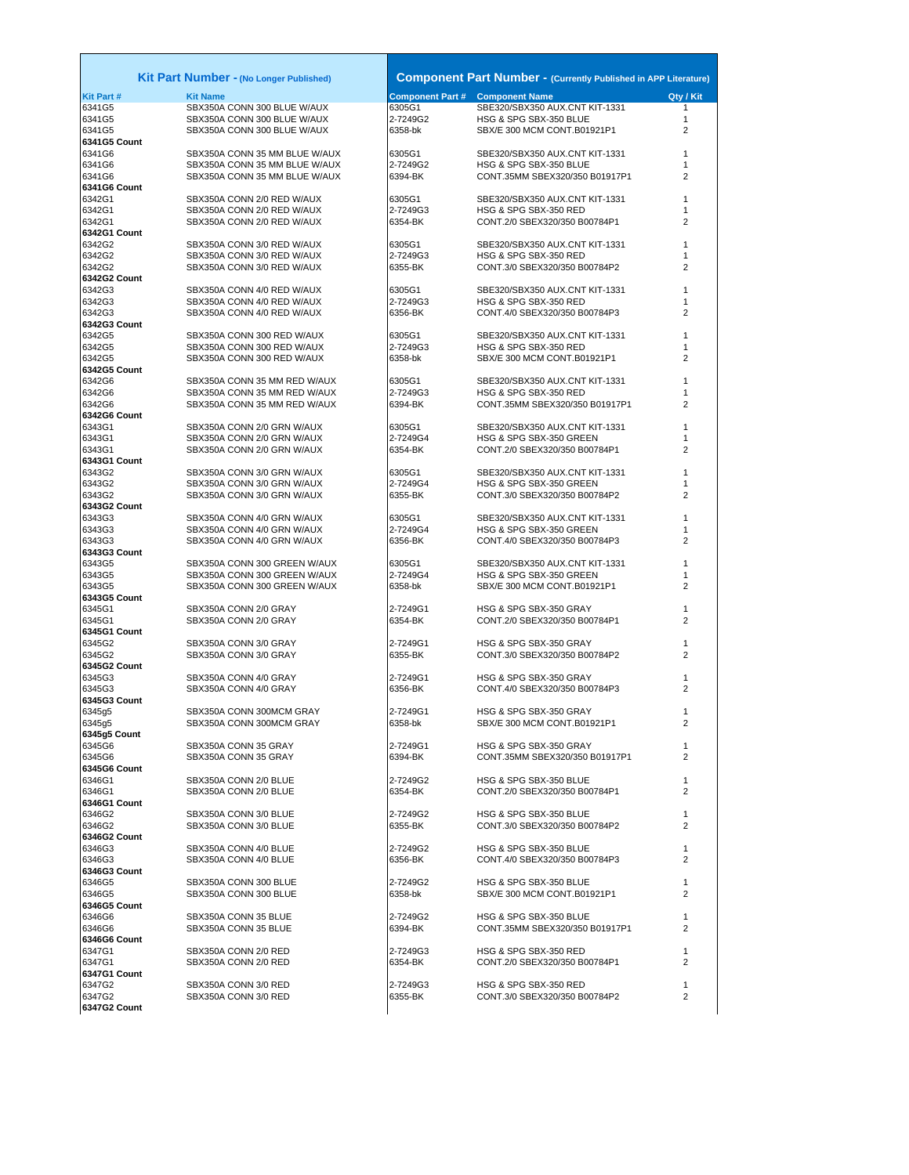| Kit Part Number - (No Longer Published) |                                                                | <b>Component Part Number - (Currently Published in APP Literature)</b> |                                                           |                |  |
|-----------------------------------------|----------------------------------------------------------------|------------------------------------------------------------------------|-----------------------------------------------------------|----------------|--|
| <b>Kit Part#</b>                        | <b>Kit Name</b>                                                |                                                                        | <b>Component Part # Component Name</b>                    | Qty / Kit      |  |
| 6341G5                                  | SBX350A CONN 300 BLUE W/AUX                                    | 6305G1                                                                 | SBE320/SBX350 AUX.CNT KIT-1331                            | 1              |  |
| 6341G5                                  | SBX350A CONN 300 BLUE W/AUX                                    | 2-7249G2                                                               | HSG & SPG SBX-350 BLUE                                    | 1              |  |
| 6341G5                                  | SBX350A CONN 300 BLUE W/AUX                                    | 6358-bk                                                                | SBX/E 300 MCM CONT.B01921P1                               | $\overline{2}$ |  |
| 6341G5 Count                            |                                                                |                                                                        |                                                           |                |  |
| 6341G6<br>6341G6                        | SBX350A CONN 35 MM BLUE W/AUX<br>SBX350A CONN 35 MM BLUE W/AUX | 6305G1<br>2-7249G2                                                     | SBE320/SBX350 AUX.CNT KIT-1331<br>HSG & SPG SBX-350 BLUE  | 1<br>1         |  |
| 6341G6                                  | SBX350A CONN 35 MM BLUE W/AUX                                  | 6394-BK                                                                | CONT.35MM SBEX320/350 B01917P1                            | 2              |  |
| 6341G6 Count                            |                                                                |                                                                        |                                                           |                |  |
| 6342G1                                  | SBX350A CONN 2/0 RED W/AUX                                     | 6305G1                                                                 | SBE320/SBX350 AUX.CNT KIT-1331                            | 1              |  |
| 6342G1                                  | SBX350A CONN 2/0 RED W/AUX                                     | 2-7249G3                                                               | HSG & SPG SBX-350 RED                                     | 1              |  |
| 6342G1<br>6342G1 Count                  | SBX350A CONN 2/0 RED W/AUX                                     | 6354-BK                                                                | CONT.2/0 SBEX320/350 B00784P1                             | 2              |  |
| 6342G2                                  | SBX350A CONN 3/0 RED W/AUX                                     | 6305G1                                                                 | SBE320/SBX350 AUX.CNT KIT-1331                            |                |  |
| 6342G2                                  | SBX350A CONN 3/0 RED W/AUX                                     | 2-7249G3                                                               | HSG & SPG SBX-350 RED                                     | 1              |  |
| 6342G2                                  | SBX350A CONN 3/0 RED W/AUX                                     | 6355-BK                                                                | CONT.3/0 SBEX320/350 B00784P2                             | 2              |  |
| 6342G2 Count                            |                                                                |                                                                        |                                                           |                |  |
| 6342G3<br>6342G3                        | SBX350A CONN 4/0 RED W/AUX                                     | 6305G1<br>2-7249G3                                                     | SBE320/SBX350 AUX.CNT KIT-1331                            | 1<br>1         |  |
| 6342G3                                  | SBX350A CONN 4/0 RED W/AUX<br>SBX350A CONN 4/0 RED W/AUX       | 6356-BK                                                                | HSG & SPG SBX-350 RED<br>CONT.4/0 SBEX320/350 B00784P3    | 2              |  |
| 6342G3 Count                            |                                                                |                                                                        |                                                           |                |  |
| 6342G5                                  | SBX350A CONN 300 RED W/AUX                                     | 6305G1                                                                 | SBE320/SBX350 AUX.CNT KIT-1331                            | 1              |  |
| 6342G5                                  | SBX350A CONN 300 RED W/AUX                                     | 2-7249G3                                                               | HSG & SPG SBX-350 RED                                     | 1              |  |
| 6342G5                                  | SBX350A CONN 300 RED W/AUX                                     | 6358-bk                                                                | SBX/E 300 MCM CONT.B01921P1                               | 2              |  |
| 6342G5 Count<br>6342G6                  | SBX350A CONN 35 MM RED W/AUX                                   | 6305G1                                                                 | SBE320/SBX350 AUX.CNT KIT-1331                            | 1              |  |
| 6342G6                                  | SBX350A CONN 35 MM RED W/AUX                                   | 2-7249G3                                                               | HSG & SPG SBX-350 RED                                     | 1              |  |
| 6342G6                                  | SBX350A CONN 35 MM RED W/AUX                                   | 6394-BK                                                                | CONT.35MM SBEX320/350 B01917P1                            | 2              |  |
| 6342G6 Count                            |                                                                |                                                                        |                                                           |                |  |
| 6343G1                                  | SBX350A CONN 2/0 GRN W/AUX                                     | 6305G1                                                                 | SBE320/SBX350 AUX.CNT KIT-1331                            | 1              |  |
| 6343G1                                  | SBX350A CONN 2/0 GRN W/AUX                                     | 2-7249G4<br>6354-BK                                                    | HSG & SPG SBX-350 GREEN<br>CONT.2/0 SBEX320/350 B00784P1  | 1<br>2         |  |
| 6343G1<br>6343G1 Count                  | SBX350A CONN 2/0 GRN W/AUX                                     |                                                                        |                                                           |                |  |
| 6343G2                                  | SBX350A CONN 3/0 GRN W/AUX                                     | 6305G1                                                                 | SBE320/SBX350 AUX.CNT KIT-1331                            | 1              |  |
| 6343G2                                  | SBX350A CONN 3/0 GRN W/AUX                                     | 2-7249G4                                                               | HSG & SPG SBX-350 GREEN                                   | 1              |  |
| 6343G2                                  | SBX350A CONN 3/0 GRN W/AUX                                     | 6355-BK                                                                | CONT.3/0 SBEX320/350 B00784P2                             | 2              |  |
| 6343G2 Count                            |                                                                |                                                                        |                                                           |                |  |
| 6343G3<br>6343G3                        | SBX350A CONN 4/0 GRN W/AUX<br>SBX350A CONN 4/0 GRN W/AUX       | 6305G1<br>2-7249G4                                                     | SBE320/SBX350 AUX.CNT KIT-1331<br>HSG & SPG SBX-350 GREEN | 1<br>1         |  |
| 6343G3                                  | SBX350A CONN 4/0 GRN W/AUX                                     | 6356-BK                                                                | CONT.4/0 SBEX320/350 B00784P3                             | 2              |  |
| 6343G3 Count                            |                                                                |                                                                        |                                                           |                |  |
| 6343G5                                  | SBX350A CONN 300 GREEN W/AUX                                   | 6305G1                                                                 | SBE320/SBX350 AUX.CNT KIT-1331                            | 1              |  |
| 6343G5                                  | SBX350A CONN 300 GREEN W/AUX                                   | 2-7249G4                                                               | HSG & SPG SBX-350 GREEN                                   | 1              |  |
| 6343G5<br>6343G5 Count                  | SBX350A CONN 300 GREEN W/AUX                                   | 6358-bk                                                                | SBX/E 300 MCM CONT.B01921P1                               | 2              |  |
| 6345G1                                  | SBX350A CONN 2/0 GRAY                                          | 2-7249G1                                                               | HSG & SPG SBX-350 GRAY                                    | 1              |  |
| 6345G1                                  | SBX350A CONN 2/0 GRAY                                          | 6354-BK                                                                | CONT.2/0 SBEX320/350 B00784P1                             | 2              |  |
| 6345G1 Count                            |                                                                |                                                                        |                                                           |                |  |
| 6345G2                                  | SBX350A CONN 3/0 GRAY                                          | 2-7249G1                                                               | HSG & SPG SBX-350 GRAY                                    | 1              |  |
| 6345G2<br>6345G2 Count                  | SBX350A CONN 3/0 GRAY                                          | 6355-BK                                                                | CONT.3/0 SBEX320/350 B00784P2                             | 2              |  |
| 6345G3                                  | SBX350A CONN 4/0 GRAY                                          | 2-7249G1                                                               | HSG & SPG SBX-350 GRAY                                    | 1              |  |
| 6345G3                                  | SBX350A CONN 4/0 GRAY                                          | 6356-BK                                                                | CONT.4/0 SBEX320/350 B00784P3                             | 2              |  |
| 6345G3 Count                            |                                                                |                                                                        |                                                           |                |  |
| 6345g5                                  | SBX350A CONN 300MCM GRAY                                       | 2-7249G1                                                               | HSG & SPG SBX-350 GRAY                                    | 1              |  |
| 6345g5<br>6345g5 Count                  | SBX350A CONN 300MCM GRAY                                       | 6358-bk                                                                | SBX/E 300 MCM CONT.B01921P1                               | 2              |  |
| 6345G6                                  | SBX350A CONN 35 GRAY                                           | 2-7249G1                                                               | HSG & SPG SBX-350 GRAY                                    | 1              |  |
| 6345G6                                  | SBX350A CONN 35 GRAY                                           | 6394-BK                                                                | CONT.35MM SBEX320/350 B01917P1                            | 2              |  |
| 6345G6 Count                            |                                                                |                                                                        |                                                           |                |  |
| 6346G1                                  | SBX350A CONN 2/0 BLUE                                          | 2-7249G2                                                               | HSG & SPG SBX-350 BLUE                                    | 1              |  |
| 6346G1<br>6346G1 Count                  | SBX350A CONN 2/0 BLUE                                          | 6354-BK                                                                | CONT.2/0 SBEX320/350 B00784P1                             | 2              |  |
| 6346G2                                  | SBX350A CONN 3/0 BLUE                                          | 2-7249G2                                                               | HSG & SPG SBX-350 BLUE                                    | 1              |  |
| 6346G2                                  | SBX350A CONN 3/0 BLUE                                          | 6355-BK                                                                | CONT.3/0 SBEX320/350 B00784P2                             | 2              |  |
| 6346G2 Count                            |                                                                |                                                                        |                                                           |                |  |
| 6346G3                                  | SBX350A CONN 4/0 BLUE                                          | 2-7249G2                                                               | HSG & SPG SBX-350 BLUE                                    | 1              |  |
| 6346G3<br>6346G3 Count                  | SBX350A CONN 4/0 BLUE                                          | 6356-BK                                                                | CONT.4/0 SBEX320/350 B00784P3                             | 2              |  |
| 6346G5                                  | SBX350A CONN 300 BLUE                                          | 2-7249G2                                                               | HSG & SPG SBX-350 BLUE                                    | 1              |  |
| 6346G5                                  | SBX350A CONN 300 BLUE                                          | 6358-bk                                                                | SBX/E 300 MCM CONT.B01921P1                               | $\overline{2}$ |  |
| 6346G5 Count                            |                                                                |                                                                        |                                                           |                |  |
| 6346G6                                  | SBX350A CONN 35 BLUE                                           | 2-7249G2                                                               | HSG & SPG SBX-350 BLUE                                    | 1              |  |
| 6346G6<br>6346G6 Count                  | SBX350A CONN 35 BLUE                                           | 6394-BK                                                                | CONT.35MM SBEX320/350 B01917P1                            | 2              |  |
| 6347G1                                  | SBX350A CONN 2/0 RED                                           | 2-7249G3                                                               | HSG & SPG SBX-350 RED                                     | 1              |  |
| 6347G1                                  | SBX350A CONN 2/0 RED                                           | 6354-BK                                                                | CONT.2/0 SBEX320/350 B00784P1                             | 2              |  |
| 6347G1 Count                            |                                                                |                                                                        |                                                           |                |  |
| 6347G2                                  | SBX350A CONN 3/0 RED                                           | 2-7249G3                                                               | HSG & SPG SBX-350 RED                                     | 1              |  |
| 6347G2                                  | SBX350A CONN 3/0 RED                                           | 6355-BK                                                                | CONT.3/0 SBEX320/350 B00784P2                             | $\overline{2}$ |  |
| 6347G2 Count                            |                                                                |                                                                        |                                                           |                |  |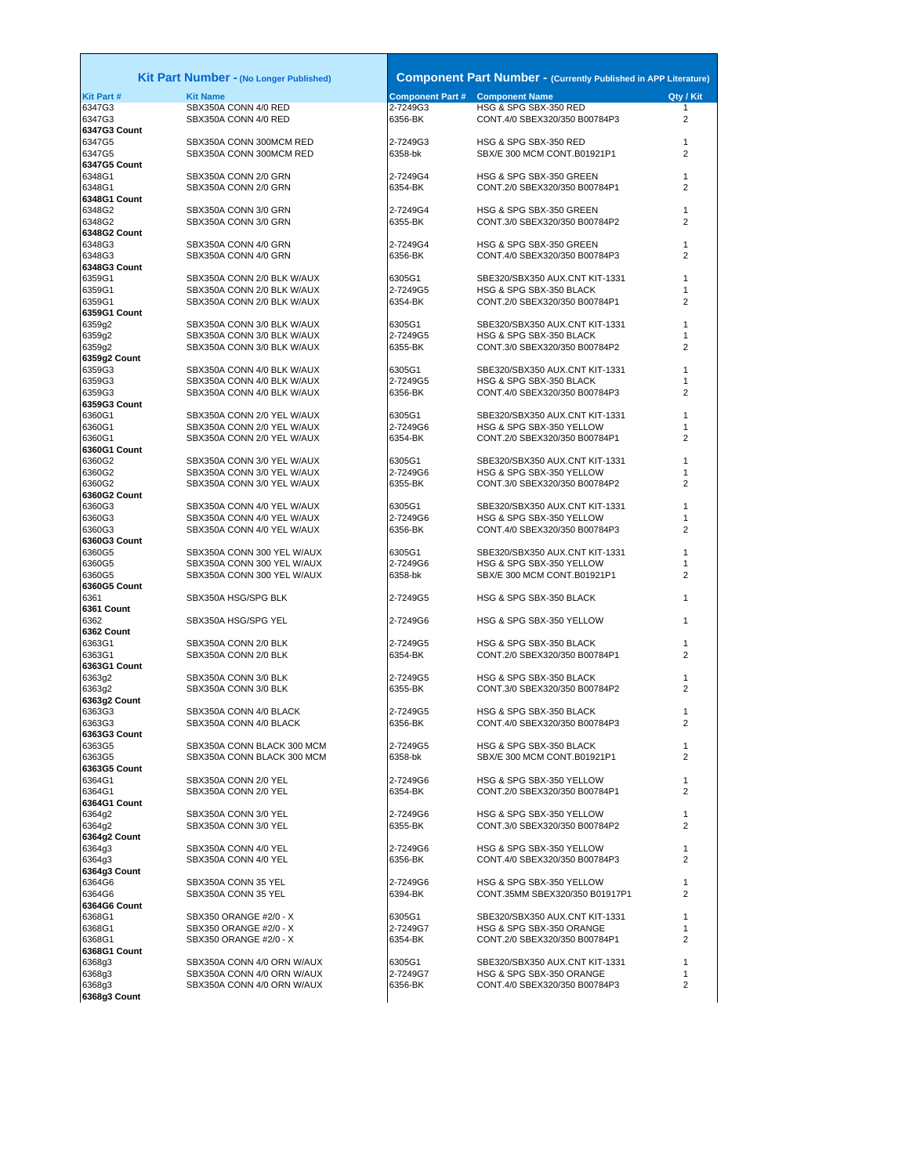|                        | <b>Kit Part Number - (No Longer Published)</b>           |                                        | <b>Component Part Number - (Currently Published in APP Literature)</b> |                |
|------------------------|----------------------------------------------------------|----------------------------------------|------------------------------------------------------------------------|----------------|
| <b>Kit Part#</b>       | <b>Kit Name</b>                                          | <b>Component Part # Component Name</b> |                                                                        | Qty / Kit      |
| 6347G3                 | SBX350A CONN 4/0 RED                                     | 2-7249G3                               | HSG & SPG SBX-350 RED                                                  | $\mathbf{1}$   |
| 6347G3                 | SBX350A CONN 4/0 RED                                     | 6356-BK                                | CONT.4/0 SBEX320/350 B00784P3                                          | $\overline{2}$ |
| 6347G3 Count<br>6347G5 | SBX350A CONN 300MCM RED                                  | 2-7249G3                               | HSG & SPG SBX-350 RED                                                  | $\mathbf{1}$   |
| 6347G5                 | SBX350A CONN 300MCM RED                                  | 6358-bk                                | SBX/E 300 MCM CONT.B01921P1                                            | 2              |
| 6347G5 Count           |                                                          |                                        |                                                                        |                |
| 6348G1                 | SBX350A CONN 2/0 GRN                                     | 2-7249G4                               | HSG & SPG SBX-350 GREEN                                                | $\mathbf{1}$   |
| 6348G1                 | SBX350A CONN 2/0 GRN                                     | 6354-BK                                | CONT.2/0 SBEX320/350 B00784P1                                          | $\overline{2}$ |
| 6348G1 Count           |                                                          |                                        |                                                                        | 1              |
| 6348G2<br>6348G2       | SBX350A CONN 3/0 GRN<br>SBX350A CONN 3/0 GRN             | 2-7249G4<br>6355-BK                    | HSG & SPG SBX-350 GREEN<br>CONT.3/0 SBEX320/350 B00784P2               | $\overline{2}$ |
| 6348G2 Count           |                                                          |                                        |                                                                        |                |
| 6348G3                 | SBX350A CONN 4/0 GRN                                     | 2-7249G4                               | HSG & SPG SBX-350 GREEN                                                | $\mathbf{1}$   |
| 6348G3                 | SBX350A CONN 4/0 GRN                                     | 6356-BK                                | CONT.4/0 SBEX320/350 B00784P3                                          | $\overline{2}$ |
| 6348G3 Count           |                                                          |                                        |                                                                        |                |
| 6359G1<br>6359G1       | SBX350A CONN 2/0 BLK W/AUX<br>SBX350A CONN 2/0 BLK W/AUX | 6305G1<br>2-7249G5                     | SBE320/SBX350 AUX.CNT KIT-1331<br>HSG & SPG SBX-350 BLACK              | 1<br>1         |
| 6359G1                 | SBX350A CONN 2/0 BLK W/AUX                               | 6354-BK                                | CONT.2/0 SBEX320/350 B00784P1                                          | $\overline{2}$ |
| 6359G1 Count           |                                                          |                                        |                                                                        |                |
| 6359g2                 | SBX350A CONN 3/0 BLK W/AUX                               | 6305G1                                 | SBE320/SBX350 AUX.CNT KIT-1331                                         | 1              |
| 6359g2                 | SBX350A CONN 3/0 BLK W/AUX                               | 2-7249G5                               | HSG & SPG SBX-350 BLACK                                                | 1              |
| 6359g2                 | SBX350A CONN 3/0 BLK W/AUX                               | 6355-BK                                | CONT.3/0 SBEX320/350 B00784P2                                          | 2              |
| 6359g2 Count<br>6359G3 | SBX350A CONN 4/0 BLK W/AUX                               | 6305G1                                 | SBE320/SBX350 AUX.CNT KIT-1331                                         | 1              |
| 6359G3                 | SBX350A CONN 4/0 BLK W/AUX                               | 2-7249G5                               | HSG & SPG SBX-350 BLACK                                                | 1              |
| 6359G3                 | SBX350A CONN 4/0 BLK W/AUX                               | 6356-BK                                | CONT.4/0 SBEX320/350 B00784P3                                          | $\overline{2}$ |
| 6359G3 Count           |                                                          |                                        |                                                                        |                |
| 6360G1                 | SBX350A CONN 2/0 YEL W/AUX                               | 6305G1                                 | SBE320/SBX350 AUX.CNT KIT-1331                                         | 1              |
| 6360G1                 | SBX350A CONN 2/0 YEL W/AUX                               | 2-7249G6                               | HSG & SPG SBX-350 YELLOW                                               | 1              |
| 6360G1<br>6360G1 Count | SBX350A CONN 2/0 YEL W/AUX                               | 6354-BK                                | CONT.2/0 SBEX320/350 B00784P1                                          | 2              |
| 6360G2                 | SBX350A CONN 3/0 YEL W/AUX                               | 6305G1                                 | SBE320/SBX350 AUX.CNT KIT-1331                                         | 1              |
| 6360G2                 | SBX350A CONN 3/0 YEL W/AUX                               | 2-7249G6                               | HSG & SPG SBX-350 YELLOW                                               | 1              |
| 6360G2                 | SBX350A CONN 3/0 YEL W/AUX                               | 6355-BK                                | CONT.3/0 SBEX320/350 B00784P2                                          | $\overline{2}$ |
| 6360G2 Count           |                                                          |                                        |                                                                        |                |
| 6360G3<br>6360G3       | SBX350A CONN 4/0 YEL W/AUX<br>SBX350A CONN 4/0 YEL W/AUX | 6305G1                                 | SBE320/SBX350 AUX.CNT KIT-1331<br>HSG & SPG SBX-350 YELLOW             | 1<br>1         |
| 6360G3                 | SBX350A CONN 4/0 YEL W/AUX                               | 2-7249G6<br>6356-BK                    | CONT.4/0 SBEX320/350 B00784P3                                          | 2              |
| 6360G3 Count           |                                                          |                                        |                                                                        |                |
| 6360G5                 | SBX350A CONN 300 YEL W/AUX                               | 6305G1                                 | SBE320/SBX350 AUX.CNT KIT-1331                                         | 1              |
| 6360G5                 | SBX350A CONN 300 YEL W/AUX                               | 2-7249G6                               | HSG & SPG SBX-350 YELLOW                                               | 1              |
| 6360G5                 | SBX350A CONN 300 YEL W/AUX                               | 6358-bk                                | SBX/E 300 MCM CONT.B01921P1                                            | $\overline{2}$ |
| 6360G5 Count<br>6361   | SBX350A HSG/SPG BLK                                      | 2-7249G5                               | HSG & SPG SBX-350 BLACK                                                | 1              |
| 6361 Count             |                                                          |                                        |                                                                        |                |
| 6362                   | SBX350A HSG/SPG YEL                                      | 2-7249G6                               | HSG & SPG SBX-350 YELLOW                                               | 1              |
| 6362 Count             |                                                          |                                        |                                                                        |                |
| 6363G1                 | SBX350A CONN 2/0 BLK                                     | 2-7249G5                               | HSG & SPG SBX-350 BLACK                                                | $\mathbf{1}$   |
| 6363G1<br>6363G1 Count | SBX350A CONN 2/0 BLK                                     | 6354-BK                                | CONT.2/0 SBEX320/350 B00784P1                                          | $\overline{2}$ |
| 6363g2                 | SBX350A CONN 3/0 BLK                                     | 2-7249G5                               | HSG & SPG SBX-350 BLACK                                                | 1              |
| 6363g2                 | SBX350A CONN 3/0 BLK                                     | 6355-BK                                | CONT.3/0 SBEX320/350 B00784P2                                          | $\overline{2}$ |
| 6363g2 Count           |                                                          |                                        |                                                                        |                |
| 6363G3                 | SBX350A CONN 4/0 BLACK                                   | 2-7249G5                               | HSG & SPG SBX-350 BLACK                                                | 1              |
| 6363G3<br>6363G3 Count | SBX350A CONN 4/0 BLACK                                   | 6356-BK                                | CONT.4/0 SBEX320/350 B00784P3                                          | $\overline{2}$ |
| 6363G5                 | SBX350A CONN BLACK 300 MCM                               | 2-7249G5                               | HSG & SPG SBX-350 BLACK                                                | $\mathbf{1}$   |
| 6363G5                 | SBX350A CONN BLACK 300 MCM                               | 6358-bk                                | SBX/E 300 MCM CONT.B01921P1                                            | $\overline{2}$ |
| 6363G5 Count           |                                                          |                                        |                                                                        |                |
| 6364G1                 | SBX350A CONN 2/0 YEL                                     | 2-7249G6                               | HSG & SPG SBX-350 YELLOW                                               | 1              |
| 6364G1                 | SBX350A CONN 2/0 YEL                                     | 6354-BK                                | CONT.2/0 SBEX320/350 B00784P1                                          | $\overline{2}$ |
| 6364G1 Count<br>6364g2 | SBX350A CONN 3/0 YEL                                     | 2-7249G6                               | HSG & SPG SBX-350 YELLOW                                               | $\mathbf{1}$   |
| 6364g2                 | SBX350A CONN 3/0 YEL                                     | 6355-BK                                | CONT.3/0 SBEX320/350 B00784P2                                          | $\overline{2}$ |
| 6364g2 Count           |                                                          |                                        |                                                                        |                |
| 6364g3                 | SBX350A CONN 4/0 YEL                                     | 2-7249G6                               | HSG & SPG SBX-350 YELLOW                                               | $\mathbf{1}$   |
| 6364g3                 | SBX350A CONN 4/0 YEL                                     | 6356-BK                                | CONT.4/0 SBEX320/350 B00784P3                                          | $\overline{2}$ |
| 6364g3 Count<br>6364G6 | SBX350A CONN 35 YEL                                      | 2-7249G6                               | HSG & SPG SBX-350 YELLOW                                               | 1              |
| 6364G6                 | SBX350A CONN 35 YEL                                      | 6394-BK                                | CONT.35MM SBEX320/350 B01917P1                                         | 2              |
| 6364G6 Count           |                                                          |                                        |                                                                        |                |
| 6368G1                 | SBX350 ORANGE #2/0 - X                                   | 6305G1                                 | SBE320/SBX350 AUX.CNT KIT-1331                                         | 1              |
| 6368G1                 | SBX350 ORANGE #2/0 - X                                   | 2-7249G7                               | HSG & SPG SBX-350 ORANGE                                               | 1              |
| 6368G1                 | SBX350 ORANGE #2/0 - X                                   | 6354-BK                                | CONT.2/0 SBEX320/350 B00784P1                                          | 2              |
| 6368G1 Count<br>6368g3 | SBX350A CONN 4/0 ORN W/AUX                               | 6305G1                                 | SBE320/SBX350 AUX.CNT KIT-1331                                         | 1              |
| 6368g3                 | SBX350A CONN 4/0 ORN W/AUX                               | 2-7249G7                               | HSG & SPG SBX-350 ORANGE                                               | 1              |
| 6368g3                 | SBX350A CONN 4/0 ORN W/AUX                               | 6356-BK                                | CONT.4/0 SBEX320/350 B00784P3                                          | 2              |
| 6368g3 Count           |                                                          |                                        |                                                                        |                |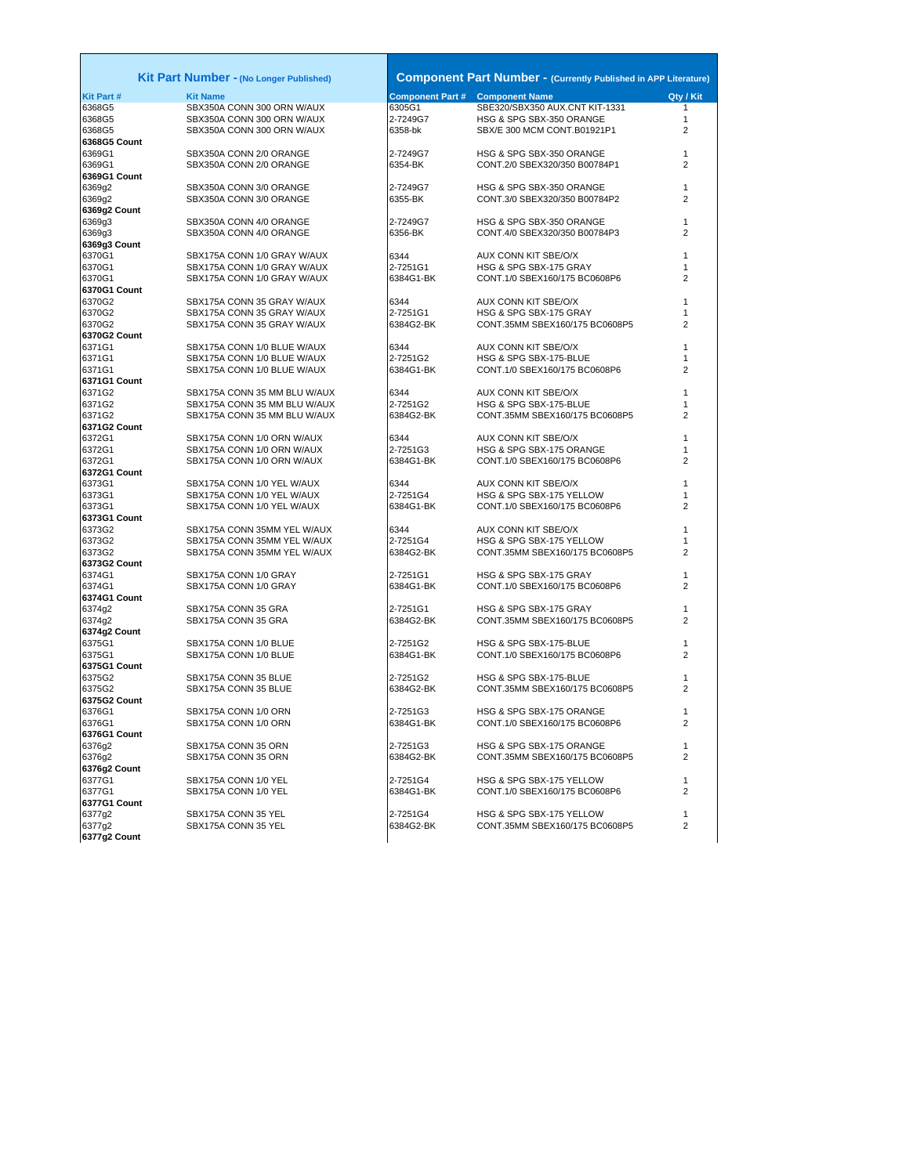|                  | Kit Part Number - (No Longer Published) |                                        | <b>Component Part Number - (Currently Published in APP Literature)</b> |                |
|------------------|-----------------------------------------|----------------------------------------|------------------------------------------------------------------------|----------------|
| <b>Kit Part#</b> | <b>Kit Name</b>                         | <b>Component Part # Component Name</b> |                                                                        | Qty / Kit      |
| 6368G5           | SBX350A CONN 300 ORN W/AUX              | 6305G1                                 | SBE320/SBX350 AUX.CNT KIT-1331                                         | 1              |
| 6368G5           | SBX350A CONN 300 ORN W/AUX              | 2-7249G7                               | HSG & SPG SBX-350 ORANGE                                               | 1              |
| 6368G5           | SBX350A CONN 300 ORN W/AUX              | 6358-bk                                | SBX/E 300 MCM CONT.B01921P1                                            | $\overline{2}$ |
| 6368G5 Count     |                                         |                                        |                                                                        |                |
| 6369G1           | SBX350A CONN 2/0 ORANGE                 | 2-7249G7                               | HSG & SPG SBX-350 ORANGE                                               | 1              |
| 6369G1           | SBX350A CONN 2/0 ORANGE                 | 6354-BK                                | CONT.2/0 SBEX320/350 B00784P1                                          | 2              |
| 6369G1 Count     |                                         |                                        |                                                                        |                |
| 6369g2           | SBX350A CONN 3/0 ORANGE                 | 2-7249G7                               | HSG & SPG SBX-350 ORANGE                                               | 1              |
|                  | SBX350A CONN 3/0 ORANGE                 | 6355-BK                                | CONT.3/0 SBEX320/350 B00784P2                                          | 2              |
| 6369g2           |                                         |                                        |                                                                        |                |
| 6369g2 Count     | SBX350A CONN 4/0 ORANGE                 |                                        | HSG & SPG SBX-350 ORANGE                                               | 1              |
| 6369q3           | SBX350A CONN 4/0 ORANGE                 | 2-7249G7<br>6356-BK                    | CONT.4/0 SBEX320/350 B00784P3                                          | $\overline{2}$ |
| 6369g3           |                                         |                                        |                                                                        |                |
| 6369g3 Count     |                                         |                                        |                                                                        |                |
| 6370G1           | SBX175A CONN 1/0 GRAY W/AUX             | 6344                                   | AUX CONN KIT SBE/O/X                                                   | 1              |
| 6370G1           | SBX175A CONN 1/0 GRAY W/AUX             | 2-7251G1                               | HSG & SPG SBX-175 GRAY                                                 | 1              |
| 6370G1           | SBX175A CONN 1/0 GRAY W/AUX             | 6384G1-BK                              | CONT.1/0 SBEX160/175 BC0608P6                                          | 2              |
| 6370G1 Count     |                                         |                                        |                                                                        |                |
| 6370G2           | SBX175A CONN 35 GRAY W/AUX              | 6344                                   | AUX CONN KIT SBE/O/X                                                   | 1              |
| 6370G2           | SBX175A CONN 35 GRAY W/AUX              | 2-7251G1                               | HSG & SPG SBX-175 GRAY                                                 | 1              |
| 6370G2           | SBX175A CONN 35 GRAY W/AUX              | 6384G2-BK                              | CONT.35MM SBEX160/175 BC0608P5                                         | $\overline{2}$ |
| 6370G2 Count     |                                         |                                        |                                                                        |                |
| 6371G1           | SBX175A CONN 1/0 BLUE W/AUX             | 6344                                   | AUX CONN KIT SBE/O/X                                                   | 1              |
| 6371G1           | SBX175A CONN 1/0 BLUE W/AUX             | 2-7251G2                               | HSG & SPG SBX-175-BLUE                                                 | 1              |
| 6371G1           | SBX175A CONN 1/0 BLUE W/AUX             | 6384G1-BK                              | CONT.1/0 SBEX160/175 BC0608P6                                          | $\overline{2}$ |
| 6371G1 Count     |                                         |                                        |                                                                        |                |
| 6371G2           | SBX175A CONN 35 MM BLU W/AUX            | 6344                                   | AUX CONN KIT SBE/O/X                                                   | 1              |
| 6371G2           | SBX175A CONN 35 MM BLU W/AUX            | 2-7251G2                               | HSG & SPG SBX-175-BLUE                                                 | 1              |
| 6371G2           | SBX175A CONN 35 MM BLU W/AUX            | 6384G2-BK                              | CONT.35MM SBEX160/175 BC0608P5                                         | $\overline{2}$ |
| 6371G2 Count     |                                         |                                        |                                                                        |                |
| 6372G1           | SBX175A CONN 1/0 ORN W/AUX              | 6344                                   | AUX CONN KIT SBE/O/X                                                   | 1              |
| 6372G1           | SBX175A CONN 1/0 ORN W/AUX              | 2-7251G3                               | HSG & SPG SBX-175 ORANGE                                               | 1              |
| 6372G1           | SBX175A CONN 1/0 ORN W/AUX              | 6384G1-BK                              | CONT.1/0 SBEX160/175 BC0608P6                                          | 2              |
| 6372G1 Count     |                                         |                                        |                                                                        |                |
| 6373G1           | SBX175A CONN 1/0 YEL W/AUX              | 6344                                   | AUX CONN KIT SBE/O/X                                                   | 1              |
| 6373G1           | SBX175A CONN 1/0 YEL W/AUX              | 2-7251G4                               | HSG & SPG SBX-175 YELLOW                                               | 1              |
| 6373G1           | SBX175A CONN 1/0 YEL W/AUX              | 6384G1-BK                              | CONT.1/0 SBEX160/175 BC0608P6                                          | 2              |
| 6373G1 Count     |                                         |                                        |                                                                        |                |
| 6373G2           | SBX175A CONN 35MM YEL W/AUX             | 6344                                   | AUX CONN KIT SBE/O/X                                                   | 1              |
| 6373G2           | SBX175A CONN 35MM YEL W/AUX             | 2-7251G4                               | HSG & SPG SBX-175 YELLOW                                               | 1              |
| 6373G2           | SBX175A CONN 35MM YEL W/AUX             | 6384G2-BK                              | CONT.35MM SBEX160/175 BC0608P5                                         | $\overline{2}$ |
| 6373G2 Count     |                                         |                                        |                                                                        |                |
| 6374G1           | SBX175A CONN 1/0 GRAY                   | 2-7251G1                               | HSG & SPG SBX-175 GRAY                                                 | 1              |
| 6374G1           | SBX175A CONN 1/0 GRAY                   | 6384G1-BK                              | CONT.1/0 SBEX160/175 BC0608P6                                          | $\overline{2}$ |
| 6374G1 Count     |                                         |                                        |                                                                        |                |
| 6374g2           | SBX175A CONN 35 GRA                     | 2-7251G1                               | HSG & SPG SBX-175 GRAY                                                 | 1              |
| 6374g2           | SBX175A CONN 35 GRA                     | 6384G2-BK                              | CONT.35MM SBEX160/175 BC0608P5                                         | $\overline{2}$ |
| 6374g2 Count     |                                         |                                        |                                                                        |                |
| 6375G1           | SBX175A CONN 1/0 BLUE                   | 2-7251G2                               | HSG & SPG SBX-175-BLUE                                                 | 1              |
| 6375G1           | SBX175A CONN 1/0 BLUE                   | 6384G1-BK                              | CONT.1/0 SBEX160/175 BC0608P6                                          | 2              |
| 6375G1 Count     |                                         |                                        |                                                                        |                |
| 6375G2           | SBX175A CONN 35 BLUE                    | 2-7251G2                               | HSG & SPG SBX-175-BLUE                                                 | 1              |
| 6375G2           | SBX175A CONN 35 BLUE                    | 6384G2-BK                              | CONT.35MM SBEX160/175 BC0608P5                                         | 2              |
| 6375G2 Count     |                                         |                                        |                                                                        |                |
| 6376G1           | SBX175A CONN 1/0 ORN                    | 2-7251G3                               | HSG & SPG SBX-175 ORANGE                                               | 1              |
|                  | SBX175A CONN 1/0 ORN                    |                                        | CONT.1/0 SBEX160/175 BC0608P6                                          | 2              |
| 6376G1           |                                         | 6384G1-BK                              |                                                                        |                |
| 6376G1 Count     |                                         | 2-7251G3                               |                                                                        | 1              |
| 6376g2           | SBX175A CONN 35 ORN                     |                                        | HSG & SPG SBX-175 ORANGE                                               |                |
| 6376g2           | SBX175A CONN 35 ORN                     | 6384G2-BK                              | CONT.35MM SBEX160/175 BC0608P5                                         | $\overline{2}$ |
| 6376q2 Count     |                                         |                                        |                                                                        |                |
| 6377G1           | SBX175A CONN 1/0 YEL                    | 2-7251G4                               | HSG & SPG SBX-175 YELLOW                                               | 1              |
| 6377G1           | SBX175A CONN 1/0 YEL                    | 6384G1-BK                              | CONT.1/0 SBEX160/175 BC0608P6                                          | $\overline{2}$ |
| 6377G1 Count     |                                         |                                        |                                                                        |                |
| 6377g2           | SBX175A CONN 35 YEL                     | 2-7251G4                               | HSG & SPG SBX-175 YELLOW                                               | 1              |
| 6377g2           | SBX175A CONN 35 YEL                     | 6384G2-BK                              | CONT.35MM SBEX160/175 BC0608P5                                         | $\overline{2}$ |
| 6377g2 Count     |                                         |                                        |                                                                        |                |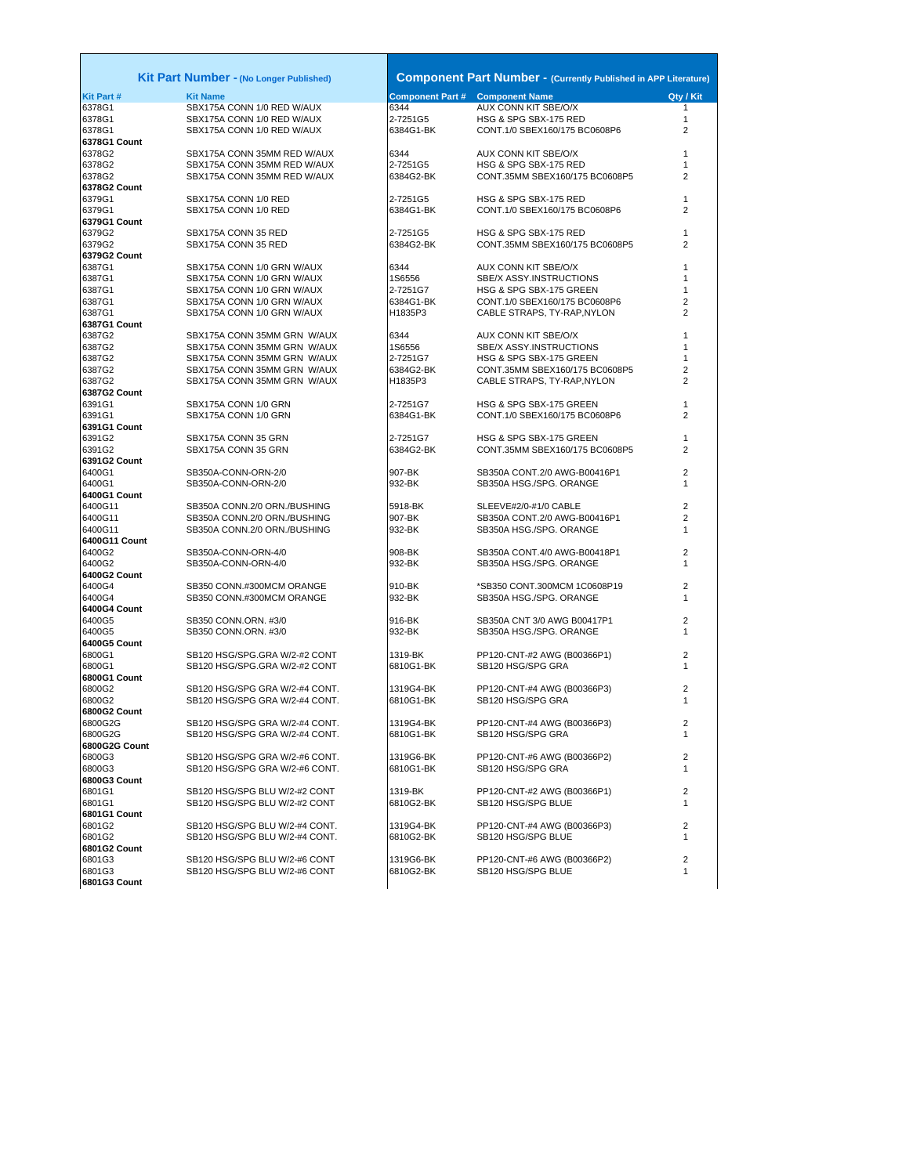|                        | Kit Part Number - (No Longer Published)                          |                                        | <b>Component Part Number - (Currently Published in APP Literature)</b> |                |
|------------------------|------------------------------------------------------------------|----------------------------------------|------------------------------------------------------------------------|----------------|
| Kit Part #             | <b>Kit Name</b>                                                  | <b>Component Part # Component Name</b> |                                                                        | Qty / Kit      |
| 6378G1                 | SBX175A CONN 1/0 RED W/AUX                                       | 6344                                   | AUX CONN KIT SBE/O/X                                                   | 1              |
| 6378G1                 | SBX175A CONN 1/0 RED W/AUX                                       | 2-7251G5                               | HSG & SPG SBX-175 RED                                                  | 1              |
| 6378G1                 | SBX175A CONN 1/0 RED W/AUX                                       | 6384G1-BK                              | CONT.1/0 SBEX160/175 BC0608P6                                          | 2              |
| 6378G1 Count           |                                                                  |                                        |                                                                        |                |
| 6378G2                 | SBX175A CONN 35MM RED W/AUX                                      | 6344                                   | AUX CONN KIT SBE/O/X                                                   | 1              |
| 6378G2                 | SBX175A CONN 35MM RED W/AUX                                      | 2-7251G5                               | HSG & SPG SBX-175 RED                                                  | 1              |
| 6378G2                 | SBX175A CONN 35MM RED W/AUX                                      | 6384G2-BK                              | CONT.35MM SBEX160/175 BC0608P5                                         | $\overline{2}$ |
| 6378G2 Count           |                                                                  |                                        |                                                                        |                |
| 6379G1                 | SBX175A CONN 1/0 RED                                             | 2-7251G5                               | HSG & SPG SBX-175 RED                                                  | 1              |
| 6379G1                 | SBX175A CONN 1/0 RED                                             | 6384G1-BK                              | CONT.1/0 SBEX160/175 BC0608P6                                          | 2              |
| 6379G1 Count           |                                                                  |                                        |                                                                        |                |
| 6379G2                 | SBX175A CONN 35 RED                                              | 2-7251G5                               | HSG & SPG SBX-175 RED                                                  | 1              |
| 6379G2                 | SBX175A CONN 35 RED                                              | 6384G2-BK                              | CONT.35MM SBEX160/175 BC0608P5                                         | 2              |
| 6379G2 Count           |                                                                  |                                        |                                                                        |                |
| 6387G1                 | SBX175A CONN 1/0 GRN W/AUX                                       | 6344                                   | AUX CONN KIT SBE/O/X                                                   | 1              |
| 6387G1                 | SBX175A CONN 1/0 GRN W/AUX                                       | 1S6556                                 | SBE/X ASSY.INSTRUCTIONS                                                | 1              |
| 6387G1                 | SBX175A CONN 1/0 GRN W/AUX                                       | 2-7251G7                               | HSG & SPG SBX-175 GREEN                                                | 1<br>2         |
| 6387G1<br>6387G1       | SBX175A CONN 1/0 GRN W/AUX                                       | 6384G1-BK<br>H1835P3                   | CONT.1/0 SBEX160/175 BC0608P6                                          | 2              |
| 6387G1 Count           | SBX175A CONN 1/0 GRN W/AUX                                       |                                        | CABLE STRAPS, TY-RAP, NYLON                                            |                |
| 6387G2                 | SBX175A CONN 35MM GRN W/AUX                                      | 6344                                   | AUX CONN KIT SBE/O/X                                                   | 1              |
| 6387G2                 | SBX175A CONN 35MM GRN W/AUX                                      | 1S6556                                 | SBE/X ASSY.INSTRUCTIONS                                                | 1              |
| 6387G2                 | SBX175A CONN 35MM GRN W/AUX                                      | 2-7251G7                               | HSG & SPG SBX-175 GREEN                                                | 1              |
| 6387G2                 | SBX175A CONN 35MM GRN W/AUX                                      | 6384G2-BK                              | CONT.35MM SBEX160/175 BC0608P5                                         | 2              |
| 6387G2                 | SBX175A CONN 35MM GRN W/AUX                                      | H1835P3                                | CABLE STRAPS, TY-RAP, NYLON                                            | 2              |
| 6387G2 Count           |                                                                  |                                        |                                                                        |                |
| 6391G1                 | SBX175A CONN 1/0 GRN                                             | 2-7251G7                               | HSG & SPG SBX-175 GREEN                                                | 1              |
| 6391G1                 | SBX175A CONN 1/0 GRN                                             | 6384G1-BK                              | CONT.1/0 SBEX160/175 BC0608P6                                          | 2              |
| 6391G1 Count           |                                                                  |                                        |                                                                        |                |
| 6391G2                 | SBX175A CONN 35 GRN                                              | 2-7251G7                               | HSG & SPG SBX-175 GREEN                                                | 1              |
| 6391G2                 | SBX175A CONN 35 GRN                                              | 6384G2-BK                              | CONT.35MM SBEX160/175 BC0608P5                                         | 2              |
| 6391G2 Count           |                                                                  |                                        |                                                                        |                |
| 6400G1                 | SB350A-CONN-ORN-2/0                                              | 907-BK                                 | SB350A CONT.2/0 AWG-B00416P1                                           | $\overline{c}$ |
| 6400G1                 | SB350A-CONN-ORN-2/0                                              | 932-BK                                 | SB350A HSG./SPG. ORANGE                                                | 1              |
| 6400G1 Count           |                                                                  |                                        |                                                                        |                |
| 6400G11                | SB350A CONN.2/0 ORN./BUSHING                                     | 5918-BK                                | SLEEVE#2/0-#1/0 CABLE                                                  | $\overline{2}$ |
| 6400G11                | SB350A CONN.2/0 ORN./BUSHING                                     | 907-BK                                 | SB350A CONT.2/0 AWG-B00416P1                                           | 2              |
| 6400G11                | SB350A CONN.2/0 ORN./BUSHING                                     | 932-BK                                 | SB350A HSG./SPG. ORANGE                                                | 1              |
| 6400G11 Count          |                                                                  |                                        |                                                                        |                |
| 6400G2                 | SB350A-CONN-ORN-4/0                                              | 908-BK                                 | SB350A CONT.4/0 AWG-B00418P1                                           | 2              |
| 6400G2                 | SB350A-CONN-ORN-4/0                                              | 932-BK                                 | SB350A HSG./SPG. ORANGE                                                | 1              |
| 6400G2 Count<br>6400G4 | SB350 CONN.#300MCM ORANGE                                        | 910-BK                                 |                                                                        | $\overline{2}$ |
| 6400G4                 | SB350 CONN.#300MCM ORANGE                                        | 932-BK                                 | *SB350 CONT.300MCM 1C0608P19<br>SB350A HSG./SPG. ORANGE                | 1              |
| 6400G4 Count           |                                                                  |                                        |                                                                        |                |
| 6400G5                 | SB350 CONN.ORN. #3/0                                             | 916-BK                                 | SB350A CNT 3/0 AWG B00417P1                                            | 2              |
| 6400G5                 | SB350 CONN.ORN. #3/0                                             | 932-BK                                 | SB350A HSG./SPG. ORANGE                                                | 1              |
| 6400G5 Count           |                                                                  |                                        |                                                                        |                |
| 6800G1                 | SB120 HSG/SPG.GRA W/2-#2 CONT                                    | 1319-BK                                | PP120-CNT-#2 AWG (B00366P1)                                            | 2              |
| 6800G1                 | SB120 HSG/SPG.GRA W/2-#2 CONT                                    | 6810G1-BK                              | SB120 HSG/SPG GRA                                                      | 1              |
| 6800G1 Count           |                                                                  |                                        |                                                                        |                |
| 6800G2                 | SB120 HSG/SPG GRA W/2-#4 CONT.                                   | 1319G4-BK                              | PP120-CNT-#4 AWG (B00366P3)                                            | $\overline{2}$ |
| 6800G2                 | SB120 HSG/SPG GRA W/2-#4 CONT.                                   | 6810G1-BK                              | SB120 HSG/SPG GRA                                                      | 1              |
| 6800G2 Count           |                                                                  |                                        |                                                                        |                |
| 6800G2G                | SB120 HSG/SPG GRA W/2-#4 CONT.                                   | 1319G4-BK                              | PP120-CNT-#4 AWG (B00366P3)                                            | 2              |
| 6800G2G                | SB120 HSG/SPG GRA W/2-#4 CONT.                                   | 6810G1-BK                              | SB120 HSG/SPG GRA                                                      | 1              |
| 6800G2G Count          |                                                                  |                                        |                                                                        |                |
| 6800G3                 | SB120 HSG/SPG GRA W/2-#6 CONT.                                   | 1319G6-BK                              | PP120-CNT-#6 AWG (B00366P2)                                            | 2              |
| 6800G3                 | SB120 HSG/SPG GRA W/2-#6 CONT.                                   | 6810G1-BK                              | SB120 HSG/SPG GRA                                                      | 1              |
| 6800G3 Count           |                                                                  |                                        |                                                                        |                |
| 6801G1                 | SB120 HSG/SPG BLU W/2-#2 CONT                                    | 1319-BK                                | PP120-CNT-#2 AWG (B00366P1)                                            | 2              |
| 6801G1<br>6801G1 Count | SB120 HSG/SPG BLU W/2-#2 CONT                                    | 6810G2-BK                              | SB120 HSG/SPG BLUE                                                     | 1              |
|                        |                                                                  |                                        |                                                                        | 2              |
| 6801G2<br>6801G2       | SB120 HSG/SPG BLU W/2-#4 CONT.<br>SB120 HSG/SPG BLU W/2-#4 CONT. | 1319G4-BK<br>6810G2-BK                 | PP120-CNT-#4 AWG (B00366P3)<br>SB120 HSG/SPG BLUE                      | 1              |
| 6801G2 Count           |                                                                  |                                        |                                                                        |                |
| 6801G3                 | SB120 HSG/SPG BLU W/2-#6 CONT                                    | 1319G6-BK                              | PP120-CNT-#6 AWG (B00366P2)                                            | 2              |
| 6801G3                 | SB120 HSG/SPG BLU W/2-#6 CONT                                    | 6810G2-BK                              | SB120 HSG/SPG BLUE                                                     | 1              |
| 6801G3 Count           |                                                                  |                                        |                                                                        |                |
|                        |                                                                  |                                        |                                                                        |                |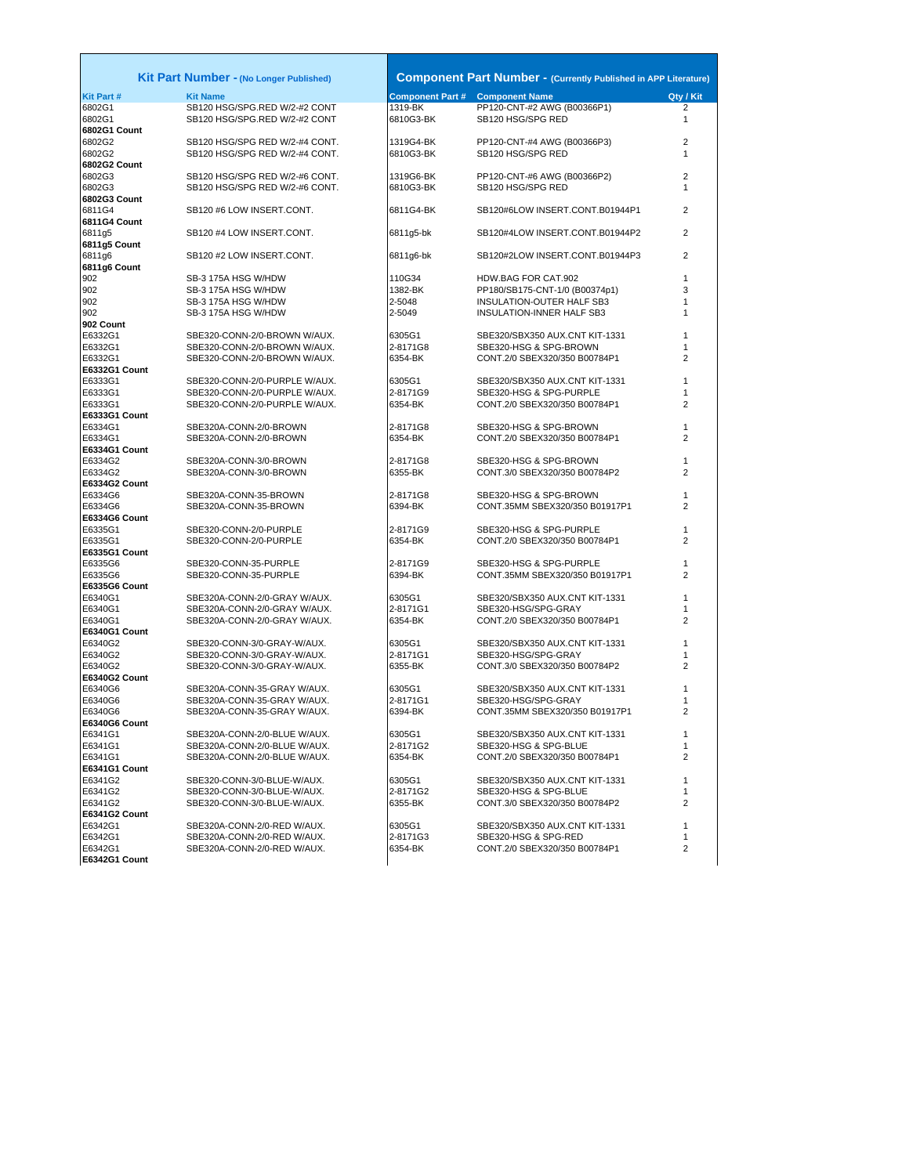| Kit Part Number - (No Longer Published) |                                                            | <b>Component Part Number - (Currently Published in APP Literature)</b> |                                                           |                     |  |
|-----------------------------------------|------------------------------------------------------------|------------------------------------------------------------------------|-----------------------------------------------------------|---------------------|--|
| Kit Part #                              | <b>Kit Name</b>                                            | <b>Component Part # Component Name</b>                                 |                                                           | Qty / Kit           |  |
| 6802G1                                  | SB120 HSG/SPG.RED W/2-#2 CONT                              | 1319-BK                                                                | PP120-CNT-#2 AWG (B00366P1)                               | 2                   |  |
| 6802G1                                  | SB120 HSG/SPG.RED W/2-#2 CONT                              | 6810G3-BK                                                              | SB120 HSG/SPG RED                                         | $\mathbf{1}$        |  |
| 6802G1 Count                            |                                                            |                                                                        |                                                           |                     |  |
| 6802G2                                  | SB120 HSG/SPG RED W/2-#4 CONT.                             | 1319G4-BK                                                              | PP120-CNT-#4 AWG (B00366P3)                               | 2                   |  |
| 6802G2                                  | SB120 HSG/SPG RED W/2-#4 CONT.                             | 6810G3-BK                                                              | SB120 HSG/SPG RED                                         | 1                   |  |
| 6802G2 Count                            |                                                            |                                                                        |                                                           |                     |  |
| 6802G3                                  | SB120 HSG/SPG RED W/2-#6 CONT.                             | 1319G6-BK                                                              | PP120-CNT-#6 AWG (B00366P2)                               | $\overline{2}$      |  |
| 6802G3<br>6802G3 Count                  | SB120 HSG/SPG RED W/2-#6 CONT.                             | 6810G3-BK                                                              | SB120 HSG/SPG RED                                         | 1                   |  |
| 6811G4                                  | SB120 #6 LOW INSERT.CONT.                                  | 6811G4-BK                                                              | SB120#6LOW INSERT.CONT.B01944P1                           | 2                   |  |
| 6811G4 Count                            |                                                            |                                                                        |                                                           |                     |  |
| 6811q5                                  | SB120 #4 LOW INSERT.CONT.                                  | 6811g5-bk                                                              | SB120#4LOW INSERT.CONT.B01944P2                           | 2                   |  |
| 6811g5 Count                            |                                                            |                                                                        |                                                           |                     |  |
| 6811q6                                  | SB120 #2 LOW INSERT.CONT.                                  | 6811q6-bk                                                              | SB120#2LOW INSERT.CONT.B01944P3                           | $\overline{2}$      |  |
| 6811g6 Count                            |                                                            |                                                                        |                                                           |                     |  |
| 902                                     | SB-3 175A HSG W/HDW                                        | 110G34                                                                 | HDW.BAG FOR CAT.902                                       | 1                   |  |
| 902                                     | SB-3 175A HSG W/HDW                                        | 1382-BK                                                                | PP180/SB175-CNT-1/0 (B00374p1)                            | 3                   |  |
| 902                                     | SB-3 175A HSG W/HDW                                        | 2-5048                                                                 | INSULATION-OUTER HALF SB3                                 | 1                   |  |
| 902                                     | SB-3 175A HSG W/HDW                                        | 2-5049                                                                 | INSULATION-INNER HALF SB3                                 | 1                   |  |
| 902 Count                               |                                                            |                                                                        |                                                           |                     |  |
| E6332G1                                 | SBE320-CONN-2/0-BROWN W/AUX.                               | 6305G1                                                                 | SBE320/SBX350 AUX.CNT KIT-1331                            | 1                   |  |
| E6332G1                                 | SBE320-CONN-2/0-BROWN W/AUX.                               | 2-8171G8                                                               | SBE320-HSG & SPG-BROWN                                    | 1                   |  |
| E6332G1                                 | SBE320-CONN-2/0-BROWN W/AUX.                               | 6354-BK                                                                | CONT.2/0 SBEX320/350 B00784P1                             | $\overline{2}$      |  |
| E6332G1 Count                           | SBE320-CONN-2/0-PURPLE W/AUX.                              | 6305G1                                                                 |                                                           | 1                   |  |
| E6333G1<br>E6333G1                      | SBE320-CONN-2/0-PURPLE W/AUX.                              | 2-8171G9                                                               | SBE320/SBX350 AUX.CNT KIT-1331<br>SBE320-HSG & SPG-PURPLE | 1                   |  |
| E6333G1                                 | SBE320-CONN-2/0-PURPLE W/AUX.                              | 6354-BK                                                                | CONT.2/0 SBEX320/350 B00784P1                             | 2                   |  |
| E6333G1 Count                           |                                                            |                                                                        |                                                           |                     |  |
| E6334G1                                 | SBE320A-CONN-2/0-BROWN                                     | 2-8171G8                                                               | SBE320-HSG & SPG-BROWN                                    | 1                   |  |
| E6334G1                                 | SBE320A-CONN-2/0-BROWN                                     | 6354-BK                                                                | CONT.2/0 SBEX320/350 B00784P1                             | $\overline{2}$      |  |
| E6334G1 Count                           |                                                            |                                                                        |                                                           |                     |  |
| E6334G2                                 | SBE320A-CONN-3/0-BROWN                                     | 2-8171G8                                                               | SBE320-HSG & SPG-BROWN                                    | 1                   |  |
| E6334G2                                 | SBE320A-CONN-3/0-BROWN                                     | 6355-BK                                                                | CONT.3/0 SBEX320/350 B00784P2                             | 2                   |  |
| E6334G2 Count                           |                                                            |                                                                        |                                                           |                     |  |
| E6334G6                                 | SBE320A-CONN-35-BROWN                                      | 2-8171G8                                                               | SBE320-HSG & SPG-BROWN                                    | 1                   |  |
| E6334G6                                 | SBE320A-CONN-35-BROWN                                      | 6394-BK                                                                | CONT.35MM SBEX320/350 B01917P1                            | 2                   |  |
| E6334G6 Count                           |                                                            |                                                                        |                                                           |                     |  |
| E6335G1                                 | SBE320-CONN-2/0-PURPLE                                     | 2-8171G9                                                               | SBE320-HSG & SPG-PURPLE                                   | 1                   |  |
| E6335G1<br>E6335G1 Count                | SBE320-CONN-2/0-PURPLE                                     | 6354-BK                                                                | CONT.2/0 SBEX320/350 B00784P1                             | $\overline{2}$      |  |
| E6335G6                                 | SBE320-CONN-35-PURPLE                                      | 2-8171G9                                                               | SBE320-HSG & SPG-PURPLE                                   | 1                   |  |
| E6335G6                                 | SBE320-CONN-35-PURPLE                                      | 6394-BK                                                                | CONT.35MM SBEX320/350 B01917P1                            | 2                   |  |
| E6335G6 Count                           |                                                            |                                                                        |                                                           |                     |  |
| E6340G1                                 | SBE320A-CONN-2/0-GRAY W/AUX.                               | 6305G1                                                                 | SBE320/SBX350 AUX.CNT KIT-1331                            | 1                   |  |
| E6340G1                                 | SBE320A-CONN-2/0-GRAY W/AUX.                               | 2-8171G1                                                               | SBE320-HSG/SPG-GRAY                                       | 1                   |  |
| E6340G1                                 | SBE320A-CONN-2/0-GRAY W/AUX.                               | 6354-BK                                                                | CONT.2/0 SBEX320/350 B00784P1                             | 2                   |  |
| E6340G1 Count                           |                                                            |                                                                        |                                                           |                     |  |
| E6340G2                                 | SBE320-CONN-3/0-GRAY-W/AUX.                                | 6305G1                                                                 | SBE320/SBX350 AUX.CNT KIT-1331                            | 1                   |  |
| E6340G2                                 | SBE320-CONN-3/0-GRAY-W/AUX.                                | 2-8171G1                                                               | SBE320-HSG/SPG-GRAY                                       | 1                   |  |
| E6340G2                                 | SBE320-CONN-3/0-GRAY-W/AUX.                                | 6355-BK                                                                | CONT.3/0 SBEX320/350 B00784P2                             | 2                   |  |
| E6340G2 Count                           |                                                            |                                                                        |                                                           |                     |  |
| E6340G6                                 | SBE320A-CONN-35-GRAY W/AUX.                                | 6305G1                                                                 | SBE320/SBX350 AUX.CNT KIT-1331                            | 1                   |  |
| E6340G6<br>E6340G6                      | SBE320A-CONN-35-GRAY W/AUX.<br>SBE320A-CONN-35-GRAY W/AUX. | 2-8171G1<br>6394-BK                                                    | SBE320-HSG/SPG-GRAY<br>CONT.35MM SBEX320/350 B01917P1     | 1<br>$\overline{2}$ |  |
| E6340G6 Count                           |                                                            |                                                                        |                                                           |                     |  |
| E6341G1                                 | SBE320A-CONN-2/0-BLUE W/AUX.                               | 6305G1                                                                 | SBE320/SBX350 AUX.CNT KIT-1331                            |                     |  |
| E6341G1                                 | SBE320A-CONN-2/0-BLUE W/AUX.                               | 2-8171G2                                                               | SBE320-HSG & SPG-BLUE                                     | $\mathbf{1}$        |  |
| E6341G1                                 | SBE320A-CONN-2/0-BLUE W/AUX.                               | 6354-BK                                                                | CONT.2/0 SBEX320/350 B00784P1                             | 2                   |  |
| E6341G1 Count                           |                                                            |                                                                        |                                                           |                     |  |
| E6341G2                                 | SBE320-CONN-3/0-BLUE-W/AUX.                                | 6305G1                                                                 | SBE320/SBX350 AUX.CNT KIT-1331                            | $\mathbf{1}$        |  |
| E6341G2                                 | SBE320-CONN-3/0-BLUE-W/AUX.                                | 2-8171G2                                                               | SBE320-HSG & SPG-BLUE                                     | 1                   |  |
| E6341G2                                 | SBE320-CONN-3/0-BLUE-W/AUX.                                | 6355-BK                                                                | CONT.3/0 SBEX320/350 B00784P2                             | 2                   |  |
| E6341G2 Count                           |                                                            |                                                                        |                                                           |                     |  |
| E6342G1                                 | SBE320A-CONN-2/0-RED W/AUX.                                | 6305G1                                                                 | SBE320/SBX350 AUX.CNT KIT-1331                            | 1                   |  |
| E6342G1                                 | SBE320A-CONN-2/0-RED W/AUX.                                | 2-8171G3                                                               | SBE320-HSG & SPG-RED                                      | 1                   |  |
| E6342G1                                 | SBE320A-CONN-2/0-RED W/AUX.                                | 6354-BK                                                                | CONT.2/0 SBEX320/350 B00784P1                             | 2                   |  |
| E6342G1 Count                           |                                                            |                                                                        |                                                           |                     |  |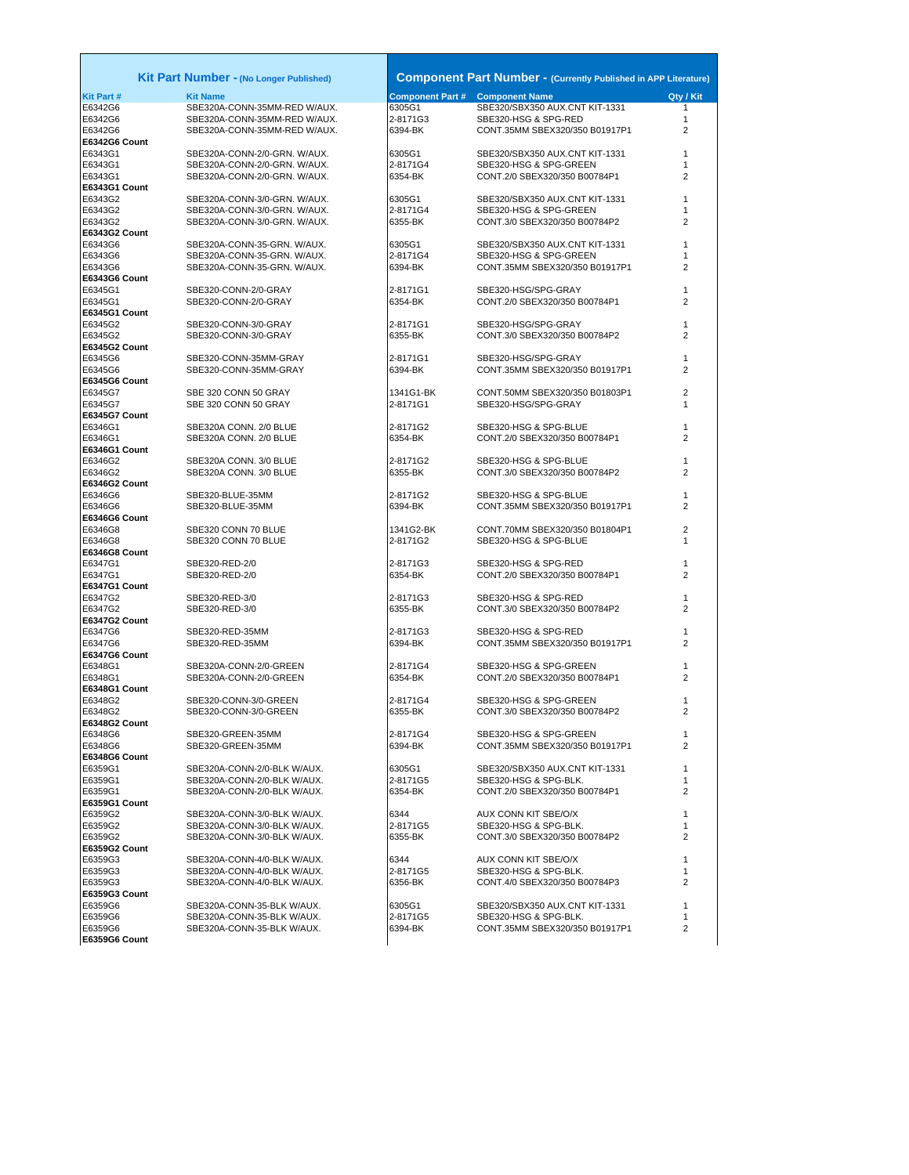|                          | Kit Part Number - (No Longer Published)      |                                        | <b>Component Part Number - (Currently Published in APP Literature)</b> |           |
|--------------------------|----------------------------------------------|----------------------------------------|------------------------------------------------------------------------|-----------|
| Kit Part #               | <b>Kit Name</b>                              | <b>Component Part # Component Name</b> |                                                                        | Qtv / Kit |
| E6342G6                  | SBE320A-CONN-35MM-RED W/AUX.                 | 6305G1                                 | SBE320/SBX350 AUX.CNT KIT-1331                                         | 1         |
| E6342G6                  | SBE320A-CONN-35MM-RED W/AUX.                 | 2-8171G3                               | SBE320-HSG & SPG-RED                                                   | 1         |
| E6342G6<br>E6342G6 Count | SBE320A-CONN-35MM-RED W/AUX.                 | 6394-BK                                | CONT.35MM SBEX320/350 B01917P1                                         | 2         |
| E6343G1                  | SBE320A-CONN-2/0-GRN. W/AUX.                 | 6305G1                                 | SBE320/SBX350 AUX.CNT KIT-1331                                         | 1         |
| E6343G1                  | SBE320A-CONN-2/0-GRN. W/AUX.                 | 2-8171G4                               | SBE320-HSG & SPG-GREEN                                                 | 1         |
| E6343G1<br>E6343G1 Count | SBE320A-CONN-2/0-GRN. W/AUX.                 | 6354-BK                                | CONT.2/0 SBEX320/350 B00784P1                                          | 2         |
| E6343G2                  | SBE320A-CONN-3/0-GRN. W/AUX.                 | 6305G1                                 | SBE320/SBX350 AUX.CNT KIT-1331                                         | 1         |
| E6343G2                  | SBE320A-CONN-3/0-GRN. W/AUX.                 | 2-8171G4                               | SBE320-HSG & SPG-GREEN                                                 | 1         |
| E6343G2<br>E6343G2 Count | SBE320A-CONN-3/0-GRN. W/AUX.                 | 6355-BK                                | CONT.3/0 SBEX320/350 B00784P2                                          | 2         |
| E6343G6                  | SBE320A-CONN-35-GRN. W/AUX.                  | 6305G1                                 | SBE320/SBX350 AUX.CNT KIT-1331                                         | 1         |
| E6343G6                  | SBE320A-CONN-35-GRN. W/AUX.                  | 2-8171G4                               | SBE320-HSG & SPG-GREEN                                                 | 1         |
| E6343G6                  | SBE320A-CONN-35-GRN. W/AUX.                  | 6394-BK                                | CONT.35MM SBEX320/350 B01917P1                                         | 2         |
| E6343G6 Count            |                                              |                                        |                                                                        |           |
| E6345G1                  | SBE320-CONN-2/0-GRAY                         | 2-8171G1                               | SBE320-HSG/SPG-GRAY                                                    | 1         |
| E6345G1                  | SBE320-CONN-2/0-GRAY                         | 6354-BK                                | CONT.2/0 SBEX320/350 B00784P1                                          | 2         |
| E6345G1 Count            |                                              |                                        |                                                                        |           |
| E6345G2<br>E6345G2       | SBE320-CONN-3/0-GRAY<br>SBE320-CONN-3/0-GRAY | 2-8171G1<br>6355-BK                    | SBE320-HSG/SPG-GRAY<br>CONT.3/0 SBEX320/350 B00784P2                   | 1<br>2    |
| E6345G2 Count            |                                              |                                        |                                                                        |           |
| E6345G6                  | SBE320-CONN-35MM-GRAY                        | 2-8171G1                               | SBE320-HSG/SPG-GRAY                                                    | 1         |
| E6345G6                  | SBE320-CONN-35MM-GRAY                        | 6394-BK                                | CONT.35MM SBEX320/350 B01917P1                                         | 2         |
| E6345G6 Count            |                                              |                                        |                                                                        |           |
| E6345G7                  | SBE 320 CONN 50 GRAY                         | 1341G1-BK                              | CONT.50MM SBEX320/350 B01803P1                                         | 2         |
| E6345G7                  | SBE 320 CONN 50 GRAY                         | 2-8171G1                               | SBE320-HSG/SPG-GRAY                                                    | 1         |
| E6345G7 Count            |                                              |                                        |                                                                        |           |
| E6346G1                  | SBE320A CONN. 2/0 BLUE                       | 2-8171G2                               | SBE320-HSG & SPG-BLUE                                                  | 1         |
| E6346G1<br>E6346G1 Count | SBE320A CONN. 2/0 BLUE                       | 6354-BK                                | CONT.2/0 SBEX320/350 B00784P1                                          | 2         |
| E6346G2                  | SBE320A CONN. 3/0 BLUE                       | 2-8171G2                               | SBE320-HSG & SPG-BLUE                                                  | 1         |
| E6346G2                  | SBE320A CONN. 3/0 BLUE                       | 6355-BK                                | CONT.3/0 SBEX320/350 B00784P2                                          | 2         |
| E6346G2 Count            |                                              |                                        |                                                                        |           |
| E6346G6                  | SBE320-BLUE-35MM                             | 2-8171G2                               | SBE320-HSG & SPG-BLUE                                                  | 1         |
| E6346G6                  | SBE320-BLUE-35MM                             | 6394-BK                                | CONT.35MM SBEX320/350 B01917P1                                         | 2         |
| E6346G6 Count            |                                              |                                        |                                                                        |           |
| E6346G8<br>E6346G8       | SBE320 CONN 70 BLUE                          | 1341G2-BK<br>2-8171G2                  | CONT.70MM SBEX320/350 B01804P1<br>SBE320-HSG & SPG-BLUE                | 2<br>1    |
| E6346G8 Count            | SBE320 CONN 70 BLUE                          |                                        |                                                                        |           |
| E6347G1                  | SBE320-RED-2/0                               | 2-8171G3                               | SBE320-HSG & SPG-RED                                                   | 1         |
| E6347G1                  | SBE320-RED-2/0                               | 6354-BK                                | CONT.2/0 SBEX320/350 B00784P1                                          | 2         |
| E6347G1 Count            |                                              |                                        |                                                                        |           |
| E6347G2                  | SBE320-RED-3/0                               | 2-8171G3                               | SBE320-HSG & SPG-RED                                                   | 1         |
| E6347G2                  | SBE320-RED-3/0                               | 6355-BK                                | CONT.3/0 SBEX320/350 B00784P2                                          | 2         |
| E6347G2 Count            |                                              |                                        |                                                                        |           |
| E6347G6<br>E6347G6       | SBE320-RED-35MM<br>SBE320-RED-35MM           | 2-8171G3<br>6394-BK                    | SBE320-HSG & SPG-RED<br>CONT.35MM SBEX320/350 B01917P1                 | 1<br>2    |
| E6347G6 Count            |                                              |                                        |                                                                        |           |
| E6348G1                  | SBE320A-CONN-2/0-GREEN                       | 2-8171G4                               | SBE320-HSG & SPG-GREEN                                                 | 1         |
| E6348G1                  | SBE320A-CONN-2/0-GREEN                       | 6354-BK                                | CONT.2/0 SBEX320/350 B00784P1                                          | 2         |
| E6348G1 Count            |                                              |                                        |                                                                        |           |
| E6348G2                  | SBE320-CONN-3/0-GREEN                        | 2-8171G4                               | SBE320-HSG & SPG-GREEN                                                 | 1         |
| E6348G2                  | SBE320-CONN-3/0-GREEN                        | 6355-BK                                | CONT.3/0 SBEX320/350 B00784P2                                          | 2         |
| E6348G2 Count            |                                              | 2-8171G4                               |                                                                        |           |
| E6348G6<br>E6348G6       | SBE320-GREEN-35MM<br>SBE320-GREEN-35MM       | 6394-BK                                | SBE320-HSG & SPG-GREEN<br>CONT.35MM SBEX320/350 B01917P1               | 2         |
| E6348G6 Count            |                                              |                                        |                                                                        |           |
| E6359G1                  | SBE320A-CONN-2/0-BLK W/AUX.                  | 6305G1                                 | SBE320/SBX350 AUX.CNT KIT-1331                                         | 1         |
| E6359G1                  | SBE320A-CONN-2/0-BLK W/AUX.                  | 2-8171G5                               | SBE320-HSG & SPG-BLK.                                                  | 1         |
| E6359G1                  | SBE320A-CONN-2/0-BLK W/AUX.                  | 6354-BK                                | CONT.2/0 SBEX320/350 B00784P1                                          | 2         |
| E6359G1 Count            |                                              |                                        |                                                                        |           |
| E6359G2                  | SBE320A-CONN-3/0-BLK W/AUX.                  | 6344                                   | AUX CONN KIT SBE/O/X                                                   | 1         |
| E6359G2                  | SBE320A-CONN-3/0-BLK W/AUX.                  | 2-8171G5                               | SBE320-HSG & SPG-BLK.                                                  | 1         |
| E6359G2<br>E6359G2 Count | SBE320A-CONN-3/0-BLK W/AUX.                  | 6355-BK                                | CONT.3/0 SBEX320/350 B00784P2                                          | 2         |
| E6359G3                  | SBE320A-CONN-4/0-BLK W/AUX.                  | 6344                                   | AUX CONN KIT SBE/O/X                                                   | 1         |
| E6359G3                  | SBE320A-CONN-4/0-BLK W/AUX.                  | 2-8171G5                               | SBE320-HSG & SPG-BLK.                                                  | 1         |
| E6359G3                  | SBE320A-CONN-4/0-BLK W/AUX.                  | 6356-BK                                | CONT.4/0 SBEX320/350 B00784P3                                          | 2         |
| E6359G3 Count            |                                              |                                        |                                                                        |           |
| E6359G6                  | SBE320A-CONN-35-BLK W/AUX.                   | 6305G1                                 | SBE320/SBX350 AUX.CNT KIT-1331                                         | 1         |
| E6359G6                  | SBE320A-CONN-35-BLK W/AUX.                   | 2-8171G5                               | SBE320-HSG & SPG-BLK.                                                  | 1         |
| E6359G6                  | SBE320A-CONN-35-BLK W/AUX.                   | 6394-BK                                | CONT.35MM SBEX320/350 B01917P1                                         | 2         |
| E6359G6 Count            |                                              |                                        |                                                                        |           |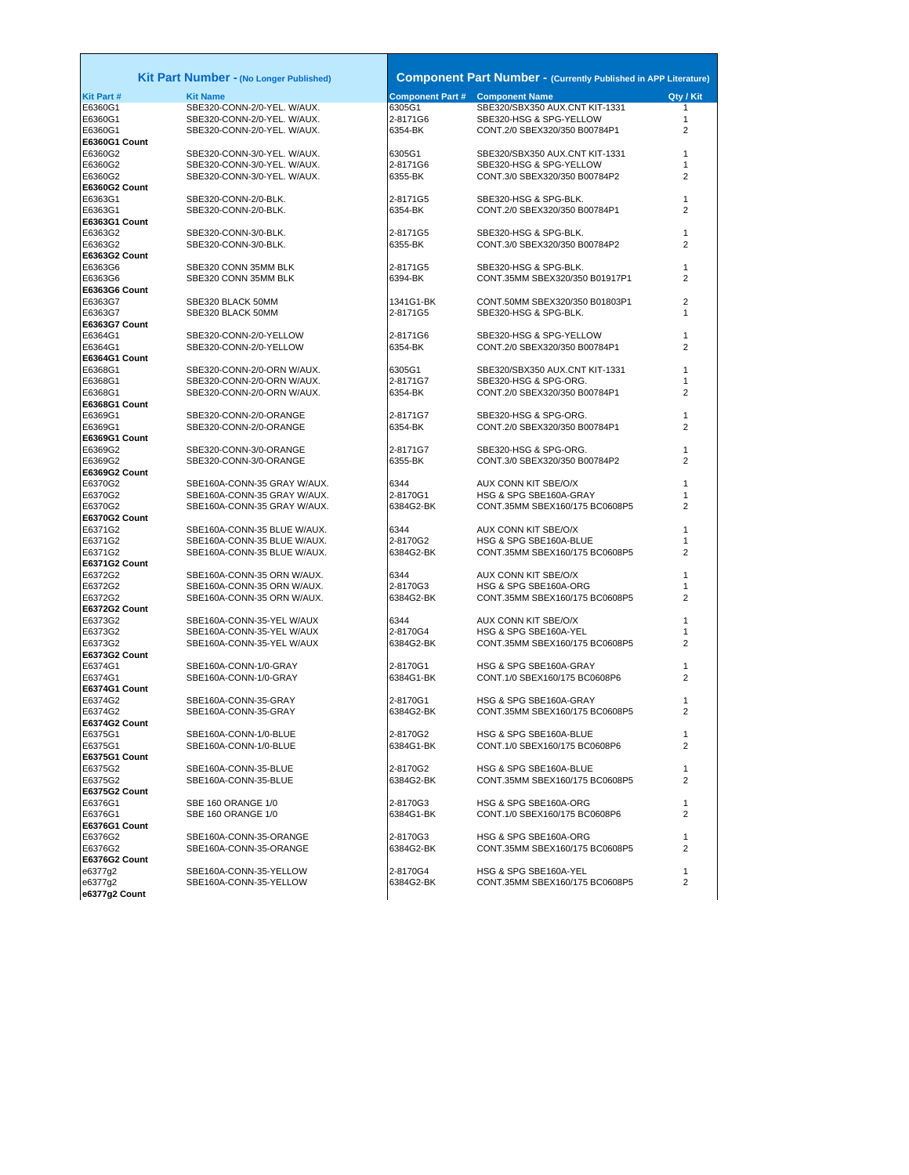|                  | Kit Part Number - (No Longer Published) |                                        | <b>Component Part Number - (Currently Published in APP Literature)</b> |                |
|------------------|-----------------------------------------|----------------------------------------|------------------------------------------------------------------------|----------------|
| <b>Kit Part#</b> | <b>Kit Name</b>                         | <b>Component Part # Component Name</b> |                                                                        | Qty / Kit      |
| E6360G1          | SBE320-CONN-2/0-YEL. W/AUX.             | 6305G1                                 | SBE320/SBX350 AUX.CNT KIT-1331                                         | $\mathbf{1}$   |
| E6360G1          | SBE320-CONN-2/0-YEL. W/AUX.             | 2-8171G6                               | SBE320-HSG & SPG-YELLOW                                                | 1              |
| E6360G1          | SBE320-CONN-2/0-YEL. W/AUX.             | 6354-BK                                | CONT.2/0 SBEX320/350 B00784P1                                          | 2              |
| E6360G1 Count    |                                         |                                        |                                                                        |                |
| E6360G2          | SBE320-CONN-3/0-YEL. W/AUX.             | 6305G1                                 | SBE320/SBX350 AUX.CNT KIT-1331                                         | 1              |
| E6360G2          | SBE320-CONN-3/0-YEL. W/AUX.             | 2-8171G6                               | SBE320-HSG & SPG-YELLOW                                                | $\mathbf{1}$   |
| E6360G2          | SBE320-CONN-3/0-YEL. W/AUX.             | 6355-BK                                | CONT.3/0 SBEX320/350 B00784P2                                          | $\overline{2}$ |
| E6360G2 Count    |                                         |                                        |                                                                        |                |
| E6363G1          | SBE320-CONN-2/0-BLK.                    | 2-8171G5                               | SBE320-HSG & SPG-BLK.                                                  | 1              |
| E6363G1          | SBE320-CONN-2/0-BLK.                    | 6354-BK                                | CONT.2/0 SBEX320/350 B00784P1                                          | 2              |
| E6363G1 Count    |                                         |                                        |                                                                        |                |
| E6363G2          | SBE320-CONN-3/0-BLK.                    | 2-8171G5                               | SBE320-HSG & SPG-BLK.                                                  | 1              |
| E6363G2          | SBE320-CONN-3/0-BLK.                    | 6355-BK                                | CONT.3/0 SBEX320/350 B00784P2                                          | 2              |
| E6363G2 Count    |                                         |                                        |                                                                        |                |
| E6363G6          | SBE320 CONN 35MM BLK                    | 2-8171G5                               | SBE320-HSG & SPG-BLK.                                                  | $\mathbf{1}$   |
|                  |                                         | 6394-BK                                | CONT.35MM SBEX320/350 B01917P1                                         | 2              |
| E6363G6          | SBE320 CONN 35MM BLK                    |                                        |                                                                        |                |
| E6363G6 Count    |                                         |                                        |                                                                        |                |
| E6363G7          | SBE320 BLACK 50MM                       | 1341G1-BK                              | CONT.50MM SBEX320/350 B01803P1                                         | 2              |
| E6363G7          | SBE320 BLACK 50MM                       | 2-8171G5                               | SBE320-HSG & SPG-BLK.                                                  | 1              |
| E6363G7 Count    |                                         |                                        |                                                                        |                |
| E6364G1          | SBE320-CONN-2/0-YELLOW                  | 2-8171G6                               | SBE320-HSG & SPG-YELLOW                                                | 1              |
| E6364G1          | SBE320-CONN-2/0-YELLOW                  | 6354-BK                                | CONT.2/0 SBEX320/350 B00784P1                                          | 2              |
| E6364G1 Count    |                                         |                                        |                                                                        |                |
| E6368G1          | SBE320-CONN-2/0-ORN W/AUX.              | 6305G1                                 | SBE320/SBX350 AUX.CNT KIT-1331                                         | 1              |
| E6368G1          | SBE320-CONN-2/0-ORN W/AUX.              | 2-8171G7                               | SBE320-HSG & SPG-ORG.                                                  | 1              |
| E6368G1          | SBE320-CONN-2/0-ORN W/AUX.              | 6354-BK                                | CONT.2/0 SBEX320/350 B00784P1                                          | 2              |
| E6368G1 Count    |                                         |                                        |                                                                        |                |
| E6369G1          | SBE320-CONN-2/0-ORANGE                  | 2-8171G7                               | SBE320-HSG & SPG-ORG.                                                  | 1              |
| E6369G1          | SBE320-CONN-2/0-ORANGE                  | 6354-BK                                | CONT.2/0 SBEX320/350 B00784P1                                          | 2              |
| E6369G1 Count    |                                         |                                        |                                                                        |                |
| E6369G2          | SBE320-CONN-3/0-ORANGE                  | 2-8171G7                               | SBE320-HSG & SPG-ORG.                                                  | 1              |
| E6369G2          | SBE320-CONN-3/0-ORANGE                  | 6355-BK                                | CONT.3/0 SBEX320/350 B00784P2                                          | 2              |
| E6369G2 Count    |                                         |                                        |                                                                        |                |
| E6370G2          | SBE160A-CONN-35 GRAY W/AUX.             | 6344                                   | AUX CONN KIT SBE/O/X                                                   | 1              |
| E6370G2          | SBE160A-CONN-35 GRAY W/AUX.             | 2-8170G1                               | HSG & SPG SBE160A-GRAY                                                 | 1              |
| E6370G2          | SBE160A-CONN-35 GRAY W/AUX.             | 6384G2-BK                              | CONT.35MM SBEX160/175 BC0608P5                                         | 2              |
| E6370G2 Count    |                                         |                                        |                                                                        |                |
| E6371G2          | SBE160A-CONN-35 BLUE W/AUX.             | 6344                                   | AUX CONN KIT SBE/O/X                                                   | 1              |
| E6371G2          | SBE160A-CONN-35 BLUE W/AUX.             | 2-8170G2                               | HSG & SPG SBE160A-BLUE                                                 | 1              |
| E6371G2          | SBE160A-CONN-35 BLUE W/AUX.             | 6384G2-BK                              | CONT.35MM SBEX160/175 BC0608P5                                         | 2              |
| E6371G2 Count    |                                         |                                        |                                                                        |                |
| E6372G2          | SBE160A-CONN-35 ORN W/AUX.              | 6344                                   | AUX CONN KIT SBE/O/X                                                   | 1              |
| E6372G2          | SBE160A-CONN-35 ORN W/AUX.              | 2-8170G3                               | HSG & SPG SBE160A-ORG                                                  | 1              |
| E6372G2          | SBE160A-CONN-35 ORN W/AUX.              | 6384G2-BK                              | CONT.35MM SBEX160/175 BC0608P5                                         | 2              |
| E6372G2 Count    |                                         |                                        |                                                                        |                |
| E6373G2          | SBE160A-CONN-35-YEL W/AUX               | 6344                                   | AUX CONN KIT SBE/O/X                                                   | 1              |
| E6373G2          | SBE160A-CONN-35-YEL W/AUX               | 2-8170G4                               | HSG & SPG SBE160A-YEL                                                  | 1              |
| E6373G2          | SBE160A-CONN-35-YEL W/AUX               | 6384G2-BK                              | CONT.35MM SBEX160/175 BC0608P5                                         | 2              |
|                  |                                         |                                        |                                                                        |                |
| E6373G2 Count    |                                         |                                        | HSG & SPG SBE160A-GRAY                                                 |                |
| E6374G1          | SBE160A-CONN-1/0-GRAY                   | 2-8170G1                               | CONT.1/0 SBEX160/175 BC0608P6                                          | 1              |
| E6374G1          | SBE160A-CONN-1/0-GRAY                   | 6384G1-BK                              |                                                                        | 2              |
| E6374G1 Count    |                                         |                                        |                                                                        |                |
| E6374G2          | SBE160A-CONN-35-GRAY                    | 2-8170G1                               | HSG & SPG SBE160A-GRAY                                                 | 1              |
| E6374G2          | SBE160A-CONN-35-GRAY                    | 6384G2-BK                              | CONT.35MM SBEX160/175 BC0608P5                                         | 2              |
| E6374G2 Count    |                                         |                                        |                                                                        |                |
| E6375G1          | SBE160A-CONN-1/0-BLUE                   | 2-8170G2                               | HSG & SPG SBE160A-BLUE                                                 | 1              |
| E6375G1          | SBE160A-CONN-1/0-BLUE                   | 6384G1-BK                              | CONT.1/0 SBEX160/175 BC0608P6                                          | 2              |
| E6375G1 Count    |                                         |                                        |                                                                        |                |
| E6375G2          | SBE160A-CONN-35-BLUE                    | 2-8170G2                               | HSG & SPG SBE160A-BLUE                                                 | 1              |
| E6375G2          | SBE160A-CONN-35-BLUE                    | 6384G2-BK                              | CONT.35MM SBEX160/175 BC0608P5                                         | 2              |
| E6375G2 Count    |                                         |                                        |                                                                        |                |
| E6376G1          | SBE 160 ORANGE 1/0                      | 2-8170G3                               | HSG & SPG SBE160A-ORG                                                  | $\mathbf{1}$   |
| E6376G1          | SBE 160 ORANGE 1/0                      | 6384G1-BK                              | CONT.1/0 SBEX160/175 BC0608P6                                          | 2              |
| E6376G1 Count    |                                         |                                        |                                                                        |                |
| E6376G2          | SBE160A-CONN-35-ORANGE                  | 2-8170G3                               | HSG & SPG SBE160A-ORG                                                  | $\mathbf{1}$   |
| E6376G2          | SBE160A-CONN-35-ORANGE                  | 6384G2-BK                              | CONT.35MM SBEX160/175 BC0608P5                                         | 2              |
| E6376G2 Count    |                                         |                                        |                                                                        |                |
| e6377g2          | SBE160A-CONN-35-YELLOW                  | 2-8170G4                               | HSG & SPG SBE160A-YEL                                                  | 1              |
| e6377g2          | SBE160A-CONN-35-YELLOW                  | 6384G2-BK                              | CONT.35MM SBEX160/175 BC0608P5                                         | 2              |
| e6377g2 Count    |                                         |                                        |                                                                        |                |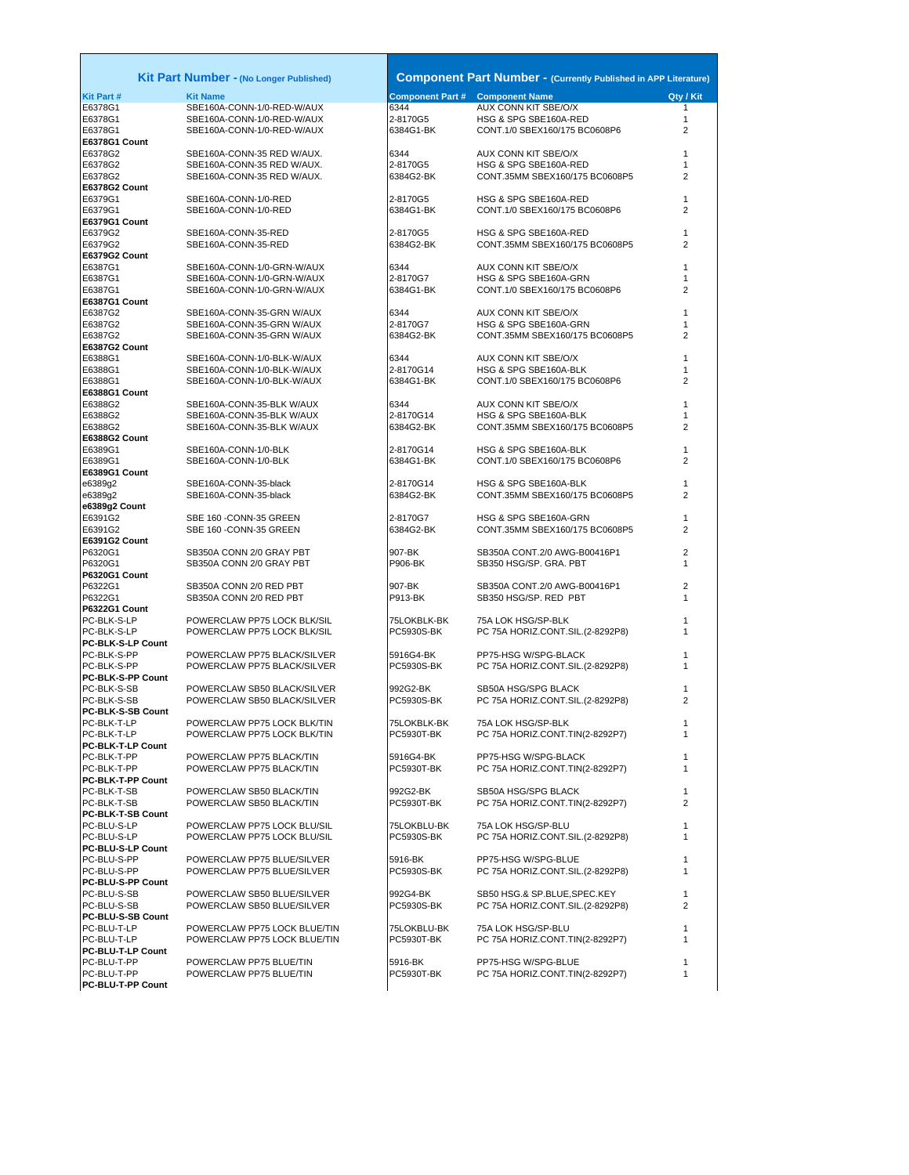|                                  | <b>Kit Part Number - (No Longer Published)</b>         |                       | <b>Component Part Number - (Currently Published in APP Literature)</b> |                |
|----------------------------------|--------------------------------------------------------|-----------------------|------------------------------------------------------------------------|----------------|
| Kit Part #                       | <b>Kit Name</b>                                        |                       | <b>Component Part # Component Name</b>                                 | Qty / Kit      |
| E6378G1                          | SBE160A-CONN-1/0-RED-W/AUX                             | 6344                  | AUX CONN KIT SBE/O/X                                                   | 1              |
| E6378G1                          | SBE160A-CONN-1/0-RED-W/AUX                             | 2-8170G5              | HSG & SPG SBE160A-RED                                                  | $\mathbf{1}$   |
| E6378G1                          | SBE160A-CONN-1/0-RED-W/AUX                             | 6384G1-BK             | CONT.1/0 SBEX160/175 BC0608P6                                          | 2              |
| E6378G1 Count<br>E6378G2         | SBE160A-CONN-35 RED W/AUX.                             | 6344                  | AUX CONN KIT SBE/O/X                                                   | 1              |
| E6378G2                          | SBE160A-CONN-35 RED W/AUX.                             | 2-8170G5              | HSG & SPG SBE160A-RED                                                  | 1              |
| E6378G2                          | SBE160A-CONN-35 RED W/AUX.                             | 6384G2-BK             | CONT.35MM SBEX160/175 BC0608P5                                         | $\overline{2}$ |
| E6378G2 Count                    |                                                        |                       |                                                                        |                |
| E6379G1                          | SBE160A-CONN-1/0-RED                                   | 2-8170G5              | HSG & SPG SBE160A-RED                                                  | 1              |
| E6379G1                          | SBE160A-CONN-1/0-RED                                   | 6384G1-BK             | CONT.1/0 SBEX160/175 BC0608P6                                          | 2              |
| E6379G1 Count                    |                                                        |                       |                                                                        |                |
| E6379G2<br>E6379G2               | SBE160A-CONN-35-RED<br>SBE160A-CONN-35-RED             | 2-8170G5<br>6384G2-BK | HSG & SPG SBE160A-RED<br>CONT.35MM SBEX160/175 BC0608P5                | 1<br>2         |
| E6379G2 Count                    |                                                        |                       |                                                                        |                |
| E6387G1                          | SBE160A-CONN-1/0-GRN-W/AUX                             | 6344                  | AUX CONN KIT SBE/O/X                                                   | 1              |
| E6387G1                          | SBE160A-CONN-1/0-GRN-W/AUX                             | 2-8170G7              | HSG & SPG SBE160A-GRN                                                  | 1              |
| E6387G1                          | SBE160A-CONN-1/0-GRN-W/AUX                             | 6384G1-BK             | CONT.1/0 SBEX160/175 BC0608P6                                          | 2              |
| E6387G1 Count                    |                                                        |                       |                                                                        |                |
| E6387G2                          | SBE160A-CONN-35-GRN W/AUX                              | 6344                  | AUX CONN KIT SBE/O/X                                                   | 1              |
| E6387G2<br>E6387G2               | SBE160A-CONN-35-GRN W/AUX<br>SBE160A-CONN-35-GRN W/AUX | 2-8170G7<br>6384G2-BK | HSG & SPG SBE160A-GRN<br>CONT.35MM SBEX160/175 BC0608P5                | 1<br>2         |
| E6387G2 Count                    |                                                        |                       |                                                                        |                |
| E6388G1                          | SBE160A-CONN-1/0-BLK-W/AUX                             | 6344                  | AUX CONN KIT SBE/O/X                                                   | 1              |
| E6388G1                          | SBE160A-CONN-1/0-BLK-W/AUX                             | 2-8170G14             | HSG & SPG SBE160A-BLK                                                  | 1              |
| E6388G1                          | SBE160A-CONN-1/0-BLK-W/AUX                             | 6384G1-BK             | CONT.1/0 SBEX160/175 BC0608P6                                          | 2              |
| E6388G1 Count                    |                                                        |                       |                                                                        |                |
| E6388G2                          | SBE160A-CONN-35-BLK W/AUX                              | 6344                  | AUX CONN KIT SBE/O/X                                                   | $\mathbf{1}$   |
| E6388G2                          | SBE160A-CONN-35-BLK W/AUX                              | 2-8170G14             | HSG & SPG SBE160A-BLK                                                  | 1              |
| E6388G2                          | SBE160A-CONN-35-BLK W/AUX                              | 6384G2-BK             | CONT.35MM SBEX160/175 BC0608P5                                         | 2              |
| E6388G2 Count<br>E6389G1         | SBE160A-CONN-1/0-BLK                                   | 2-8170G14             | HSG & SPG SBE160A-BLK                                                  | 1              |
| E6389G1                          | SBE160A-CONN-1/0-BLK                                   | 6384G1-BK             | CONT.1/0 SBEX160/175 BC0608P6                                          | 2              |
| E6389G1 Count                    |                                                        |                       |                                                                        |                |
| e6389g2                          | SBE160A-CONN-35-black                                  | 2-8170G14             | HSG & SPG SBE160A-BLK                                                  | 1              |
| e6389g2                          | SBE160A-CONN-35-black                                  | 6384G2-BK             | CONT.35MM SBEX160/175 BC0608P5                                         | 2              |
| e6389g2 Count                    |                                                        |                       |                                                                        |                |
| E6391G2<br>E6391G2               | SBE 160 - CONN-35 GREEN<br>SBE 160 - CONN-35 GREEN     | 2-8170G7<br>6384G2-BK | HSG & SPG SBE160A-GRN<br>CONT.35MM SBEX160/175 BC0608P5                | 1<br>2         |
| E6391G2 Count                    |                                                        |                       |                                                                        |                |
| P6320G1                          | SB350A CONN 2/0 GRAY PBT                               | 907-BK                | SB350A CONT.2/0 AWG-B00416P1                                           | $\overline{2}$ |
| P6320G1                          | SB350A CONN 2/0 GRAY PBT                               | P906-BK               | SB350 HSG/SP. GRA. PBT                                                 | 1              |
| P6320G1 Count                    |                                                        |                       |                                                                        |                |
| P6322G1                          | SB350A CONN 2/0 RED PBT                                | 907-BK                | SB350A CONT.2/0 AWG-B00416P1                                           | 2              |
| P6322G1                          | SB350A CONN 2/0 RED PBT                                | P913-BK               | SB350 HSG/SP. RED PBT                                                  | 1              |
| P6322G1 Count<br>PC-BLK-S-LP     | POWERCLAW PP75 LOCK BLK/SIL                            | 75LOKBLK-BK           | 75A LOK HSG/SP-BLK                                                     | 1              |
| PC-BLK-S-LP                      | POWERCLAW PP75 LOCK BLK/SIL                            | PC5930S-BK            | PC 75A HORIZ.CONT.SIL.(2-8292P8)                                       | 1              |
| PC-BLK-S-LP Count                |                                                        |                       |                                                                        |                |
| PC-BLK-S-PP                      | POWERCLAW PP75 BLACK/SILVER                            | 5916G4-BK             | PP75-HSG W/SPG-BLACK                                                   | 1              |
| PC-BLK-S-PP                      | POWERCLAW PP75 BLACK/SILVER                            | PC5930S-BK            | PC 75A HORIZ.CONT.SIL.(2-8292P8)                                       | 1              |
| PC-BLK-S-PP Count                |                                                        |                       |                                                                        |                |
| PC-BLK-S-SB                      | POWERCLAW SB50 BLACK/SILVER                            | 992G2-BK              | SB50A HSG/SPG BLACK                                                    | 1              |
| PC-BLK-S-SB                      | POWERCLAW SB50 BLACK/SILVER                            | PC5930S-BK            | PC 75A HORIZ.CONT.SIL.(2-8292P8)                                       | 2              |
| PC-BLK-S-SB Count<br>PC-BLK-T-LP | POWERCLAW PP75 LOCK BLK/TIN                            | 75LOKBLK-BK           | 75A LOK HSG/SP-BLK                                                     | 1              |
| PC-BLK-T-LP                      | POWERCLAW PP75 LOCK BLK/TIN                            | <b>PC5930T-BK</b>     | PC 75A HORIZ.CONT.TIN(2-8292P7)                                        | 1              |
| PC-BLK-T-LP Count                |                                                        |                       |                                                                        |                |
| PC-BLK-T-PP                      | POWERCLAW PP75 BLACK/TIN                               | 5916G4-BK             | PP75-HSG W/SPG-BLACK                                                   | 1              |
| PC-BLK-T-PP                      | POWERCLAW PP75 BLACK/TIN                               | PC5930T-BK            | PC 75A HORIZ.CONT.TIN(2-8292P7)                                        | 1              |
| PC-BLK-T-PP Count                |                                                        |                       |                                                                        |                |
| PC-BLK-T-SB                      | POWERCLAW SB50 BLACK/TIN                               | 992G2-BK              | SB50A HSG/SPG BLACK                                                    | 1              |
| PC-BLK-T-SB                      | POWERCLAW SB50 BLACK/TIN                               | PC5930T-BK            | PC 75A HORIZ.CONT.TIN(2-8292P7)                                        | 2              |
| PC-BLK-T-SB Count<br>PC-BLU-S-LP | POWERCLAW PP75 LOCK BLU/SIL                            | 75LOKBLU-BK           | 75A LOK HSG/SP-BLU                                                     | 1              |
| PC-BLU-S-LP                      | POWERCLAW PP75 LOCK BLU/SIL                            | PC5930S-BK            | PC 75A HORIZ.CONT.SIL.(2-8292P8)                                       | 1              |
| PC-BLU-S-LP Count                |                                                        |                       |                                                                        |                |
| PC-BLU-S-PP                      | POWERCLAW PP75 BLUE/SILVER                             | 5916-BK               | PP75-HSG W/SPG-BLUE                                                    | 1              |
| PC-BLU-S-PP                      | POWERCLAW PP75 BLUE/SILVER                             | PC5930S-BK            | PC 75A HORIZ.CONT.SIL.(2-8292P8)                                       | 1              |
| PC-BLU-S-PP Count                |                                                        |                       |                                                                        |                |
| PC-BLU-S-SB                      | POWERCLAW SB50 BLUE/SILVER                             | 992G4-BK              | SB50 HSG.& SP.BLUE, SPEC.KEY                                           | $\mathbf{1}$   |
| PC-BLU-S-SB                      | POWERCLAW SB50 BLUE/SILVER                             | PC5930S-BK            | PC 75A HORIZ.CONT.SIL.(2-8292P8)                                       | 2              |
| PC-BLU-S-SB Count<br>PC-BLU-T-LP | POWERCLAW PP75 LOCK BLUE/TIN                           | 75LOKBLU-BK           | 75A LOK HSG/SP-BLU                                                     | 1              |
| PC-BLU-T-LP                      | POWERCLAW PP75 LOCK BLUE/TIN                           | PC5930T-BK            | PC 75A HORIZ.CONT.TIN(2-8292P7)                                        | 1              |
| PC-BLU-T-LP Count                |                                                        |                       |                                                                        |                |
| PC-BLU-T-PP                      | POWERCLAW PP75 BLUE/TIN                                | 5916-BK               | PP75-HSG W/SPG-BLUE                                                    | 1              |
| PC-BLU-T-PP                      | POWERCLAW PP75 BLUE/TIN                                | PC5930T-BK            | PC 75A HORIZ.CONT.TIN(2-8292P7)                                        | 1              |
| <b>PC-BLU-T-PP Count</b>         |                                                        |                       |                                                                        |                |
|                                  |                                                        |                       |                                                                        |                |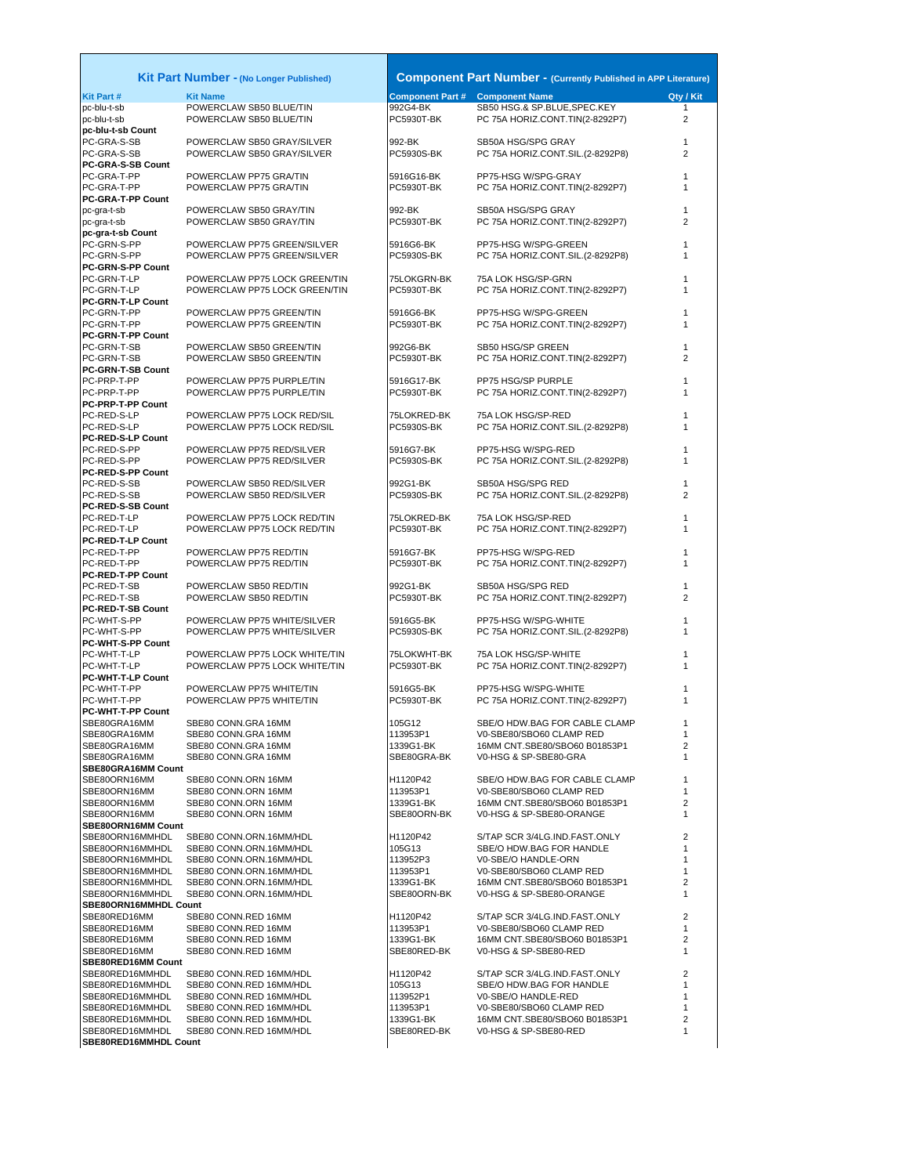## **Kit Part Number - (No Longer Published)**

|                                         | Kit Part Number - (No Longer Published)              |                          | <b>Component Part Number - (Currently Published in APP Literature)</b> |              |
|-----------------------------------------|------------------------------------------------------|--------------------------|------------------------------------------------------------------------|--------------|
| <b>Kit Part#</b>                        | <b>Kit Name</b>                                      |                          | <b>Component Part # Component Name</b>                                 | Qty / Kit    |
| pc-blu-t-sb                             | POWERCLAW SB50 BLUE/TIN                              | 992G4-BK                 | SB50 HSG.& SP.BLUE, SPEC.KEY                                           | $\mathbf{1}$ |
| pc-blu-t-sb<br>pc-blu-t-sb Count        | POWERCLAW SB50 BLUE/TIN                              | PC5930T-BK               | PC 75A HORIZ.CONT.TIN(2-8292P7)                                        | 2            |
| PC-GRA-S-SB                             | POWERCLAW SB50 GRAY/SILVER                           | 992-BK                   | SB50A HSG/SPG GRAY                                                     | 1            |
| PC-GRA-S-SB                             | POWERCLAW SB50 GRAY/SILVER                           | <b>PC5930S-BK</b>        | PC 75A HORIZ.CONT.SIL.(2-8292P8)                                       | 2            |
| <b>PC-GRA-S-SB Count</b>                |                                                      |                          |                                                                        |              |
| PC-GRA-T-PP                             | POWERCLAW PP75 GRA/TIN                               | 5916G16-BK               | PP75-HSG W/SPG-GRAY                                                    | 1            |
| PC-GRA-T-PP                             | POWERCLAW PP75 GRA/TIN                               | <b>PC5930T-BK</b>        | PC 75A HORIZ.CONT.TIN(2-8292P7)                                        | 1            |
| <b>PC-GRA-T-PP Count</b>                |                                                      |                          |                                                                        | 1            |
| pc-gra-t-sb<br>pc-gra-t-sb              | POWERCLAW SB50 GRAY/TIN<br>POWERCLAW SB50 GRAY/TIN   | 992-BK<br>PC5930T-BK     | SB50A HSG/SPG GRAY<br>PC 75A HORIZ.CONT.TIN(2-8292P7)                  | 2            |
| pc-gra-t-sb Count                       |                                                      |                          |                                                                        |              |
| PC-GRN-S-PP                             | POWERCLAW PP75 GREEN/SILVER                          | 5916G6-BK                | PP75-HSG W/SPG-GREEN                                                   | 1            |
| PC-GRN-S-PP                             | POWERCLAW PP75 GREEN/SILVER                          | PC5930S-BK               | PC 75A HORIZ.CONT.SIL.(2-8292P8)                                       | 1            |
| <b>PC-GRN-S-PP Count</b>                |                                                      |                          |                                                                        |              |
| PC-GRN-T-LP                             | POWERCLAW PP75 LOCK GREEN/TIN                        | 75LOKGRN-BK              | 75A LOK HSG/SP-GRN                                                     | 1            |
| PC-GRN-T-LP                             | POWERCLAW PP75 LOCK GREEN/TIN                        | PC5930T-BK               | PC 75A HORIZ.CONT.TIN(2-8292P7)                                        | 1            |
| <b>PC-GRN-T-LP Count</b>                |                                                      |                          |                                                                        | 1            |
| PC-GRN-T-PP<br>PC-GRN-T-PP              | POWERCLAW PP75 GREEN/TIN<br>POWERCLAW PP75 GREEN/TIN | 5916G6-BK<br>PC5930T-BK  | PP75-HSG W/SPG-GREEN<br>PC 75A HORIZ.CONT.TIN(2-8292P7)                | 1            |
| <b>PC-GRN-T-PP Count</b>                |                                                      |                          |                                                                        |              |
| PC-GRN-T-SB                             | POWERCLAW SB50 GREEN/TIN                             | 992G6-BK                 | SB50 HSG/SP GREEN                                                      | 1            |
| PC-GRN-T-SB                             | POWERCLAW SB50 GREEN/TIN                             | PC5930T-BK               | PC 75A HORIZ.CONT.TIN(2-8292P7)                                        | 2            |
| PC-GRN-T-SB Count                       |                                                      |                          |                                                                        |              |
| PC-PRP-T-PP                             | POWERCLAW PP75 PURPLE/TIN                            | 5916G17-BK               | PP75 HSG/SP PURPLE                                                     | 1            |
| PC-PRP-T-PP                             | POWERCLAW PP75 PURPLE/TIN                            | <b>PC5930T-BK</b>        | PC 75A HORIZ.CONT.TIN(2-8292P7)                                        | 1            |
| <b>PC-PRP-T-PP Count</b>                |                                                      |                          |                                                                        |              |
| PC-RED-S-LP                             | POWERCLAW PP75 LOCK RED/SIL                          | 75LOKRED-BK              | 75A LOK HSG/SP-RED                                                     | 1            |
| PC-RED-S-LP<br><b>PC-RED-S-LP Count</b> | POWERCLAW PP75 LOCK RED/SIL                          | PC5930S-BK               | PC 75A HORIZ.CONT.SIL.(2-8292P8)                                       | 1            |
| PC-RED-S-PP                             | POWERCLAW PP75 RED/SILVER                            | 5916G7-BK                | PP75-HSG W/SPG-RED                                                     | 1            |
| PC-RED-S-PP                             | POWERCLAW PP75 RED/SILVER                            | PC5930S-BK               | PC 75A HORIZ.CONT.SIL.(2-8292P8)                                       | 1            |
| <b>PC-RED-S-PP Count</b>                |                                                      |                          |                                                                        |              |
| PC-RED-S-SB                             | POWERCLAW SB50 RED/SILVER                            | 992G1-BK                 | SB50A HSG/SPG RED                                                      | 1            |
| PC-RED-S-SB                             | POWERCLAW SB50 RED/SILVER                            | PC5930S-BK               | PC 75A HORIZ.CONT.SIL.(2-8292P8)                                       | 2            |
| PC-RED-S-SB Count                       |                                                      |                          |                                                                        |              |
| PC-RED-T-LP                             | POWERCLAW PP75 LOCK RED/TIN                          | 75LOKRED-BK              | 75A LOK HSG/SP-RED                                                     | 1            |
| PC-RED-T-LP                             | POWERCLAW PP75 LOCK RED/TIN                          | PC5930T-BK               | PC 75A HORIZ.CONT.TIN(2-8292P7)                                        | 1            |
| <b>PC-RED-T-LP Count</b><br>PC-RED-T-PP | POWERCLAW PP75 RED/TIN                               | 5916G7-BK                | PP75-HSG W/SPG-RED                                                     | 1            |
| PC-RED-T-PP                             | POWERCLAW PP75 RED/TIN                               | PC5930T-BK               | PC 75A HORIZ.CONT.TIN(2-8292P7)                                        | 1            |
| <b>PC-RED-T-PP Count</b>                |                                                      |                          |                                                                        |              |
| PC-RED-T-SB                             | POWERCLAW SB50 RED/TIN                               | 992G1-BK                 | SB50A HSG/SPG RED                                                      | 1            |
| PC-RED-T-SB                             | POWERCLAW SB50 RED/TIN                               | <b>PC5930T-BK</b>        | PC 75A HORIZ.CONT.TIN(2-8292P7)                                        | 2            |
| PC-RED-T-SB Count                       |                                                      |                          |                                                                        |              |
| PC-WHT-S-PP                             | POWERCLAW PP75 WHITE/SILVER                          | 5916G5-BK                | PP75-HSG W/SPG-WHITE                                                   | 1            |
| PC-WHT-S-PP                             | POWERCLAW PP75 WHITE/SILVER                          | PC5930S-BK               | PC 75A HORIZ.CONT.SIL.(2-8292P8)                                       | 1            |
| <b>PC-WHT-S-PP Count</b><br>PC-WHT-T-LP | POWERCLAW PP75 LOCK WHITE/TIN                        | 75LOKWHT-BK              | 75A LOK HSG/SP-WHITE                                                   | 1            |
| PC-WHT-T-LP                             | POWERCLAW PP75 LOCK WHITE/TIN                        | PC5930T-BK               | PC 75A HORIZ.CONT.TIN(2-8292P7)                                        | 1            |
| <b>PC-WHT-T-LP Count</b>                |                                                      |                          |                                                                        |              |
| PC-WHT-T-PP                             | POWERCLAW PP75 WHITE/TIN                             | 5916G5-BK                | PP75-HSG W/SPG-WHITE                                                   | 1            |
| PC-WHT-T-PP                             | POWERCLAW PP75 WHITE/TIN                             | PC5930T-BK               | PC 75A HORIZ.CONT.TIN(2-8292P7)                                        | 1            |
| <b>PC-WHT-T-PP Count</b>                |                                                      |                          |                                                                        |              |
| SBE80GRA16MM                            | SBE80 CONN.GRA 16MM                                  | 105G12                   | SBE/O HDW.BAG FOR CABLE CLAMP                                          | 1            |
| SBE80GRA16MM                            | SBE80 CONN.GRA 16MM                                  | 113953P1                 | V0-SBE80/SBO60 CLAMP RED                                               | 1            |
| SBE80GRA16MM<br>SBE80GRA16MM            | SBE80 CONN.GRA 16MM<br>SBE80 CONN.GRA 16MM           | 1339G1-BK<br>SBE80GRA-BK | 16MM CNT.SBE80/SBO60 B01853P1<br>V0-HSG & SP-SBE80-GRA                 | 2<br>1       |
| SBE80GRA16MM Count                      |                                                      |                          |                                                                        |              |
| SBE80ORN16MM                            | SBE80 CONN.ORN 16MM                                  | H1120P42                 | SBE/O HDW.BAG FOR CABLE CLAMP                                          | 1            |
| SBE80ORN16MM                            | SBE80 CONN.ORN 16MM                                  | 113953P1                 | V0-SBE80/SBO60 CLAMP RED                                               | 1            |
| SBE80ORN16MM                            | SBE80 CONN.ORN 16MM                                  | 1339G1-BK                | 16MM CNT.SBE80/SBO60 B01853P1                                          | 2            |
| SBE80ORN16MM                            | SBE80 CONN.ORN 16MM                                  | SBE80ORN-BK              | V0-HSG & SP-SBE80-ORANGE                                               | 1            |
| SBE80ORN16MM Count                      |                                                      |                          |                                                                        |              |
| SBE80ORN16MMHDL                         | SBE80 CONN.ORN.16MM/HDL                              | H1120P42                 | S/TAP SCR 3/4LG.IND.FAST.ONLY                                          | 2            |
| SBE80ORN16MMHDL                         | SBE80 CONN.ORN.16MM/HDL                              | 105G13                   | SBE/O HDW.BAG FOR HANDLE                                               | 1            |
| SBE80ORN16MMHDL<br>SBE80ORN16MMHDL      | SBE80 CONN.ORN.16MM/HDL<br>SBE80 CONN.ORN.16MM/HDL   | 113952P3<br>113953P1     | V0-SBE/O HANDLE-ORN<br>V0-SBE80/SBO60 CLAMP RED                        | 1<br>1       |
| SBE80ORN16MMHDL                         | SBE80 CONN.ORN.16MM/HDL                              | 1339G1-BK                | 16MM CNT.SBE80/SBO60 B01853P1                                          | 2            |
| SBE80ORN16MMHDL                         | SBE80 CONN.ORN.16MM/HDL                              | SBE80ORN-BK              | V0-HSG & SP-SBE80-ORANGE                                               | 1            |
| SBE80ORN16MMHDL Count                   |                                                      |                          |                                                                        |              |
| SBE80RED16MM                            | SBE80 CONN.RED 16MM                                  | H1120P42                 | S/TAP SCR 3/4LG.IND.FAST.ONLY                                          | 2            |
| SBE80RED16MM                            | SBE80 CONN.RED 16MM                                  | 113953P1                 | V0-SBE80/SBO60 CLAMP RED                                               | 1            |
| SBE80RED16MM                            | SBE80 CONN.RED 16MM                                  | 1339G1-BK                | 16MM CNT.SBE80/SBO60 B01853P1                                          | 2            |
| SBE80RED16MM                            | SBE80 CONN.RED 16MM                                  | SBE80RED-BK              | V0-HSG & SP-SBE80-RED                                                  | 1            |
| SBE80RED16MM Count                      |                                                      |                          |                                                                        |              |
| SBE80RED16MMHDL                         | SBE80 CONN.RED 16MM/HDL                              | H1120P42                 | S/TAP SCR 3/4LG.IND.FAST.ONLY                                          | 2            |
| SBE80RED16MMHDL<br>SBE80RED16MMHDL      | SBE80 CONN.RED 16MM/HDL<br>SBE80 CONN.RED 16MM/HDL   | 105G13<br>113952P1       | SBE/O HDW.BAG FOR HANDLE<br>V0-SBE/O HANDLE-RED                        | 1<br>1       |
| SBE80RED16MMHDL                         | SBE80 CONN.RED 16MM/HDL                              | 113953P1                 | V0-SBE80/SBO60 CLAMP RED                                               | 1            |
| SBE80RED16MMHDL                         | SBE80 CONN.RED 16MM/HDL                              | 1339G1-BK                | 16MM CNT.SBE80/SBO60 B01853P1                                          | 2            |
| SBE80RED16MMHDL                         | SBE80 CONN.RED 16MM/HDL                              | SBE80RED-BK              | V0-HSG & SP-SBE80-RED                                                  | 1            |
| SBE80RED16MMHDL Count                   |                                                      |                          |                                                                        |              |
|                                         |                                                      |                          |                                                                        |              |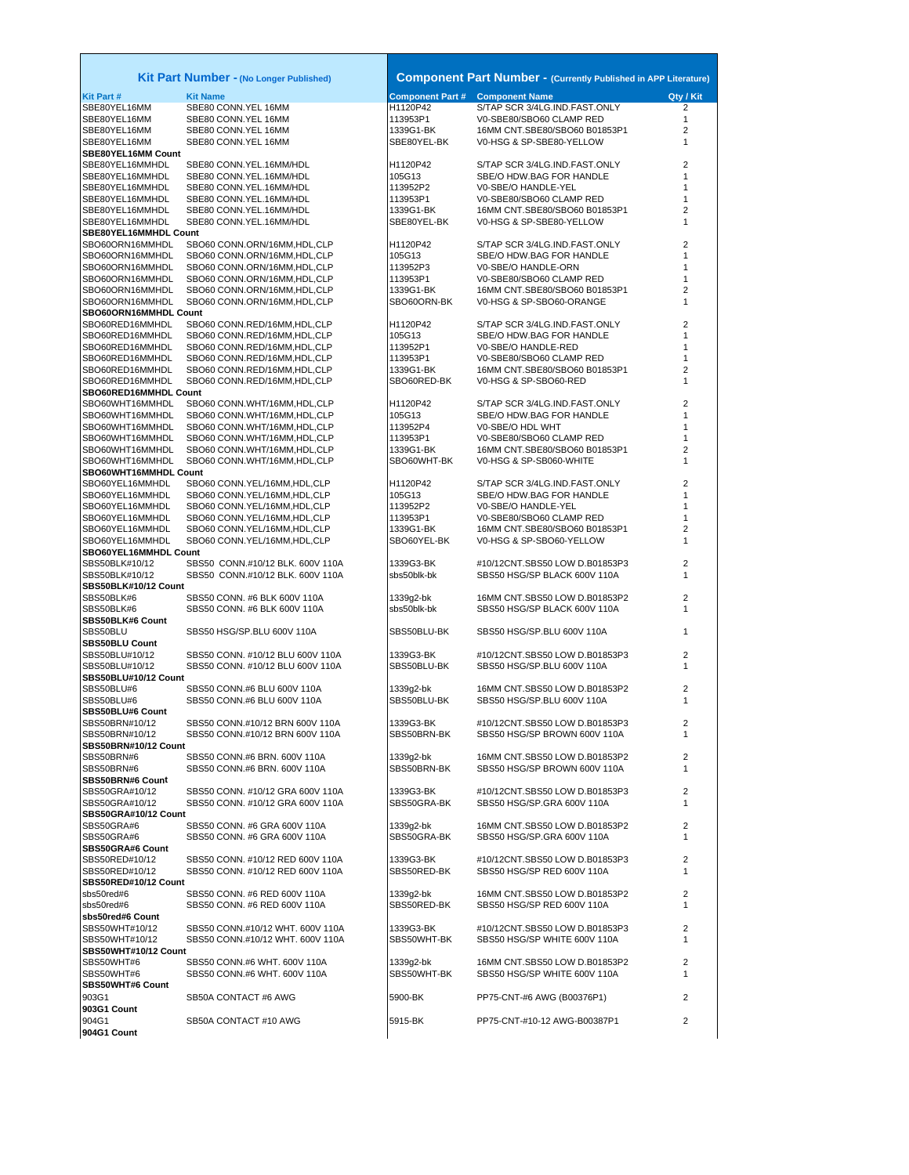| Kit Part Number - (No Longer Published)  |                                                              |                                        | <b>Component Part Number - (Currently Published in APP Literature)</b> |                |
|------------------------------------------|--------------------------------------------------------------|----------------------------------------|------------------------------------------------------------------------|----------------|
| <b>Kit Part#</b>                         | <b>Kit Name</b>                                              | <b>Component Part # Component Name</b> |                                                                        | Qty / Kit      |
| SBE80YEL16MM                             | SBE80 CONN.YEL 16MM                                          | H1120P42                               | S/TAP SCR 3/4LG.IND.FAST.ONLY                                          | 2              |
| SBE80YEL16MM                             | SBE80 CONN.YEL 16MM                                          | 113953P1                               | V0-SBE80/SBO60 CLAMP RED                                               | 1              |
| SBE80YEL16MM                             | SBE80 CONN.YEL 16MM                                          | 1339G1-BK                              | 16MM CNT.SBE80/SBO60 B01853P1                                          | 2              |
| SBE80YEL16MM<br>SBE80YEL16MM Count       | SBE80 CONN.YEL 16MM                                          | SBE80YEL-BK                            | V0-HSG & SP-SBE80-YELLOW                                               | 1              |
| SBE80YEL16MMHDL                          | SBE80 CONN.YEL.16MM/HDL                                      | H1120P42                               | S/TAP SCR 3/4LG.IND.FAST.ONLY                                          | 2              |
| SBE80YEL16MMHDL                          | SBE80 CONN.YEL.16MM/HDL                                      | 105G13                                 | SBE/O HDW.BAG FOR HANDLE                                               | 1              |
| SBE80YEL16MMHDL                          | SBE80 CONN.YEL.16MM/HDL                                      | 113952P2                               | V0-SBE/O HANDLE-YEL                                                    | 1              |
| SBE80YEL16MMHDL                          | SBE80 CONN.YEL.16MM/HDL                                      | 113953P1                               | V0-SBE80/SBO60 CLAMP RED                                               | 1              |
| SBE80YEL16MMHDL                          | SBE80 CONN.YEL.16MM/HDL                                      | 1339G1-BK                              | 16MM CNT.SBE80/SBO60 B01853P1                                          | 2              |
| SBE80YEL16MMHDL<br>SBE80YEL16MMHDL Count | SBE80 CONN.YEL.16MM/HDL                                      | SBE80YEL-BK                            | V0-HSG & SP-SBE80-YELLOW                                               | 1              |
| SBO60ORN16MMHDL                          | SBO60 CONN.ORN/16MM,HDL,CLP                                  | H1120P42                               | S/TAP SCR 3/4LG.IND.FAST.ONLY                                          | 2              |
| SBO60ORN16MMHDL                          | SBO60 CONN.ORN/16MM,HDL,CLP                                  | 105G13                                 | SBE/O HDW.BAG FOR HANDLE                                               | 1              |
| SBO60ORN16MMHDL                          | SBO60 CONN.ORN/16MM,HDL,CLP                                  | 113952P3                               | V0-SBE/O HANDLE-ORN                                                    | 1              |
| SBO60ORN16MMHDL                          | SBO60 CONN.ORN/16MM,HDL,CLP                                  | 113953P1                               | V0-SBE80/SBO60 CLAMP RED                                               | 1              |
| SBO60ORN16MMHDL                          | SBO60 CONN.ORN/16MM,HDL,CLP                                  | 1339G1-BK                              | 16MM CNT.SBE80/SBO60 B01853P1                                          | 2              |
| SBO60ORN16MMHDL<br>SBO60ORN16MMHDL Count | SBO60 CONN.ORN/16MM,HDL,CLP                                  | SBO60ORN-BK                            | V0-HSG & SP-SBO60-ORANGE                                               | 1              |
| SBO60RED16MMHDL                          | SBO60 CONN.RED/16MM,HDL,CLP                                  | H1120P42                               | S/TAP SCR 3/4LG.IND.FAST.ONLY                                          | 2              |
| SBO60RED16MMHDL                          | SBO60 CONN.RED/16MM,HDL,CLP                                  | 105G13                                 | SBE/O HDW.BAG FOR HANDLE                                               | 1              |
| SBO60RED16MMHDL                          | SBO60 CONN.RED/16MM,HDL,CLP                                  | 113952P1                               | V0-SBE/O HANDLE-RED                                                    | 1              |
| SBO60RED16MMHDL                          | SBO60 CONN.RED/16MM,HDL,CLP                                  | 113953P1                               | V0-SBE80/SBO60 CLAMP RED                                               | 1              |
| SBO60RED16MMHDL                          | SBO60 CONN.RED/16MM,HDL,CLP                                  | 1339G1-BK                              | 16MM CNT.SBE80/SBO60 B01853P1                                          | 2              |
| SBO60RED16MMHDL                          | SBO60 CONN.RED/16MM,HDL,CLP                                  | SBO60RED-BK                            | V0-HSG & SP-SBO60-RED                                                  | 1              |
| SBO60RED16MMHDL Count                    |                                                              |                                        | S/TAP SCR 3/4LG.IND.FAST.ONLY                                          | 2              |
| SBO60WHT16MMHDL<br>SBO60WHT16MMHDL       | SBO60 CONN.WHT/16MM,HDL,CLP<br>SBO60 CONN.WHT/16MM, HDL, CLP | H1120P42<br>105G13                     | SBE/O HDW.BAG FOR HANDLE                                               | 1              |
| SBO60WHT16MMHDL                          | SBO60 CONN.WHT/16MM,HDL,CLP                                  | 113952P4                               | V0-SBE/O HDL WHT                                                       | 1              |
| SBO60WHT16MMHDL                          | SBO60 CONN.WHT/16MM, HDL, CLP                                | 113953P1                               | V0-SBE80/SBO60 CLAMP RED                                               | 1              |
| SBO60WHT16MMHDL                          | SBO60 CONN.WHT/16MM,HDL,CLP                                  | 1339G1-BK                              | 16MM CNT.SBE80/SBO60 B01853P1                                          | 2              |
| SBO60WHT16MMHDL                          | SBO60 CONN.WHT/16MM, HDL, CLP                                | SBO60WHT-BK                            | V0-HSG & SP-SB060-WHITE                                                | 1              |
| SBO60WHT16MMHDL Count                    |                                                              |                                        |                                                                        |                |
| SBO60YEL16MMHDL                          | SBO60 CONN.YEL/16MM,HDL,CLP                                  | H1120P42<br>105G13                     | S/TAP SCR 3/4LG.IND.FAST.ONLY                                          | 2              |
| SBO60YEL16MMHDL<br>SBO60YEL16MMHDL       | SBO60 CONN.YEL/16MM,HDL,CLP<br>SBO60 CONN.YEL/16MM,HDL,CLP   | 113952P2                               | SBE/O HDW.BAG FOR HANDLE<br>V0-SBE/O HANDLE-YEL                        | 1<br>1         |
| SBO60YEL16MMHDL                          | SBO60 CONN.YEL/16MM,HDL,CLP                                  | 113953P1                               | V0-SBE80/SBO60 CLAMP RED                                               | 1              |
| SBO60YEL16MMHDL                          | SBO60 CONN.YEL/16MM,HDL,CLP                                  | 1339G1-BK                              | 16MM CNT.SBE80/SBO60 B01853P1                                          | 2              |
| SBO60YEL16MMHDL                          | SBO60 CONN.YEL/16MM,HDL,CLP                                  | SBO60YEL-BK                            | V0-HSG & SP-SBO60-YELLOW                                               | 1              |
| SBO60YEL16MMHDL Count                    |                                                              |                                        |                                                                        |                |
| SBS50BLK#10/12                           | SBS50 CONN.#10/12 BLK. 600V 110A                             | 1339G3-BK                              | #10/12CNT.SBS50 LOW D.B01853P3                                         | 2              |
| SBS50BLK#10/12                           | SBS50 CONN.#10/12 BLK. 600V 110A                             | sbs50blk-bk                            | SBS50 HSG/SP BLACK 600V 110A                                           | 1              |
| SBS50BLK#10/12 Count<br>SBS50BLK#6       | SBS50 CONN. #6 BLK 600V 110A                                 | 1339g2-bk                              | 16MM CNT.SBS50 LOW D.B01853P2                                          | $\overline{2}$ |
| SBS50BLK#6                               | SBS50 CONN. #6 BLK 600V 110A                                 | sbs50blk-bk                            | SBS50 HSG/SP BLACK 600V 110A                                           | 1              |
| SBS50BLK#6 Count                         |                                                              |                                        |                                                                        |                |
| SBS50BLU                                 | SBS50 HSG/SP.BLU 600V 110A                                   | SBS50BLU-BK                            | SBS50 HSG/SP.BLU 600V 110A                                             | 1              |
| <b>SBS50BLU Count</b>                    |                                                              |                                        |                                                                        |                |
| SBS50BLU#10/12<br>SBS50BLU#10/12         | SBS50 CONN. #10/12 BLU 600V 110A                             | 1339G3-BK                              | #10/12CNT.SBS50 LOW D.B01853P3<br>SBS50 HSG/SP.BLU 600V 110A           | 2              |
| SBS50BLU#10/12 Count                     | SBS50 CONN. #10/12 BLU 600V 110A                             | SBS50BLU-BK                            |                                                                        | 1              |
| SBS50BLU#6                               | SBS50 CONN.#6 BLU 600V 110A                                  | 1339g2-bk                              | 16MM CNT.SBS50 LOW D.B01853P2                                          | 2              |
| SBS50BLU#6                               | SBS50 CONN.#6 BLU 600V 110A                                  | SBS50BLU-BK                            | SBS50 HSG/SP.BLU 600V 110A                                             | $\mathbf{1}$   |
| SBS50BLU#6 Count                         |                                                              |                                        |                                                                        |                |
| SBS50BRN#10/12                           | SBS50 CONN.#10/12 BRN 600V 110A                              | 1339G3-BK                              | #10/12CNT.SBS50 LOW D.B01853P3                                         | 2              |
| SBS50BRN#10/12                           | SBS50 CONN.#10/12 BRN 600V 110A                              | SBS50BRN-BK                            | SBS50 HSG/SP BROWN 600V 110A                                           | 1              |
| SBS50BRN#10/12 Count<br>SBS50BRN#6       | SBS50 CONN.#6 BRN. 600V 110A                                 | 1339g2-bk                              | 16MM CNT.SBS50 LOW D.B01853P2                                          | 2              |
| SBS50BRN#6                               | SBS50 CONN.#6 BRN. 600V 110A                                 | SBS50BRN-BK                            | SBS50 HSG/SP BROWN 600V 110A                                           | 1              |
| SBS50BRN#6 Count                         |                                                              |                                        |                                                                        |                |
| SBS50GRA#10/12                           | SBS50 CONN. #10/12 GRA 600V 110A                             | 1339G3-BK                              | #10/12CNT.SBS50 LOW D.B01853P3                                         | 2              |
| SBS50GRA#10/12                           | SBS50 CONN. #10/12 GRA 600V 110A                             | SBS50GRA-BK                            | SBS50 HSG/SP.GRA 600V 110A                                             | 1              |
| SBS50GRA#10/12 Count                     |                                                              |                                        |                                                                        |                |
| SBS50GRA#6                               | SBS50 CONN. #6 GRA 600V 110A<br>SBS50 CONN. #6 GRA 600V 110A | 1339g2-bk<br>SBS50GRA-BK               | 16MM CNT.SBS50 LOW D.B01853P2                                          | 2<br>1         |
| SBS50GRA#6<br>SBS50GRA#6 Count           |                                                              |                                        | SBS50 HSG/SP.GRA 600V 110A                                             |                |
| SBS50RED#10/12                           | SBS50 CONN. #10/12 RED 600V 110A                             | 1339G3-BK                              | #10/12CNT.SBS50 LOW D.B01853P3                                         | $\overline{2}$ |
| SBS50RED#10/12                           | SBS50 CONN, #10/12 RED 600V 110A                             | SBS50RED-BK                            | SBS50 HSG/SP RED 600V 110A                                             | 1              |
| SBS50RED#10/12 Count                     |                                                              |                                        |                                                                        |                |
| sbs50red#6                               | SBS50 CONN, #6 RED 600V 110A                                 | 1339g2-bk                              | 16MM CNT.SBS50 LOW D.B01853P2                                          | $\overline{2}$ |
| sbs50red#6                               | SBS50 CONN. #6 RED 600V 110A                                 | SBS50RED-BK                            | SBS50 HSG/SP RED 600V 110A                                             | 1              |
| sbs50red#6 Count<br>SBS50WHT#10/12       | SBS50 CONN.#10/12 WHT. 600V 110A                             | 1339G3-BK                              | #10/12CNT.SBS50 LOW D.B01853P3                                         | $\overline{2}$ |
| SBS50WHT#10/12                           | SBS50 CONN.#10/12 WHT. 600V 110A                             | SBS50WHT-BK                            | SBS50 HSG/SP WHITE 600V 110A                                           | 1              |
| SBS50WHT#10/12 Count                     |                                                              |                                        |                                                                        |                |
| SBS50WHT#6                               | SBS50 CONN.#6 WHT. 600V 110A                                 | 1339g2-bk                              | 16MM CNT.SBS50 LOW D.B01853P2                                          | $\overline{2}$ |
| SBS50WHT#6                               | SBS50 CONN.#6 WHT. 600V 110A                                 | SBS50WHT-BK                            | SBS50 HSG/SP WHITE 600V 110A                                           | 1              |
| SBS50WHT#6 Count                         |                                                              |                                        |                                                                        |                |
| 903G1                                    | SB50A CONTACT #6 AWG                                         | 5900-BK                                | PP75-CNT-#6 AWG (B00376P1)                                             | 2              |
| 903G1 Count                              |                                                              |                                        |                                                                        |                |
| 904G1                                    | SB50A CONTACT #10 AWG                                        | 5915-BK                                | PP75-CNT-#10-12 AWG-B00387P1                                           | 2              |
| 904G1 Count                              |                                                              |                                        |                                                                        |                |

Г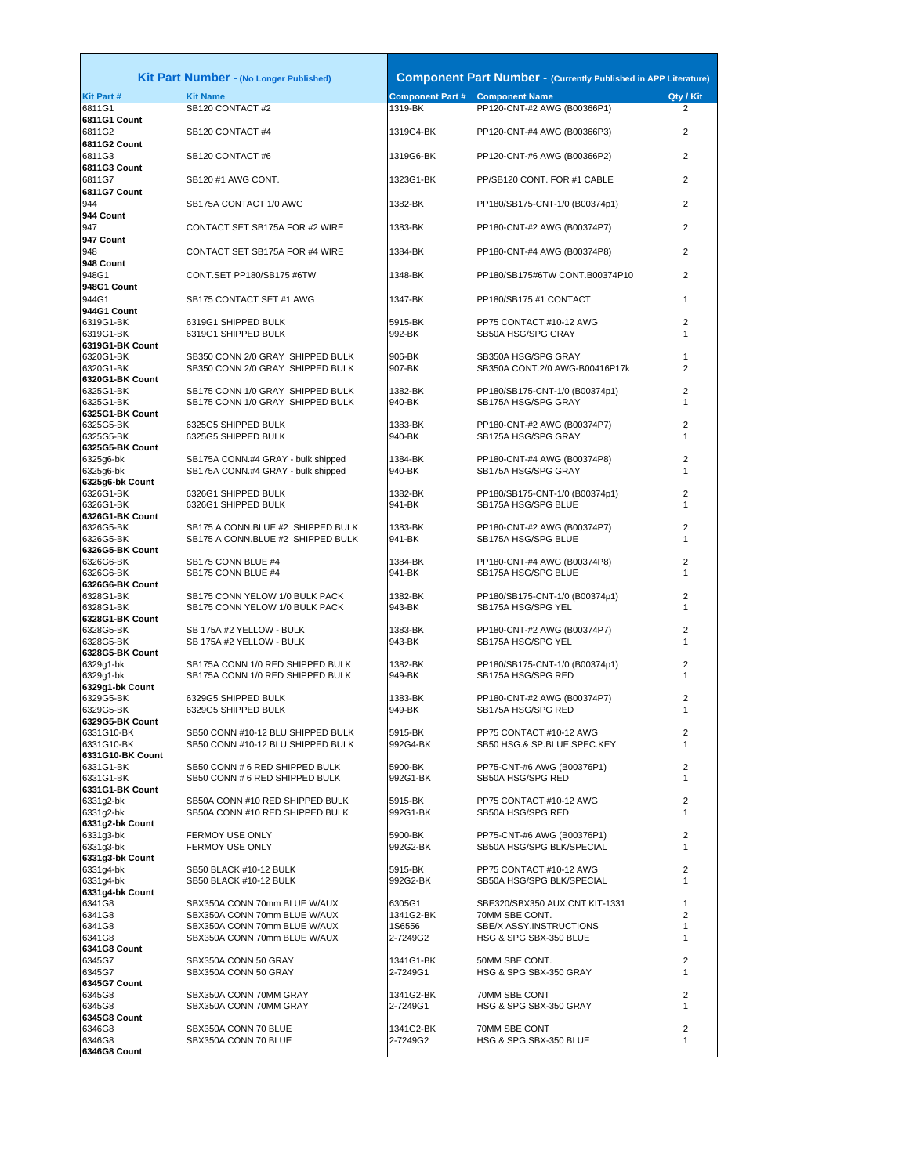| <b>Kit Part#</b>             | Kit Part Number - (No Longer Published)<br><b>Kit Name</b> |                       | <b>Component Part Number - (Currently Published in APP Literature)</b><br><b>Component Part # Component Name</b> | Qty / Kit                      |
|------------------------------|------------------------------------------------------------|-----------------------|------------------------------------------------------------------------------------------------------------------|--------------------------------|
| 6811G1                       | SB120 CONTACT #2                                           | 1319-BK               | PP120-CNT-#2 AWG (B00366P1)                                                                                      | $\overline{2}$                 |
| 6811G1 Count                 |                                                            |                       |                                                                                                                  |                                |
| 6811G2                       | SB120 CONTACT #4                                           | 1319G4-BK             | PP120-CNT-#4 AWG (B00366P3)                                                                                      | 2                              |
| 6811G2 Count                 |                                                            |                       |                                                                                                                  |                                |
| 6811G3                       | SB120 CONTACT #6                                           | 1319G6-BK             | PP120-CNT-#6 AWG (B00366P2)                                                                                      | $\overline{2}$                 |
| 6811G3 Count                 |                                                            |                       |                                                                                                                  |                                |
| 6811G7                       | SB120 #1 AWG CONT.                                         | 1323G1-BK             | PP/SB120 CONT. FOR #1 CABLE                                                                                      | $\overline{2}$                 |
| 6811G7 Count<br>944          | SB175A CONTACT 1/0 AWG                                     | 1382-BK               | PP180/SB175-CNT-1/0 (B00374p1)                                                                                   | 2                              |
| 944 Count                    |                                                            |                       |                                                                                                                  |                                |
| 947                          | CONTACT SET SB175A FOR #2 WIRE                             | 1383-BK               | PP180-CNT-#2 AWG (B00374P7)                                                                                      | $\overline{2}$                 |
| 947 Count                    |                                                            |                       |                                                                                                                  |                                |
| 948                          | CONTACT SET SB175A FOR #4 WIRE                             | 1384-BK               | PP180-CNT-#4 AWG (B00374P8)                                                                                      | $\overline{2}$                 |
| 948 Count                    |                                                            |                       |                                                                                                                  |                                |
| 948G1                        | CONT.SET PP180/SB175 #6TW                                  | 1348-BK               | PP180/SB175#6TW CONT.B00374P10                                                                                   | $\overline{2}$                 |
| 948G1 Count                  |                                                            |                       |                                                                                                                  |                                |
| 944G1                        | SB175 CONTACT SET #1 AWG                                   | 1347-BK               | PP180/SB175 #1 CONTACT                                                                                           | $\mathbf{1}$                   |
| 944G1 Count                  |                                                            |                       |                                                                                                                  |                                |
| 6319G1-BK<br>6319G1-BK       | 6319G1 SHIPPED BULK<br>6319G1 SHIPPED BULK                 | 5915-BK<br>992-BK     | PP75 CONTACT #10-12 AWG<br>SB50A HSG/SPG GRAY                                                                    | $\overline{2}$<br>$\mathbf{1}$ |
| 6319G1-BK Count              |                                                            |                       |                                                                                                                  |                                |
| 6320G1-BK                    | SB350 CONN 2/0 GRAY SHIPPED BULK                           | 906-BK                | SB350A HSG/SPG GRAY                                                                                              | 1                              |
| 6320G1-BK                    | SB350 CONN 2/0 GRAY SHIPPED BULK                           | 907-BK                | SB350A CONT.2/0 AWG-B00416P17k                                                                                   | $\overline{2}$                 |
| 6320G1-BK Count              |                                                            |                       |                                                                                                                  |                                |
| 6325G1-BK                    | SB175 CONN 1/0 GRAY SHIPPED BULK                           | 1382-BK               | PP180/SB175-CNT-1/0 (B00374p1)                                                                                   | $\overline{2}$                 |
| 6325G1-BK                    | SB175 CONN 1/0 GRAY SHIPPED BULK                           | 940-BK                | SB175A HSG/SPG GRAY                                                                                              | $\mathbf{1}$                   |
| 6325G1-BK Count              |                                                            |                       |                                                                                                                  | $\overline{2}$                 |
| 6325G5-BK<br>6325G5-BK       | 6325G5 SHIPPED BULK<br>6325G5 SHIPPED BULK                 | 1383-BK<br>940-BK     | PP180-CNT-#2 AWG (B00374P7)<br>SB175A HSG/SPG GRAY                                                               | $\mathbf{1}$                   |
| 6325G5-BK Count              |                                                            |                       |                                                                                                                  |                                |
| 6325g6-bk                    | SB175A CONN.#4 GRAY - bulk shipped                         | 1384-BK               | PP180-CNT-#4 AWG (B00374P8)                                                                                      | $\overline{2}$                 |
| 6325q6-bk                    | SB175A CONN.#4 GRAY - bulk shipped                         | 940-BK                | SB175A HSG/SPG GRAY                                                                                              | $\mathbf{1}$                   |
| 6325g6-bk Count              |                                                            |                       |                                                                                                                  |                                |
| 6326G1-BK                    | 6326G1 SHIPPED BULK                                        | 1382-BK               | PP180/SB175-CNT-1/0 (B00374p1)                                                                                   | $\overline{2}$                 |
| 6326G1-BK                    | 6326G1 SHIPPED BULK                                        | 941-BK                | SB175A HSG/SPG BLUE                                                                                              | $\mathbf{1}$                   |
| 6326G1-BK Count<br>6326G5-BK | SB175 A CONN.BLUE #2 SHIPPED BULK                          | 1383-BK               | PP180-CNT-#2 AWG (B00374P7)                                                                                      | $\overline{2}$                 |
| 6326G5-BK                    | SB175 A CONN.BLUE #2 SHIPPED BULK                          | 941-BK                | SB175A HSG/SPG BLUE                                                                                              | 1                              |
| 6326G5-BK Count              |                                                            |                       |                                                                                                                  |                                |
| 6326G6-BK                    | SB175 CONN BLUE #4                                         | 1384-BK               | PP180-CNT-#4 AWG (B00374P8)                                                                                      | $\overline{2}$                 |
| 6326G6-BK                    | SB175 CONN BLUE #4                                         | 941-BK                | SB175A HSG/SPG BLUE                                                                                              | $\mathbf{1}$                   |
| 6326G6-BK Count              |                                                            |                       |                                                                                                                  |                                |
| 6328G1-BK                    | SB175 CONN YELOW 1/0 BULK PACK                             | 1382-BK               | PP180/SB175-CNT-1/0 (B00374p1)                                                                                   | $\overline{2}$                 |
| 6328G1-BK<br>6328G1-BK Count | SB175 CONN YELOW 1/0 BULK PACK                             | 943-BK                | SB175A HSG/SPG YEL                                                                                               | $\mathbf{1}$                   |
| 6328G5-BK                    | SB 175A #2 YELLOW - BULK                                   | 1383-BK               | PP180-CNT-#2 AWG (B00374P7)                                                                                      | $\overline{2}$                 |
| 6328G5-BK                    | SB 175A #2 YELLOW - BULK                                   | 943-BK                | SB175A HSG/SPG YEL                                                                                               | 1                              |
| 6328G5-BK Count              |                                                            |                       |                                                                                                                  |                                |
| 6329q1-bk                    | SB175A CONN 1/0 RED SHIPPED BULK                           | 1382-BK               | PP180/SB175-CNT-1/0 (B00374p1)                                                                                   | $\overline{2}$                 |
| 6329g1-bk                    | SB175A CONN 1/0 RED SHIPPED BULK                           | 949-BK                | SB175A HSG/SPG RED                                                                                               | 1                              |
| 6329g1-bk Count              |                                                            |                       |                                                                                                                  |                                |
| 6329G5-BK<br>6329G5-BK       | 6329G5 SHIPPED BULK<br>6329G5 SHIPPED BULK                 | 1383-BK<br>949-BK     | PP180-CNT-#2 AWG (B00374P7)<br>SB175A HSG/SPG RED                                                                | $\overline{2}$<br>1            |
| 6329G5-BK Count              |                                                            |                       |                                                                                                                  |                                |
| 6331G10-BK                   | SB50 CONN #10-12 BLU SHIPPED BULK                          | 5915-BK               | PP75 CONTACT #10-12 AWG                                                                                          | 2                              |
| 6331G10-BK                   | SB50 CONN #10-12 BLU SHIPPED BULK                          | 992G4-BK              | SB50 HSG.& SP.BLUE, SPEC.KEY                                                                                     | $\mathbf{1}$                   |
| 6331G10-BK Count             |                                                            |                       |                                                                                                                  |                                |
| 6331G1-BK                    | SB50 CONN # 6 RED SHIPPED BULK                             | 5900-BK               | PP75-CNT-#6 AWG (B00376P1)                                                                                       | $\overline{2}$                 |
| 6331G1-BK                    | SB50 CONN # 6 RED SHIPPED BULK                             | 992G1-BK              | SB50A HSG/SPG RED                                                                                                | 1                              |
| 6331G1-BK Count<br>6331q2-bk | SB50A CONN #10 RED SHIPPED BULK                            | 5915-BK               | PP75 CONTACT #10-12 AWG                                                                                          | $\overline{2}$                 |
| 6331g2-bk                    | SB50A CONN #10 RED SHIPPED BULK                            | 992G1-BK              | SB50A HSG/SPG RED                                                                                                | 1                              |
| 6331g2-bk Count              |                                                            |                       |                                                                                                                  |                                |
| 6331g3-bk                    | <b>FERMOY USE ONLY</b>                                     | 5900-BK               | PP75-CNT-#6 AWG (B00376P1)                                                                                       | $\overline{2}$                 |
| 6331q3-bk                    | FERMOY USE ONLY                                            | 992G2-BK              | SB50A HSG/SPG BLK/SPECIAL                                                                                        | 1                              |
| 6331g3-bk Count              |                                                            |                       |                                                                                                                  |                                |
| 6331g4-bk                    | SB50 BLACK #10-12 BULK                                     | 5915-BK               | PP75 CONTACT #10-12 AWG                                                                                          | 2                              |
| 6331g4-bk                    | SB50 BLACK #10-12 BULK                                     | 992G2-BK              | SB50A HSG/SPG BLK/SPECIAL                                                                                        | $\mathbf{1}$                   |
| 6331g4-bk Count<br>6341G8    | SBX350A CONN 70mm BLUE W/AUX                               | 6305G1                | SBE320/SBX350 AUX.CNT KIT-1331                                                                                   | $\mathbf{1}$                   |
| 6341G8                       | SBX350A CONN 70mm BLUE W/AUX                               | 1341G2-BK             | 70MM SBE CONT.                                                                                                   | $\overline{2}$                 |
| 6341G8                       | SBX350A CONN 70mm BLUE W/AUX                               | 1S6556                | SBE/X ASSY.INSTRUCTIONS                                                                                          | 1                              |
| 6341G8                       | SBX350A CONN 70mm BLUE W/AUX                               | 2-7249G2              | HSG & SPG SBX-350 BLUE                                                                                           | $\mathbf{1}$                   |
| 6341G8 Count                 |                                                            |                       |                                                                                                                  |                                |
| 6345G7                       | SBX350A CONN 50 GRAY                                       | 1341G1-BK             | 50MM SBE CONT.                                                                                                   | $\overline{2}$                 |
| 6345G7                       | SBX350A CONN 50 GRAY                                       | 2-7249G1              | HSG & SPG SBX-350 GRAY                                                                                           | $\mathbf{1}$                   |
| 6345G7 Count                 |                                                            |                       |                                                                                                                  |                                |
| 6345G8<br>6345G8             | SBX350A CONN 70MM GRAY<br>SBX350A CONN 70MM GRAY           | 1341G2-BK<br>2-7249G1 | 70MM SBE CONT<br>HSG & SPG SBX-350 GRAY                                                                          | $\overline{2}$<br>$\mathbf{1}$ |
| 6345G8 Count                 |                                                            |                       |                                                                                                                  |                                |
| 6346G8                       | SBX350A CONN 70 BLUE                                       | 1341G2-BK             | 70MM SBE CONT                                                                                                    | $\overline{2}$                 |
| 6346G8                       | SBX350A CONN 70 BLUE                                       | 2-7249G2              | HSG & SPG SBX-350 BLUE                                                                                           | 1                              |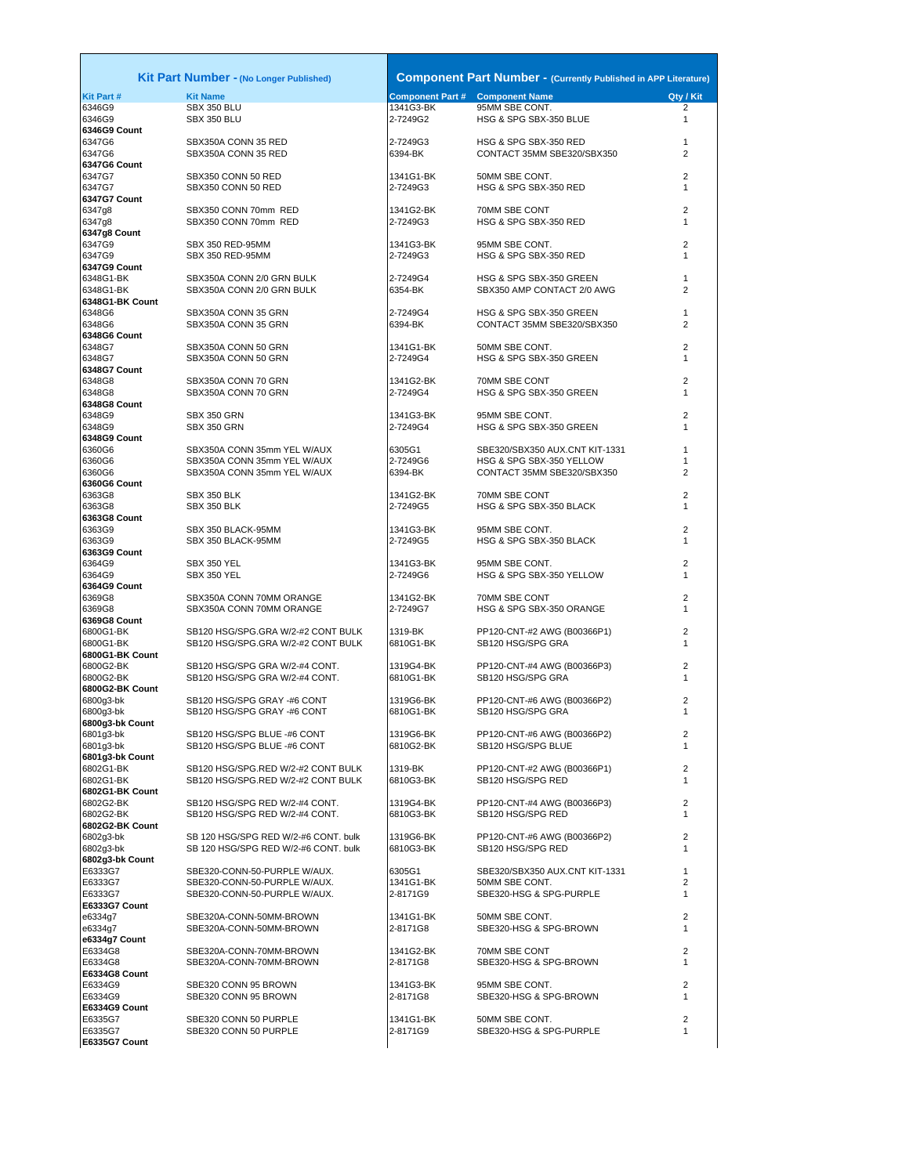**E6335G7 Count**

|                              | <b>Kit Part Number - (No Longer Published)</b>                           |                                        | <b>Component Part Number - (Currently Published in APP Literature)</b> |                     |
|------------------------------|--------------------------------------------------------------------------|----------------------------------------|------------------------------------------------------------------------|---------------------|
| Kit Part #                   | <b>Kit Name</b>                                                          | <b>Component Part # Component Name</b> |                                                                        | Qty / Kit           |
| 6346G9                       | SBX 350 BLU                                                              | 1341G3-BK                              | 95MM SBE CONT.                                                         | 2                   |
| 6346G9                       | <b>SBX 350 BLU</b>                                                       | 2-7249G2                               | HSG & SPG SBX-350 BLUE                                                 | $\mathbf{1}$        |
| 6346G9 Count<br>6347G6       | SBX350A CONN 35 RED                                                      | 2-7249G3                               | HSG & SPG SBX-350 RED                                                  | $\mathbf{1}$        |
| 6347G6                       | SBX350A CONN 35 RED                                                      | 6394-BK                                | CONTACT 35MM SBE320/SBX350                                             | 2                   |
| 6347G6 Count                 |                                                                          |                                        |                                                                        |                     |
| 6347G7                       | SBX350 CONN 50 RED                                                       | 1341G1-BK                              | 50MM SBE CONT.                                                         | $\overline{2}$      |
| 6347G7                       | SBX350 CONN 50 RED                                                       | 2-7249G3                               | HSG & SPG SBX-350 RED                                                  | 1                   |
| 6347G7 Count                 |                                                                          |                                        |                                                                        | $\overline{2}$      |
| 6347g8<br>6347g8             | SBX350 CONN 70mm RED<br>SBX350 CONN 70mm RED                             | 1341G2-BK<br>2-7249G3                  | 70MM SBE CONT<br>HSG & SPG SBX-350 RED                                 | 1                   |
| 6347g8 Count                 |                                                                          |                                        |                                                                        |                     |
| 6347G9                       | SBX 350 RED-95MM                                                         | 1341G3-BK                              | 95MM SBE CONT.                                                         | 2                   |
| 6347G9                       | SBX 350 RED-95MM                                                         | 2-7249G3                               | HSG & SPG SBX-350 RED                                                  | 1                   |
| 6347G9 Count                 |                                                                          |                                        |                                                                        |                     |
| 6348G1-BK                    | SBX350A CONN 2/0 GRN BULK                                                | 2-7249G4                               | HSG & SPG SBX-350 GREEN                                                | 1<br>2              |
| 6348G1-BK<br>6348G1-BK Count | SBX350A CONN 2/0 GRN BULK                                                | 6354-BK                                | SBX350 AMP CONTACT 2/0 AWG                                             |                     |
| 6348G6                       | SBX350A CONN 35 GRN                                                      | 2-7249G4                               | HSG & SPG SBX-350 GREEN                                                | 1                   |
| 6348G6                       | SBX350A CONN 35 GRN                                                      | 6394-BK                                | CONTACT 35MM SBE320/SBX350                                             | 2                   |
| 6348G6 Count                 |                                                                          |                                        |                                                                        |                     |
| 6348G7                       | SBX350A CONN 50 GRN                                                      | 1341G1-BK                              | 50MM SBE CONT.                                                         | 2                   |
| 6348G7                       | SBX350A CONN 50 GRN                                                      | 2-7249G4                               | HSG & SPG SBX-350 GREEN                                                | 1                   |
| 6348G7 Count<br>6348G8       | SBX350A CONN 70 GRN                                                      | 1341G2-BK                              | 70MM SBE CONT                                                          | $\overline{2}$      |
| 6348G8                       | SBX350A CONN 70 GRN                                                      | 2-7249G4                               | HSG & SPG SBX-350 GREEN                                                | 1                   |
| 6348G8 Count                 |                                                                          |                                        |                                                                        |                     |
| 6348G9                       | <b>SBX 350 GRN</b>                                                       | 1341G3-BK                              | 95MM SBE CONT.                                                         | 2                   |
| 6348G9                       | <b>SBX 350 GRN</b>                                                       | 2-7249G4                               | HSG & SPG SBX-350 GREEN                                                | 1                   |
| 6348G9 Count                 |                                                                          |                                        |                                                                        | 1                   |
| 6360G6<br>6360G6             | SBX350A CONN 35mm YEL W/AUX<br>SBX350A CONN 35mm YEL W/AUX               | 6305G1<br>2-7249G6                     | SBE320/SBX350 AUX.CNT KIT-1331<br>HSG & SPG SBX-350 YELLOW             | $\mathbf{1}$        |
| 6360G6                       | SBX350A CONN 35mm YEL W/AUX                                              | 6394-BK                                | CONTACT 35MM SBE320/SBX350                                             | $\overline{2}$      |
| 6360G6 Count                 |                                                                          |                                        |                                                                        |                     |
| 6363G8                       | SBX 350 BLK                                                              | 1341G2-BK                              | 70MM SBE CONT                                                          | $\overline{2}$      |
| 6363G8                       | SBX 350 BLK                                                              | 2-7249G5                               | HSG & SPG SBX-350 BLACK                                                | 1                   |
| 6363G8 Count<br>6363G9       | SBX 350 BLACK-95MM                                                       | 1341G3-BK                              | 95MM SBE CONT.                                                         | 2                   |
| 6363G9                       | SBX 350 BLACK-95MM                                                       | 2-7249G5                               | HSG & SPG SBX-350 BLACK                                                | 1                   |
| 6363G9 Count                 |                                                                          |                                        |                                                                        |                     |
| 6364G9                       | SBX 350 YEL                                                              | 1341G3-BK                              | 95MM SBE CONT.                                                         | $\overline{2}$      |
| 6364G9                       | SBX 350 YEL                                                              | 2-7249G6                               | HSG & SPG SBX-350 YELLOW                                               | 1                   |
| 6364G9 Count                 |                                                                          |                                        |                                                                        |                     |
| 6369G8                       | SBX350A CONN 70MM ORANGE<br>SBX350A CONN 70MM ORANGE                     | 1341G2-BK<br>2-7249G7                  | 70MM SBE CONT                                                          | 2<br>1              |
| 6369G8<br>6369G8 Count       |                                                                          |                                        | HSG & SPG SBX-350 ORANGE                                               |                     |
| 6800G1-BK                    | SB120 HSG/SPG.GRA W/2-#2 CONT BULK                                       | 1319-BK                                | PP120-CNT-#2 AWG (B00366P1)                                            | 2                   |
| 6800G1-BK                    | SB120 HSG/SPG.GRA W/2-#2 CONT BULK                                       | 6810G1-BK                              | SB120 HSG/SPG GRA                                                      | 1                   |
| 6800G1-BK Count              |                                                                          |                                        |                                                                        |                     |
| 6800G2-BK                    | SB120 HSG/SPG GRA W/2-#4 CONT.                                           | 1319G4-BK                              | PP120-CNT-#4 AWG (B00366P3)                                            | 2                   |
| 6800G2-BK                    | SB120 HSG/SPG GRA W/2-#4 CONT.                                           | 6810G1-BK                              | SB120 HSG/SPG GRA                                                      | 1                   |
| 6800G2-BK Count<br>6800g3-bk | SB120 HSG/SPG GRAY -#6 CONT                                              | 1319G6-BK                              | PP120-CNT-#6 AWG (B00366P2)                                            | 2                   |
| 6800g3-bk                    | SB120 HSG/SPG GRAY -#6 CONT                                              | 6810G1-BK                              | SB120 HSG/SPG GRA                                                      | 1                   |
| 6800g3-bk Count              |                                                                          |                                        |                                                                        |                     |
| 6801g3-bk                    | SB120 HSG/SPG BLUE -#6 CONT                                              | 1319G6-BK                              | PP120-CNT-#6 AWG (B00366P2)                                            | 2                   |
| 6801g3-bk                    | SB120 HSG/SPG BLUE -#6 CONT                                              | 6810G2-BK                              | SB120 HSG/SPG BLUE                                                     | $\mathbf{1}$        |
| 6801g3-bk Count              |                                                                          |                                        |                                                                        |                     |
| 6802G1-BK<br>6802G1-BK       | SB120 HSG/SPG.RED W/2-#2 CONT BULK<br>SB120 HSG/SPG.RED W/2-#2 CONT BULK | 1319-BK<br>6810G3-BK                   | PP120-CNT-#2 AWG (B00366P1)<br>SB120 HSG/SPG RED                       | $\overline{2}$<br>1 |
| 6802G1-BK Count              |                                                                          |                                        |                                                                        |                     |
| 6802G2-BK                    | SB120 HSG/SPG RED W/2-#4 CONT.                                           | 1319G4-BK                              | PP120-CNT-#4 AWG (B00366P3)                                            | 2                   |
| 6802G2-BK                    | SB120 HSG/SPG RED W/2-#4 CONT.                                           | 6810G3-BK                              | SB120 HSG/SPG RED                                                      | 1                   |
| 6802G2-BK Count              |                                                                          |                                        |                                                                        |                     |
| 6802g3-bk                    | SB 120 HSG/SPG RED W/2-#6 CONT. bulk                                     | 1319G6-BK                              | PP120-CNT-#6 AWG (B00366P2)                                            | 2                   |
| 6802q3-bk<br>6802g3-bk Count | SB 120 HSG/SPG RED W/2-#6 CONT. bulk                                     | 6810G3-BK                              | SB120 HSG/SPG RED                                                      | $\mathbf{1}$        |
| E6333G7                      | SBE320-CONN-50-PURPLE W/AUX.                                             | 6305G1                                 | SBE320/SBX350 AUX.CNT KIT-1331                                         | 1                   |
| E6333G7                      | SBE320-CONN-50-PURPLE W/AUX.                                             | 1341G1-BK                              | 50MM SBE CONT.                                                         | 2                   |
| E6333G7                      | SBE320-CONN-50-PURPLE W/AUX.                                             | 2-8171G9                               | SBE320-HSG & SPG-PURPLE                                                | 1                   |
| E6333G7 Count                |                                                                          |                                        |                                                                        |                     |
| e6334g7                      | SBE320A-CONN-50MM-BROWN                                                  | 1341G1-BK                              | 50MM SBE CONT.                                                         | 2                   |
| e6334g7                      | SBE320A-CONN-50MM-BROWN                                                  | 2-8171G8                               | SBE320-HSG & SPG-BROWN                                                 | $\mathbf{1}$        |
| e6334g7 Count<br>E6334G8     | SBE320A-CONN-70MM-BROWN                                                  | 1341G2-BK                              | 70MM SBE CONT                                                          | 2                   |
| E6334G8                      | SBE320A-CONN-70MM-BROWN                                                  | 2-8171G8                               | SBE320-HSG & SPG-BROWN                                                 | 1                   |
| E6334G8 Count                |                                                                          |                                        |                                                                        |                     |
| E6334G9                      | SBE320 CONN 95 BROWN                                                     | 1341G3-BK                              | 95MM SBE CONT.                                                         | 2                   |
| E6334G9                      | SBE320 CONN 95 BROWN                                                     | 2-8171G8                               | SBE320-HSG & SPG-BROWN                                                 | 1                   |
| E6334G9 Count                |                                                                          |                                        |                                                                        |                     |
| E6335G7<br>E6335G7           | SBE320 CONN 50 PURPLE<br>SBE320 CONN 50 PURPLE                           | 1341G1-BK<br>2-8171G9                  | 50MM SBE CONT.<br>SBE320-HSG & SPG-PURPLE                              | 2<br>1              |
|                              |                                                                          |                                        |                                                                        |                     |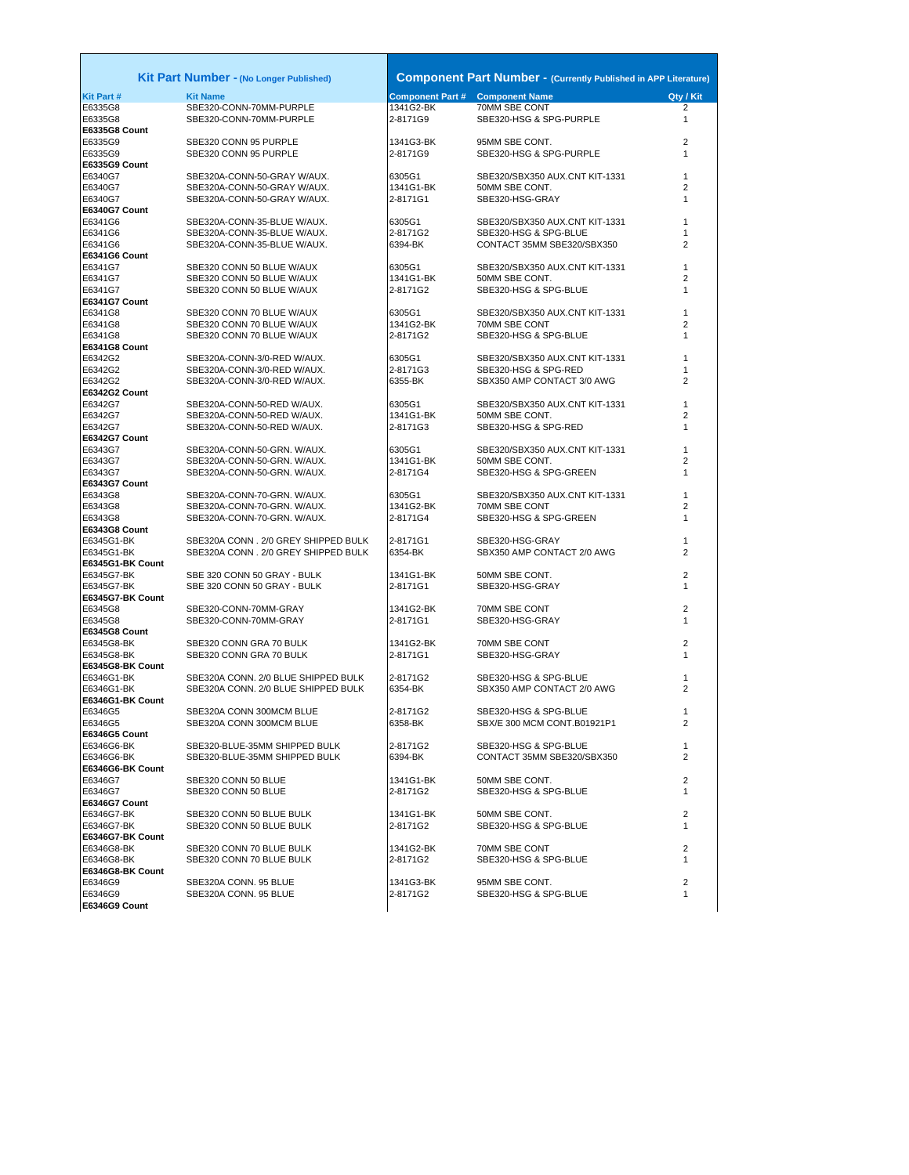|                                | <b>Kit Part Number - (No Longer Published)</b>                 |                                        | <b>Component Part Number - (Currently Published in APP Literature)</b> |                   |
|--------------------------------|----------------------------------------------------------------|----------------------------------------|------------------------------------------------------------------------|-------------------|
| <b>Kit Part#</b>               | <b>Kit Name</b>                                                | <b>Component Part # Component Name</b> |                                                                        | Qty / Kit         |
| E6335G8                        | SBE320-CONN-70MM-PURPLE                                        | 1341G2-BK                              | 70MM SBE CONT                                                          | 2                 |
| E6335G8                        | SBE320-CONN-70MM-PURPLE                                        | 2-8171G9                               | SBE320-HSG & SPG-PURPLE                                                | $\mathbf{1}$      |
| E6335G8 Count                  |                                                                |                                        |                                                                        |                   |
| E6335G9                        | SBE320 CONN 95 PURPLE                                          | 1341G3-BK                              | 95MM SBE CONT.                                                         | $\overline{2}$    |
| E6335G9                        | SBE320 CONN 95 PURPLE                                          | 2-8171G9                               | SBE320-HSG & SPG-PURPLE                                                | 1                 |
| E6335G9 Count<br>E6340G7       | SBE320A-CONN-50-GRAY W/AUX.                                    | 6305G1                                 | SBE320/SBX350 AUX.CNT KIT-1331                                         | $\mathbf{1}$      |
| E6340G7                        | SBE320A-CONN-50-GRAY W/AUX.                                    | 1341G1-BK                              | 50MM SBE CONT.                                                         | 2                 |
| E6340G7                        | SBE320A-CONN-50-GRAY W/AUX.                                    | 2-8171G1                               | SBE320-HSG-GRAY                                                        | $\mathbf{1}$      |
| E6340G7 Count                  |                                                                |                                        |                                                                        |                   |
| E6341G6                        | SBE320A-CONN-35-BLUE W/AUX.                                    | 6305G1                                 | SBE320/SBX350 AUX.CNT KIT-1331                                         | $\mathbf{1}$      |
| E6341G6                        | SBE320A-CONN-35-BLUE W/AUX.                                    | 2-8171G2                               | SBE320-HSG & SPG-BLUE                                                  | 1                 |
| E6341G6                        | SBE320A-CONN-35-BLUE W/AUX.                                    | 6394-BK                                | CONTACT 35MM SBE320/SBX350                                             | 2                 |
| E6341G6 Count<br>E6341G7       | SBE320 CONN 50 BLUE W/AUX                                      | 6305G1                                 | SBE320/SBX350 AUX.CNT KIT-1331                                         | $\mathbf{1}$      |
| E6341G7                        | SBE320 CONN 50 BLUE W/AUX                                      | 1341G1-BK                              | 50MM SBE CONT.                                                         | $\overline{2}$    |
| E6341G7                        | SBE320 CONN 50 BLUE W/AUX                                      | 2-8171G2                               | SBE320-HSG & SPG-BLUE                                                  | $\mathbf{1}$      |
| E6341G7 Count                  |                                                                |                                        |                                                                        |                   |
| E6341G8                        | SBE320 CONN 70 BLUE W/AUX                                      | 6305G1                                 | SBE320/SBX350 AUX.CNT KIT-1331                                         | $\mathbf{1}$      |
| E6341G8                        | SBE320 CONN 70 BLUE W/AUX                                      | 1341G2-BK                              | 70MM SBE CONT                                                          | $\overline{2}$    |
| E6341G8                        | SBE320 CONN 70 BLUE W/AUX                                      | 2-8171G2                               | SBE320-HSG & SPG-BLUE                                                  | 1                 |
| E6341G8 Count                  |                                                                |                                        |                                                                        |                   |
| E6342G2                        | SBE320A-CONN-3/0-RED W/AUX.                                    | 6305G1<br>2-8171G3                     | SBE320/SBX350 AUX.CNT KIT-1331<br>SBE320-HSG & SPG-RED                 | 1<br>$\mathbf{1}$ |
| E6342G2<br>E6342G2             | SBE320A-CONN-3/0-RED W/AUX.<br>SBE320A-CONN-3/0-RED W/AUX.     | 6355-BK                                | SBX350 AMP CONTACT 3/0 AWG                                             | $\overline{2}$    |
| E6342G2 Count                  |                                                                |                                        |                                                                        |                   |
| E6342G7                        | SBE320A-CONN-50-RED W/AUX.                                     | 6305G1                                 | SBE320/SBX350 AUX.CNT KIT-1331                                         | $\mathbf{1}$      |
| E6342G7                        | SBE320A-CONN-50-RED W/AUX.                                     | 1341G1-BK                              | 50MM SBE CONT.                                                         | $\overline{2}$    |
| E6342G7                        | SBE320A-CONN-50-RED W/AUX.                                     | 2-8171G3                               | SBE320-HSG & SPG-RED                                                   | 1                 |
| E6342G7 Count                  |                                                                |                                        |                                                                        |                   |
| E6343G7                        | SBE320A-CONN-50-GRN. W/AUX.                                    | 6305G1                                 | SBE320/SBX350 AUX.CNT KIT-1331                                         | $\mathbf{1}$      |
| E6343G7<br>E6343G7             | SBE320A-CONN-50-GRN. W/AUX.<br>SBE320A-CONN-50-GRN. W/AUX.     | 1341G1-BK<br>2-8171G4                  | 50MM SBE CONT.<br>SBE320-HSG & SPG-GREEN                               | 2<br>$\mathbf{1}$ |
| E6343G7 Count                  |                                                                |                                        |                                                                        |                   |
| E6343G8                        | SBE320A-CONN-70-GRN. W/AUX.                                    | 6305G1                                 | SBE320/SBX350 AUX.CNT KIT-1331                                         | $\mathbf{1}$      |
| E6343G8                        | SBE320A-CONN-70-GRN. W/AUX.                                    | 1341G2-BK                              | 70MM SBE CONT                                                          | $\overline{2}$    |
| E6343G8                        | SBE320A-CONN-70-GRN. W/AUX.                                    | 2-8171G4                               | SBE320-HSG & SPG-GREEN                                                 | $\mathbf{1}$      |
| E6343G8 Count                  |                                                                |                                        |                                                                        |                   |
| E6345G1-BK                     | SBE320A CONN . 2/0 GREY SHIPPED BULK                           | 2-8171G1                               | SBE320-HSG-GRAY                                                        | $\mathbf{1}$      |
| E6345G1-BK<br>E6345G1-BK Count | SBE320A CONN . 2/0 GREY SHIPPED BULK                           | 6354-BK                                | SBX350 AMP CONTACT 2/0 AWG                                             | 2                 |
| E6345G7-BK                     | SBE 320 CONN 50 GRAY - BULK                                    | 1341G1-BK                              | 50MM SBE CONT.                                                         | $\overline{2}$    |
| E6345G7-BK                     | SBE 320 CONN 50 GRAY - BULK                                    | 2-8171G1                               | SBE320-HSG-GRAY                                                        | $\mathbf{1}$      |
| E6345G7-BK Count               |                                                                |                                        |                                                                        |                   |
| E6345G8                        | SBE320-CONN-70MM-GRAY                                          | 1341G2-BK                              | 70MM SBE CONT                                                          | $\overline{2}$    |
| E6345G8                        | SBE320-CONN-70MM-GRAY                                          | 2-8171G1                               | SBE320-HSG-GRAY                                                        | $\mathbf{1}$      |
| E6345G8 Count                  |                                                                |                                        |                                                                        |                   |
| E6345G8-BK                     | SBE320 CONN GRA 70 BULK                                        | 1341G2-BK                              | 70MM SBE CONT                                                          | $\overline{2}$    |
| E6345G8-BK<br>E6345G8-BK Count | SBE320 CONN GRA 70 BULK                                        | 2-8171G1                               | SBE320-HSG-GRAY                                                        | $\mathbf{1}$      |
| E6346G1-BK                     | SBE320A CONN. 2/0 BLUE SHIPPED BULK                            | 2-8171G2                               | SBE320-HSG & SPG-BLUE                                                  | $\mathbf{1}$      |
| E6346G1-BK                     | SBE320A CONN. 2/0 BLUE SHIPPED BULK                            | 6354-BK                                | SBX350 AMP CONTACT 2/0 AWG                                             | $\overline{2}$    |
| E6346G1-BK Count               |                                                                |                                        |                                                                        |                   |
| E6346G5                        | SBE320A CONN 300MCM BLUE                                       | 2-8171G2                               | SBE320-HSG & SPG-BLUE                                                  | 1                 |
| E6346G5                        | SBE320A CONN 300MCM BLUE                                       | 6358-BK                                | SBX/E 300 MCM CONT.B01921P1                                            | $\overline{2}$    |
| E6346G5 Count                  |                                                                |                                        |                                                                        |                   |
| E6346G6-BK<br>E6346G6-BK       | SBE320-BLUE-35MM SHIPPED BULK<br>SBE320-BLUE-35MM SHIPPED BULK | 2-8171G2<br>6394-BK                    | SBE320-HSG & SPG-BLUE<br>CONTACT 35MM SBE320/SBX350                    | $\mathbf{1}$<br>2 |
| E6346G6-BK Count               |                                                                |                                        |                                                                        |                   |
| E6346G7                        | SBE320 CONN 50 BLUE                                            | 1341G1-BK                              | 50MM SBE CONT.                                                         | $\overline{2}$    |
| E6346G7                        | SBE320 CONN 50 BLUE                                            | 2-8171G2                               | SBE320-HSG & SPG-BLUE                                                  | $\mathbf{1}$      |
| E6346G7 Count                  |                                                                |                                        |                                                                        |                   |
| E6346G7-BK                     | SBE320 CONN 50 BLUE BULK                                       | 1341G1-BK                              | 50MM SBE CONT.                                                         | 2                 |
| E6346G7-BK                     | SBE320 CONN 50 BLUE BULK                                       | 2-8171G2                               | SBE320-HSG & SPG-BLUE                                                  | $\mathbf{1}$      |
| E6346G7-BK Count<br>E6346G8-BK | SBE320 CONN 70 BLUE BULK                                       | 1341G2-BK                              | 70MM SBE CONT                                                          | 2                 |
| E6346G8-BK                     | SBE320 CONN 70 BLUE BULK                                       | 2-8171G2                               | SBE320-HSG & SPG-BLUE                                                  | $\mathbf{1}$      |
| E6346G8-BK Count               |                                                                |                                        |                                                                        |                   |
| E6346G9                        | SBE320A CONN. 95 BLUE                                          | 1341G3-BK                              | 95MM SBE CONT.                                                         | $\overline{2}$    |
| E6346G9                        | SBE320A CONN. 95 BLUE                                          | 2-8171G2                               | SBE320-HSG & SPG-BLUE                                                  | $\mathbf{1}$      |
| E6346G9 Count                  |                                                                |                                        |                                                                        |                   |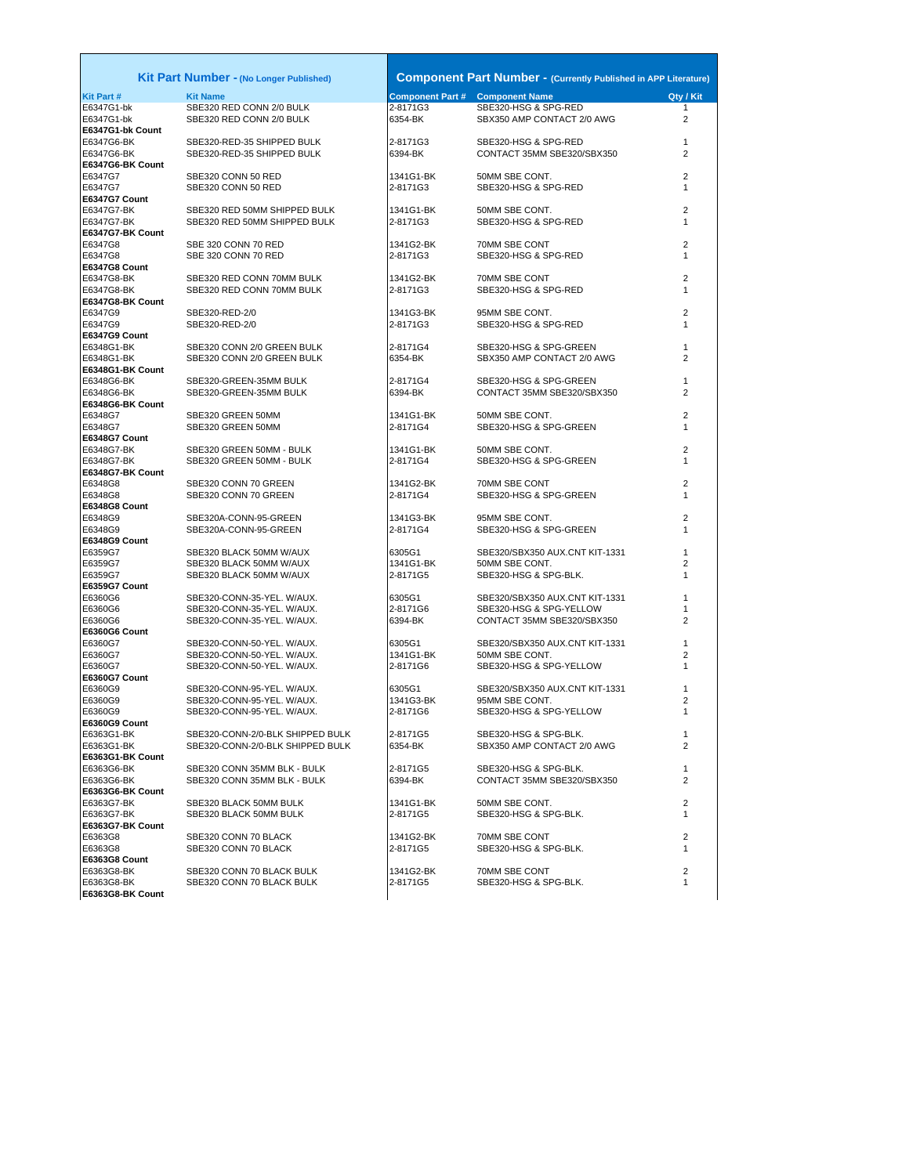**E6347G1-bk Count E6347G6-BK Count**<br>E6347G7 **E6347G7 Count**<br>F6347G7-BK **E6347G7-BK Count E6347G8 Count E6347G8-BK Count E6347G9 Count E6348G1-BK Count E6348G6-BK Count E6348G7 Count E6348G7-BK Count E6348G8 Count E6348G9 Count E6359G7 Count E6360G6 Count E6360G7 Count E6360G9 Count E6363G1-BK Count E6363G6-BK Count**<br>E6363G7-BK **E6363G7-BK Count E6363G8 Count**<br>E6363G8-BK E6363G8-BK SBE320 CONN 70 BLACK BULK 1341G2-BK 70MM SBE CONT 2 **E6363G8-BK Count**

| Irt Number - (No Longer Published)                                                     |
|----------------------------------------------------------------------------------------|
| <b>Kit Name</b><br>SBE320 RED CONN 2/0 BULK<br>SBE320 RED CONN 2/0 BULK                |
| SBE320-RED-35 SHIPPED BULK<br>SBE320-RED-35 SHIPPED BULK                               |
| SBE320 CONN 50 RED<br>SBE320 CONN 50 RED                                               |
| SBE320 RED 50MM SHIPPED BULK<br>SBE320 RED 50MM SHIPPED BULK                           |
| SBE 320 CONN 70 RED<br>SBE 320 CONN 70 RED                                             |
| SBE320 RED CONN 70MM BULK<br>SBE320 RED CONN 70MM BULK                                 |
| SBE320-RED-2/0<br>SBE320-RED-2/0                                                       |
| SBE320 CONN 2/0 GREEN BULK<br>SBE320 CONN 2/0 GREEN BULK                               |
| SBE320-GREEN-35MM BULK<br>SBE320-GREEN-35MM BULK                                       |
| SBE320 GREEN 50MM<br>SBE320 GREEN 50MM                                                 |
| SBE320 GREEN 50MM - BULK<br>SBE320 GREEN 50MM - BULK                                   |
| SBE320 CONN 70 GREEN<br>SBE320 CONN 70 GREEN                                           |
| SBE320A-CONN-95-GREEN<br>SBE320A-CONN-95-GREEN                                         |
| SBE320 BLACK 50MM W/AUX<br>SBE320 BLACK 50MM W/AUX<br>SBE320 BLACK 50MM W/AUX          |
| SBE320-CONN-35-YEL. W/AUX.<br>SBE320-CONN-35-YEL. W/AUX.<br>SBE320-CONN-35-YEL. W/AUX. |
| SBE320-CONN-50-YEL. W/AUX.<br>SBE320-CONN-50-YEL. W/AUX.<br>SBE320-CONN-50-YEL. W/AUX. |
| SBE320-CONN-95-YEL. W/AUX.<br>SBE320-CONN-95-YEL. W/AUX.<br>SBE320-CONN-95-YEL, W/AUX. |
| SBE320-CONN-2/0-BLK SHIPPED BU<br>SBE320-CONN-2/0-BLK SHIPPED BU                       |
| SBE320 CONN 35MM BLK - BULK<br>SBE320 CONN 35MM BLK - BULK                             |
| SBE320 BLACK 50MM BULK<br>SBE320 BLACK 50MM BULK                                       |
| SBE320 CONN 70 BLACK<br>SBE320 CONN 70 BLACK                                           |
|                                                                                        |

**Kit Part # Kit Name Component Part # Component Name Qty / Kit** E6347G1-bk SBE320 RED CONN 2/0 BULK 2-8171G3 SBE320-HSG & SPG-RED 1 **Kit Part Number -** (No Longer Published) **Component Part Number - (Currently Published in APP Literature)** E6347G1-bk SBE320 RED CONN 2/0 BULK 6354-BK SBX350 AMP CONTACT 2/0 AWG 2 E6347G6-BK SBE320-RED-35 SHIPPED BULK 2-8171G3 SBE320-HSG & SPG-RED 1 CONTACT 35MM SBE320/SBX350 E6347G7 SBE320 CONN 50 RED 1341G1-BK 50MM SBE CONT. 2 E6347G7 SBE320 CONN 50 RED 2-8171G3 SBE320-HSG & SPG-RED 1 E6347G7-BK SBE320 RED 50MM SHIPPED BULK 1341G1-BK 50MM SBE CONT. 2 E6347G7-BK SBE320 RED 50MM SHIPPED BULK 2-8171G3 SBE320-HSG & SPG-RED 1 E6347G8 SBE 320 CONN 70 RED 1341G2-BK 70MM SBE CONT 2 E6347G8 SBE 320 CONN 70 RED 2-8171G3 SBE320-HSG & SPG-RED 1 E6347G8-BK SBE320 RED CONN 70MM BULK 1341G2-BK 70MM SBE CONT 2 2-8171G3 SBE320-HSG & SPG-RED 1 E6347G9 SBE320-RED-2/0 1341G3-BK 95MM SBE CONT. 2 SBE320-HSG & SPG-RED E6348G1-BK SBE320 CONN 2/0 GREEN BULK 2-8171G4 SBE320-HSG & SPG-GREEN 1 E6348G1-BK SBE320 CONN 2/0 GREEN BULK 6354-BK SBX350 AMP CONTACT 2/0 AWG 2 E6348G6-BK SBE320-GREEN-35MM BULK 2-8171G4 SBE320-HSG & SPG-GREEN 1 CONTACT 35MM SBE320/SBX350 2 E6348G7 SBE320 GREEN 50MM 1341G1-BK 50MM SBE CONT. 2 2-8171G4 SBE320-HSG & SPG-GREEN 1 1341G1-BK 50MM SBE CONT. E6348G7-BK SBE320 GREEN 50MM - BULK 2-8171G4 SBE320-HSG & SPG-GREEN 1 E6348G8 SBE320 CONN 70 GREEN 1341G2-BK 70MM SBE CONT 2 E6348G8 SBE320 CONN 70 GREEN 2-8171G4 SBE320-HSG & SPG-GREEN 1 E6348G9 SBE320A-CONN-95-GREEN 95MM SBE CONT. 2<br>E6348G9 SBE320A-CONN-95-GREEN 2-8171G4 SBE320-HSG & SPG-GREEN 1 SBE320-HSG & SPG-GREEN 2-8171G4 SBE320-HSG & SPG-GREEN E6359G7 SBE320 BLACK 50MM W/AUX 6305G1 SBE320/SBX350 AUX.CNT KIT-1331 1 E6359G7 SBE320 BLACK 50MM W/AUX 1341G1-BK 50MM SBE CONT. 2 E6359G7 SBE320 BLACK 50MM W/AUX 2-8171G5 SBE320-HSG & SPG-BLK. 1 E6360G6 SBE320-CONN-35-YEL. W/AUX. SBE320/SBX350 AUX.CNT KIT-1331 1<br>E6360G6 SBE320-CONN-35-YEL. W/AUX. 2-8171G6 SBE320-HSG & SPG-YELLOW SBE320-HSG & SPG-YELLOW 1 E6360G6 SBE320-CONN-35-YEL. W/AUX. 6394-BK CONTACT 35MM SBE320/SBX350 2 E6360G7 SBE320-CONN-50-YEL. W/AUX. 6305G1 SBE320/SBX350 AUX.CNT KIT-1331 1 50MM SBE CONT. E6360G7 SBE320-CONN-50-YEL. W/AUX. 2-8171G6 SBE320-HSG & SPG-YELLOW 1 E6360G9 SBE320-CONN-95-YEL. W/AUX. 6305G1 SBE320/SBX350 AUX.CNT KIT-1331 1 E6360G9 SBE320-CONN-95-YEL. W/AUX. 1341G3-BK 95MM SBE CONT. 2 E6360G9 SBE320-CONN-95-YEL. W/AUX. 2-8171G6 SBE320-HSG & SPG-YELLOW 1 E6363G1-BK SBE320-CONN-2/0-BLK SHIPPED BULK 2-8171G5 SBE320-HSG & SPG-BLK. 1 SBX350 AMP CONTACT 2/0 AWG 2 E6363G6-BK SBE320 CONN 35MM BLK - BULK 2-8171G5 SBE320-HSG & SPG-BLK. 1 CONTACT 35MM SBE320/SBX350 E6363G7-BK SBE320 BLACK 50MM BULK 1341G1-BK 50MM SBE CONT. 2 E6363G7-BK SBE320 BLACK 50MM BULK 2-8171G5 SBE320-HSG & SPG-BLK. 1 E6363G8 SBE320 CONN 70 BLACK 1341G2-BK 70MM SBE CONT 2 E6363G8 SBE320 CONN 70 BLACK 2-8171G5 SBE320-HSG & SPG-BLK. 1

SBE320 CONN 70 BLACK BULK 2-8171G5 SBE320-HSG & SPG-BLK.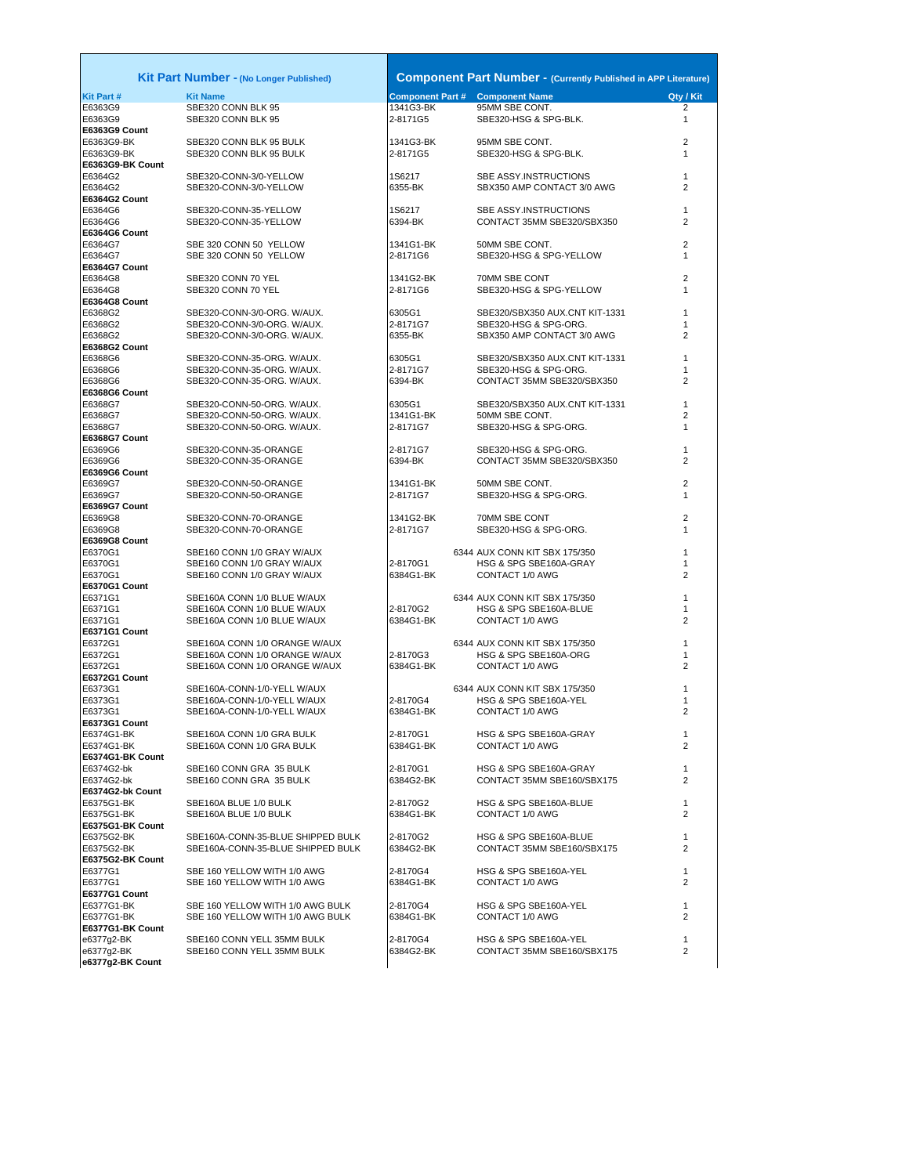|                                | <b>Kit Part Number - (No Longer Published)</b>                       |                       | <b>Component Part Number - (Currently Published in APP Literatur</b> |                   |
|--------------------------------|----------------------------------------------------------------------|-----------------------|----------------------------------------------------------------------|-------------------|
| Kit Part #                     | <b>Kit Name</b>                                                      |                       | <b>Component Part # Component Name</b>                               | Qty / Kit         |
| E6363G9                        | SBE320 CONN BLK 95                                                   | 1341G3-BK             | 95MM SBE CONT.                                                       | $\overline{2}$    |
| E6363G9                        | SBE320 CONN BLK 95                                                   | 2-8171G5              | SBE320-HSG & SPG-BLK.                                                | $\mathbf{1}$      |
| E6363G9 Count                  |                                                                      |                       |                                                                      |                   |
| E6363G9-BK<br>E6363G9-BK       | SBE320 CONN BLK 95 BULK                                              | 1341G3-BK             | 95MM SBE CONT.<br>SBE320-HSG & SPG-BLK.                              | 2<br>$\mathbf{1}$ |
| E6363G9-BK Count               | SBE320 CONN BLK 95 BULK                                              | 2-8171G5              |                                                                      |                   |
| E6364G2                        | SBE320-CONN-3/0-YELLOW                                               | 1S6217                | SBE ASSY.INSTRUCTIONS                                                | 1                 |
| E6364G2                        | SBE320-CONN-3/0-YELLOW                                               | 6355-BK               | SBX350 AMP CONTACT 3/0 AWG                                           | 2                 |
| E6364G2 Count                  |                                                                      |                       |                                                                      |                   |
| E6364G6                        | SBE320-CONN-35-YELLOW                                                | 1S6217                | SBE ASSY.INSTRUCTIONS                                                | 1                 |
| E6364G6                        | SBE320-CONN-35-YELLOW                                                | 6394-BK               | CONTACT 35MM SBE320/SBX350                                           | 2                 |
| E6364G6 Count                  |                                                                      |                       |                                                                      |                   |
| E6364G7                        | SBE 320 CONN 50 YELLOW                                               | 1341G1-BK             | 50MM SBE CONT.                                                       | 2                 |
| E6364G7                        | SBE 320 CONN 50 YELLOW                                               | 2-8171G6              | SBE320-HSG & SPG-YELLOW                                              | $\mathbf{1}$      |
| E6364G7 Count<br>E6364G8       | SBE320 CONN 70 YEL                                                   | 1341G2-BK             | 70MM SBE CONT                                                        | 2                 |
| E6364G8                        | SBE320 CONN 70 YEL                                                   | 2-8171G6              | SBE320-HSG & SPG-YELLOW                                              | 1                 |
| E6364G8 Count                  |                                                                      |                       |                                                                      |                   |
| E6368G2                        | SBE320-CONN-3/0-ORG. W/AUX.                                          | 6305G1                | SBE320/SBX350 AUX.CNT KIT-1331                                       | 1                 |
| E6368G2                        | SBE320-CONN-3/0-ORG. W/AUX.                                          | 2-8171G7              | SBE320-HSG & SPG-ORG.                                                | 1                 |
| E6368G2                        | SBE320-CONN-3/0-ORG. W/AUX.                                          | 6355-BK               | SBX350 AMP CONTACT 3/0 AWG                                           | 2                 |
| E6368G2 Count                  |                                                                      |                       |                                                                      |                   |
| E6368G6                        | SBE320-CONN-35-ORG. W/AUX.                                           | 6305G1                | SBE320/SBX350 AUX.CNT KIT-1331                                       | 1                 |
| E6368G6                        | SBE320-CONN-35-ORG. W/AUX.                                           | 2-8171G7              | SBE320-HSG & SPG-ORG.                                                |                   |
| E6368G6                        | SBE320-CONN-35-ORG. W/AUX.                                           | 6394-BK               | CONTACT 35MM SBE320/SBX350                                           | $\overline{2}$    |
| E6368G6 Count                  |                                                                      |                       |                                                                      |                   |
| E6368G7                        | SBE320-CONN-50-ORG. W/AUX.                                           | 6305G1                | SBE320/SBX350 AUX.CNT KIT-1331<br>50MM SBE CONT.                     | 1                 |
| E6368G7<br>E6368G7             | SBE320-CONN-50-ORG. W/AUX.<br>SBE320-CONN-50-ORG. W/AUX.             | 1341G1-BK<br>2-8171G7 | SBE320-HSG & SPG-ORG.                                                | 2<br>1            |
| E6368G7 Count                  |                                                                      |                       |                                                                      |                   |
| E6369G6                        | SBE320-CONN-35-ORANGE                                                | 2-8171G7              | SBE320-HSG & SPG-ORG.                                                | 1                 |
| E6369G6                        | SBE320-CONN-35-ORANGE                                                | 6394-BK               | CONTACT 35MM SBE320/SBX350                                           | $\overline{2}$    |
| E6369G6 Count                  |                                                                      |                       |                                                                      |                   |
| E6369G7                        | SBE320-CONN-50-ORANGE                                                | 1341G1-BK             | 50MM SBE CONT.                                                       | 2                 |
| E6369G7                        | SBE320-CONN-50-ORANGE                                                | 2-8171G7              | SBE320-HSG & SPG-ORG.                                                | 1                 |
| E6369G7 Count                  |                                                                      |                       |                                                                      |                   |
| E6369G8                        | SBE320-CONN-70-ORANGE                                                | 1341G2-BK             | 70MM SBE CONT                                                        | 2                 |
| E6369G8<br>E6369G8 Count       | SBE320-CONN-70-ORANGE                                                | 2-8171G7              | SBE320-HSG & SPG-ORG.                                                | 1                 |
| E6370G1                        | SBE160 CONN 1/0 GRAY W/AUX                                           |                       | 6344 AUX CONN KIT SBX 175/350                                        | 1                 |
| E6370G1                        | SBE160 CONN 1/0 GRAY W/AUX                                           | 2-8170G1              | HSG & SPG SBE160A-GRAY                                               | 1                 |
| E6370G1                        | SBE160 CONN 1/0 GRAY W/AUX                                           | 6384G1-BK             | CONTACT 1/0 AWG                                                      | $\overline{2}$    |
| E6370G1 Count                  |                                                                      |                       |                                                                      |                   |
| E6371G1                        | SBE160A CONN 1/0 BLUE W/AUX                                          |                       | 6344 AUX CONN KIT SBX 175/350                                        | 1                 |
| E6371G1                        | SBE160A CONN 1/0 BLUE W/AUX                                          | 2-8170G2              | HSG & SPG SBE160A-BLUE                                               | 1                 |
| E6371G1                        | SBE160A CONN 1/0 BLUE W/AUX                                          | 6384G1-BK             | CONTACT 1/0 AWG                                                      | 2                 |
| E6371G1 Count                  |                                                                      |                       |                                                                      |                   |
| E6372G1                        | SBE160A CONN 1/0 ORANGE W/AUX                                        |                       | 6344 AUX CONN KIT SBX 175/350                                        | 1                 |
| E6372G1<br>E6372G1             | SBE160A CONN 1/0 ORANGE W/AUX<br>SBE160A CONN 1/0 ORANGE W/AUX       | 2-8170G3<br>6384G1-BK | HSG & SPG SBE160A-ORG<br>CONTACT 1/0 AWG                             | 1<br>2            |
| E6372G1 Count                  |                                                                      |                       |                                                                      |                   |
| E6373G1                        | SBE160A-CONN-1/0-YELL W/AUX                                          |                       | 6344 AUX CONN KIT SBX 175/350                                        | 1                 |
| E6373G1                        | SBE160A-CONN-1/0-YELL W/AUX                                          | 2-8170G4              | HSG & SPG SBE160A-YEL                                                | 1                 |
| E6373G1                        | SBE160A-CONN-1/0-YELL W/AUX                                          | 6384G1-BK             | CONTACT 1/0 AWG                                                      | 2                 |
| E6373G1 Count                  |                                                                      |                       |                                                                      |                   |
| E6374G1-BK                     | SBE160A CONN 1/0 GRA BULK                                            | 2-8170G1              | HSG & SPG SBE160A-GRAY                                               | 1                 |
| E6374G1-BK                     | SBE160A CONN 1/0 GRA BULK                                            | 6384G1-BK             | CONTACT 1/0 AWG                                                      | 2                 |
| E6374G1-BK Count               |                                                                      |                       |                                                                      |                   |
| E6374G2-bk                     | SBE160 CONN GRA 35 BULK<br>SBE160 CONN GRA 35 BULK                   | 2-8170G1<br>6384G2-BK | HSG & SPG SBE160A-GRAY<br>CONTACT 35MM SBE160/SBX175                 | 1<br>2            |
| E6374G2-bk<br>E6374G2-bk Count |                                                                      |                       |                                                                      |                   |
| E6375G1-BK                     | SBE160A BLUE 1/0 BULK                                                | 2-8170G2              | HSG & SPG SBE160A-BLUE                                               | 1                 |
| E6375G1-BK                     | SBE160A BLUE 1/0 BULK                                                | 6384G1-BK             | CONTACT 1/0 AWG                                                      | 2                 |
| E6375G1-BK Count               |                                                                      |                       |                                                                      |                   |
| E6375G2-BK                     | SBE160A-CONN-35-BLUE SHIPPED BULK                                    | 2-8170G2              | HSG & SPG SBE160A-BLUE                                               | 1                 |
| E6375G2-BK                     | SBE160A-CONN-35-BLUE SHIPPED BULK                                    | 6384G2-BK             | CONTACT 35MM SBE160/SBX175                                           | 2                 |
| E6375G2-BK Count               |                                                                      |                       |                                                                      |                   |
| E6377G1                        | SBE 160 YELLOW WITH 1/0 AWG                                          | 2-8170G4              | HSG & SPG SBE160A-YEL                                                | 1                 |
| E6377G1                        | SBE 160 YELLOW WITH 1/0 AWG                                          | 6384G1-BK             | CONTACT 1/0 AWG                                                      | 2                 |
| E6377G1 Count                  |                                                                      | 2-8170G4              | HSG & SPG SBE160A-YEL                                                | 1                 |
| E6377G1-BK<br>E6377G1-BK       | SBE 160 YELLOW WITH 1/0 AWG BULK<br>SBE 160 YELLOW WITH 1/0 AWG BULK | 6384G1-BK             | CONTACT 1/0 AWG                                                      | 2                 |
| E6377G1-BK Count               |                                                                      |                       |                                                                      |                   |

eff 132764 SBE160 CONN YELL 35MM BULK 2-8170G4 HSG & SPG SBE160A-YEL 15MM SBE160CONN YELL 35MM BULK 2 CONTACT 35MM SBE160/SBX175

**e6377g2-BK Count**

**Red in APP Literature)**